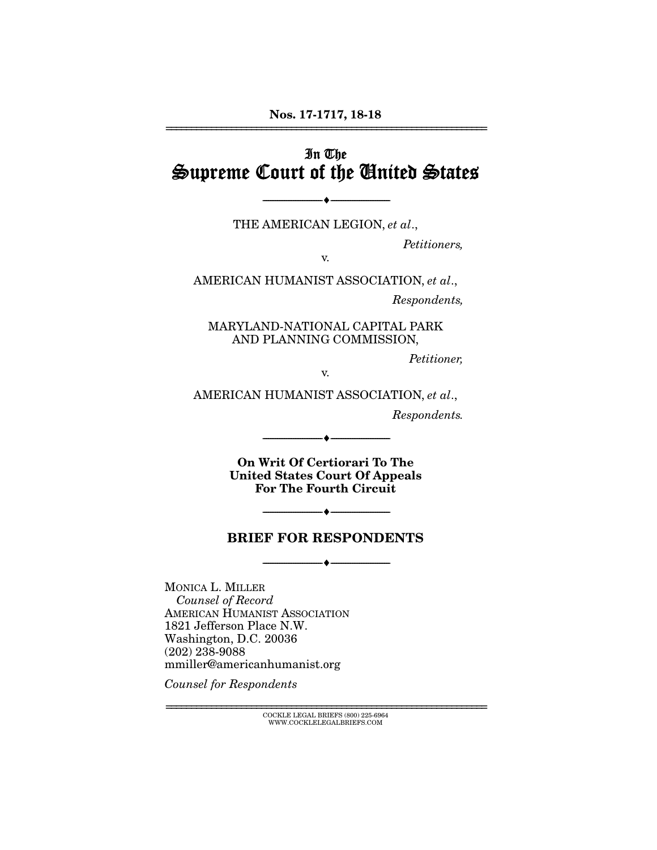## In The Supreme Court of the United States

THE AMERICAN LEGION, *et al*.,

 $-\hspace{0.2cm}$   $\hspace{0.2cm}-$ 

*Petitioners,* 

v.

AMERICAN HUMANIST ASSOCIATION, *et al*.,

*Respondents,* 

MARYLAND-NATIONAL CAPITAL PARK AND PLANNING COMMISSION,

*Petitioner,* 

v.

AMERICAN HUMANIST ASSOCIATION, *et al*.,

*Respondents.* 

On Writ Of Certiorari To The United States Court Of Appeals For The Fourth Circuit

--------------------------------- ---------------------------------

#### BRIEF FOR RESPONDENTS

--------------------------------- ---------------------------------

 $-$ 

MONICA L. MILLER *Counsel of Record* AMERICAN HUMANIST ASSOCIATION 1821 Jefferson Place N.W. Washington, D.C. 20036 (202) 238-9088 mmiller@americanhumanist.org

*Counsel for Respondents* 

================================================================ COCKLE LEGAL BRIEFS (800) 225-6964 WWW.COCKLELEGALBRIEFS.COM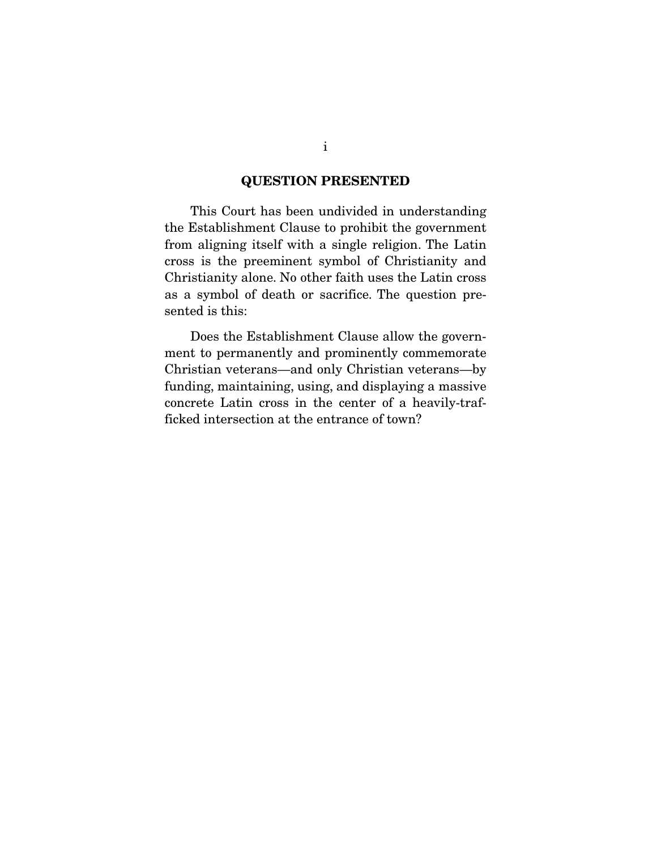#### QUESTION PRESENTED

 This Court has been undivided in understanding the Establishment Clause to prohibit the government from aligning itself with a single religion. The Latin cross is the preeminent symbol of Christianity and Christianity alone. No other faith uses the Latin cross as a symbol of death or sacrifice. The question presented is this:

 Does the Establishment Clause allow the government to permanently and prominently commemorate Christian veterans—and only Christian veterans—by funding, maintaining, using, and displaying a massive concrete Latin cross in the center of a heavily-trafficked intersection at the entrance of town?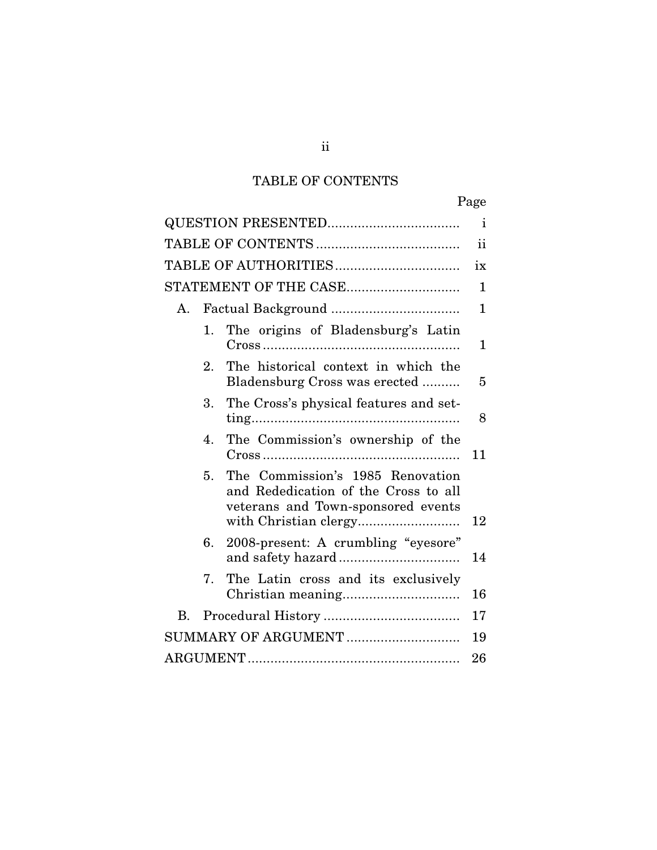# TABLE OF CONTENTS

|    |    |                                                                                                                | Page          |
|----|----|----------------------------------------------------------------------------------------------------------------|---------------|
|    |    |                                                                                                                | $\mathbf{i}$  |
|    |    |                                                                                                                | $\mathbf{ii}$ |
|    |    |                                                                                                                | ix            |
|    |    | STATEMENT OF THE CASE                                                                                          | $\mathbf{1}$  |
| А. |    |                                                                                                                | $\mathbf{1}$  |
|    | 1. | The origins of Bladensburg's Latin                                                                             | 1             |
|    | 2. | The historical context in which the<br>Bladensburg Cross was erected                                           | 5             |
|    | 3. | The Cross's physical features and set-                                                                         | 8             |
|    | 4. | The Commission's ownership of the                                                                              | 11            |
|    | 5. | The Commission's 1985 Renovation<br>and Rededication of the Cross to all<br>veterans and Town-sponsored events | 12            |
|    | 6. | 2008-present: A crumbling "eyesore"                                                                            | 14            |
|    | 7. | The Latin cross and its exclusively                                                                            | 16            |
| В. |    |                                                                                                                | 17            |
|    |    | SUMMARY OF ARGUMENT                                                                                            | 19            |
|    |    |                                                                                                                | 26            |

ii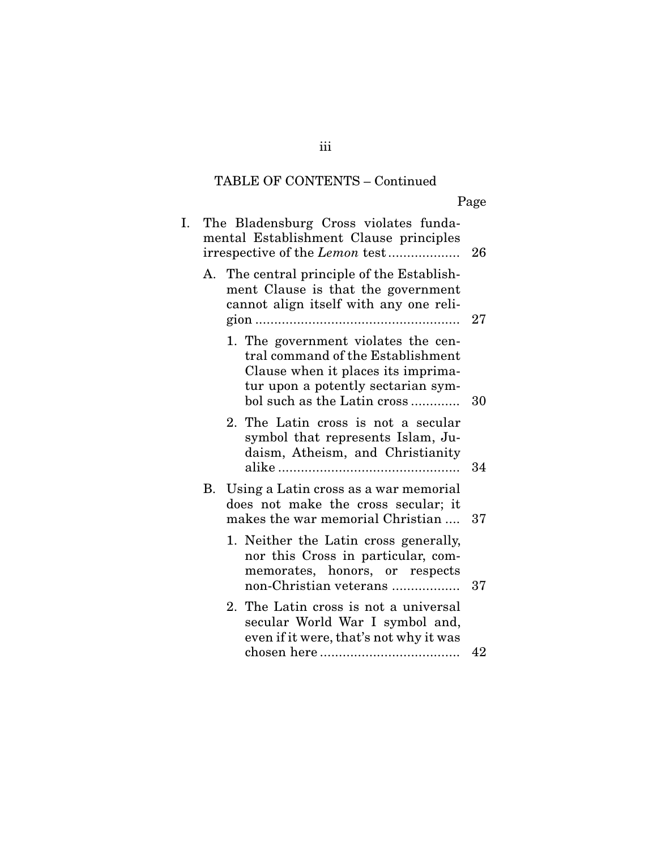| Ω<br>e.<br>н |
|--------------|
|              |

| I. | The Bladensburg Cross violates funda-<br>mental Establishment Clause principles<br>irrespective of the Lemon test<br>26                                                                   |
|----|-------------------------------------------------------------------------------------------------------------------------------------------------------------------------------------------|
|    | A. The central principle of the Establish-<br>ment Clause is that the government<br>cannot align itself with any one reli-<br>27                                                          |
|    | 1. The government violates the cen-<br>tral command of the Establishment<br>Clause when it places its imprima-<br>tur upon a potently sectarian sym-<br>bol such as the Latin cross<br>30 |
|    | 2. The Latin cross is not a secular<br>symbol that represents Islam, Ju-<br>daism, Atheism, and Christianity<br>34                                                                        |
|    | B. Using a Latin cross as a war memorial<br>does not make the cross secular; it<br>makes the war memorial Christian<br>37                                                                 |
|    | 1. Neither the Latin cross generally,<br>nor this Cross in particular, com-<br>memorates, honors, or respects<br>non-Christian veterans<br>37                                             |
|    | 2. The Latin cross is not a universal<br>secular World War I symbol and,<br>even if it were, that's not why it was                                                                        |
|    | 42                                                                                                                                                                                        |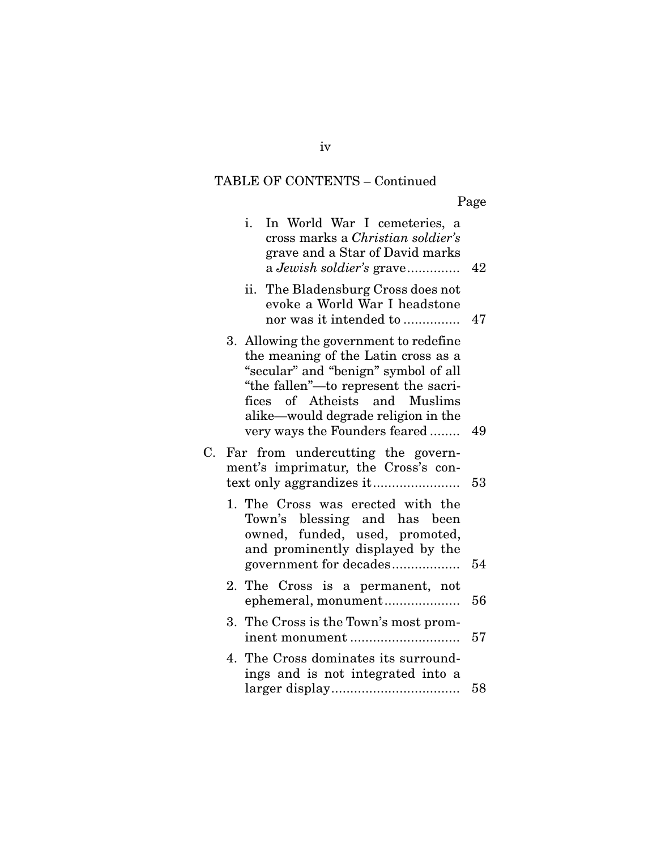Page

|    | i.<br>In World War I cemeteries, a<br>cross marks a <i>Christian soldier's</i><br>grave and a Star of David marks<br>a Jewish soldier's grave                                                                                                                          | 42 |
|----|------------------------------------------------------------------------------------------------------------------------------------------------------------------------------------------------------------------------------------------------------------------------|----|
|    | The Bladensburg Cross does not<br>ii.<br>evoke a World War I headstone<br>nor was it intended to                                                                                                                                                                       | 47 |
|    | 3. Allowing the government to redefine<br>the meaning of the Latin cross as a<br>"secular" and "benign" symbol of all<br>"the fallen"-to represent the sacri-<br>fices of Atheists and Muslims<br>alike-would degrade religion in the<br>very ways the Founders feared | 49 |
| C. | Far from undercutting the govern-<br>ment's imprimatur, the Cross's con-                                                                                                                                                                                               | 53 |
|    | 1. The Cross was erected with the<br>Town's blessing and has been<br>owned, funded, used, promoted,<br>and prominently displayed by the<br>government for decades                                                                                                      | 54 |
|    | 2. The Cross is a permanent, not<br>ephemeral, monument                                                                                                                                                                                                                | 56 |
|    | 3. The Cross is the Town's most prom-                                                                                                                                                                                                                                  | 57 |
|    | 4. The Cross dominates its surround-<br>ings and is not integrated into a                                                                                                                                                                                              | 58 |

iv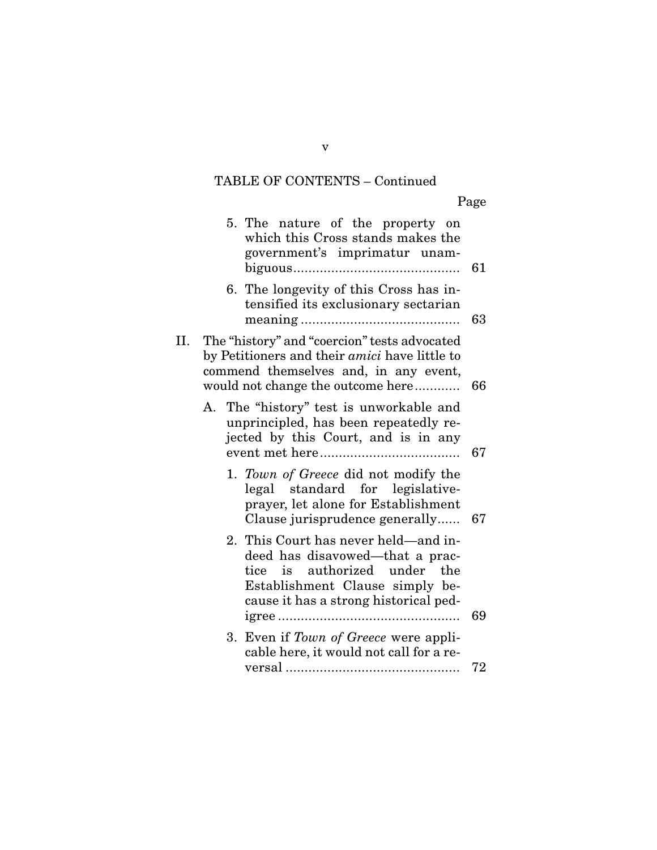Page

|     | 5. The nature of the property on<br>which this Cross stands makes the<br>government's imprimatur unam-                                                                                          | 61 |
|-----|-------------------------------------------------------------------------------------------------------------------------------------------------------------------------------------------------|----|
|     | 6. The longevity of this Cross has in-<br>tensified its exclusionary sectarian                                                                                                                  | 63 |
| II. | The "history" and "coercion" tests advocated<br>by Petitioners and their <i>amici</i> have little to<br>commend themselves and, in any event,<br>would not change the outcome here              | 66 |
|     | A. The "history" test is unworkable and<br>unprincipled, has been repeatedly re-<br>jected by this Court, and is in any                                                                         | 67 |
|     | 1. Town of Greece did not modify the<br>legal standard for legislative-<br>prayer, let alone for Establishment<br>Clause jurisprudence generally                                                | 67 |
|     | 2. This Court has never held—and in-<br>deed has disavowed—that a prac-<br>authorized<br>under<br>tice<br>the<br>is<br>Establishment Clause simply be-<br>cause it has a strong historical ped- | 69 |
|     | Even if Town of Greece were appli-<br>3.<br>cable here, it would not call for a re-                                                                                                             | 72 |

v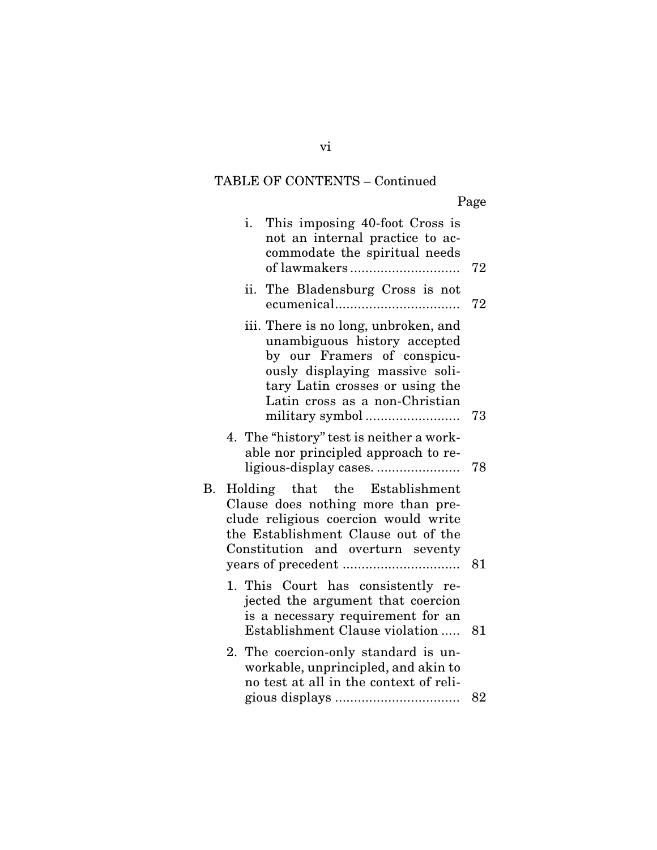Page

|    | This imposing 40-foot Cross is<br>i.<br>not an internal practice to ac-<br>commodate the spiritual needs<br>of lawmakers                                                                                   | 72 |
|----|------------------------------------------------------------------------------------------------------------------------------------------------------------------------------------------------------------|----|
|    | ii. The Bladensburg Cross is not                                                                                                                                                                           | 72 |
|    | iii. There is no long, unbroken, and<br>unambiguous history accepted<br>by our Framers of conspicu-<br>ously displaying massive soli-<br>tary Latin crosses or using the<br>Latin cross as a non-Christian | 73 |
|    | 4. The "history" test is neither a work-<br>able nor principled approach to re-                                                                                                                            | 78 |
| В. | Holding that the Establishment<br>Clause does nothing more than pre-<br>clude religious coercion would write<br>the Establishment Clause out of the<br>Constitution and overturn seventy                   | 81 |
|    | 1. This Court has consistently re-<br>jected the argument that coercion<br>is a necessary requirement for an<br>Establishment Clause violation                                                             | 81 |
|    | 2. The coercion-only standard is un-<br>workable, unprincipled, and akin to<br>no test at all in the context of reli-                                                                                      |    |
|    |                                                                                                                                                                                                            | 82 |

vi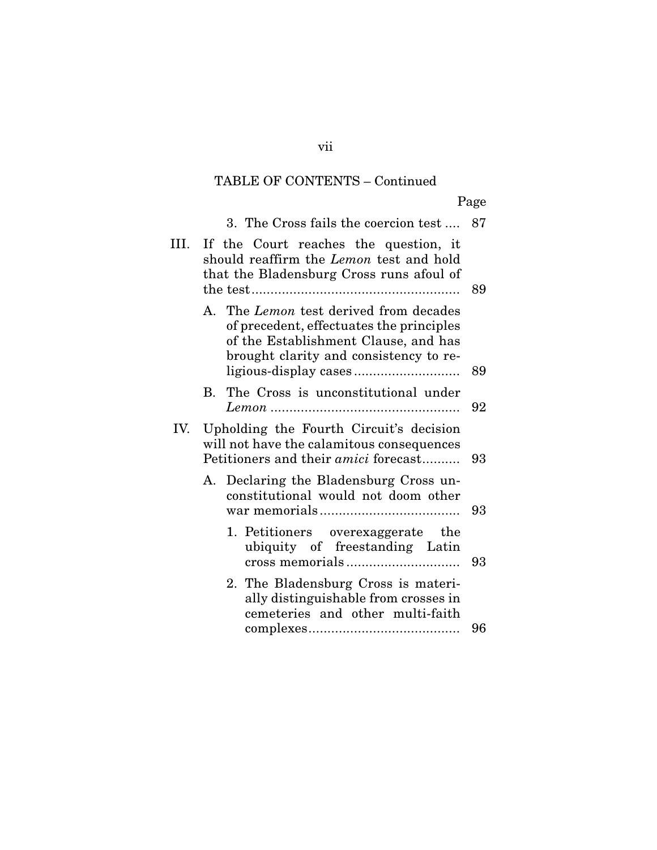Page

|      | 3. The Cross fails the coercion test                                                                                                                                 | 87 |
|------|----------------------------------------------------------------------------------------------------------------------------------------------------------------------|----|
| III. | If the Court reaches the question, it<br>should reaffirm the <i>Lemon</i> test and hold<br>that the Bladensburg Cross runs afoul of                                  | 89 |
|      | A. The Lemon test derived from decades<br>of precedent, effectuates the principles<br>of the Establishment Clause, and has<br>brought clarity and consistency to re- | 89 |
|      | The Cross is unconstitutional under<br><b>B.</b>                                                                                                                     | 92 |
| IV.  | Upholding the Fourth Circuit's decision<br>will not have the calamitous consequences<br>Petitioners and their <i>amici</i> forecast                                  | 93 |
|      | Declaring the Bladensburg Cross un-<br>А.<br>constitutional would not doom other                                                                                     | 93 |
|      | 1. Petitioners overexaggerate the<br>ubiquity of freestanding Latin                                                                                                  | 93 |
|      | 2. The Bladensburg Cross is materi-<br>ally distinguishable from crosses in<br>cemeteries and other multi-faith                                                      |    |
|      |                                                                                                                                                                      | 96 |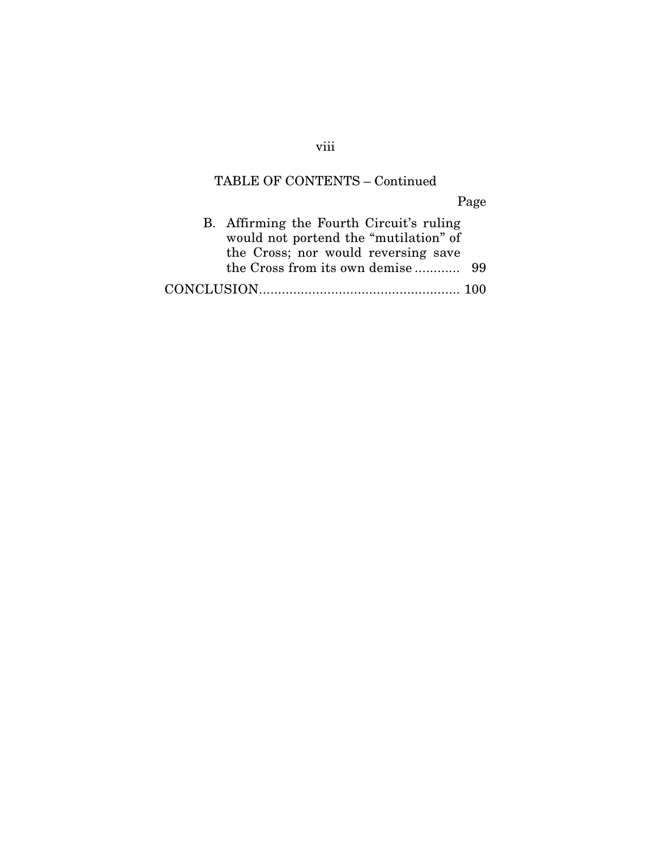Page

| B. Affirming the Fourth Circuit's ruling |  |
|------------------------------------------|--|
| would not portend the "mutilation" of    |  |
| the Cross; nor would reversing save      |  |
|                                          |  |
|                                          |  |

viii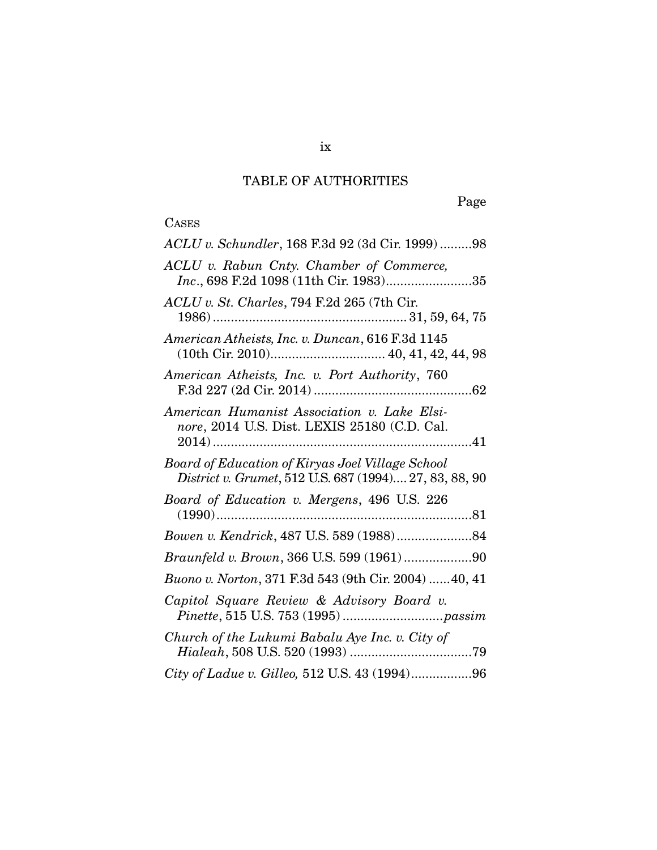## TABLE OF AUTHORITIES

# CASES

| ACLU v. Schundler, 168 F.3d 92 (3d Cir. 1999)98                                                            |
|------------------------------------------------------------------------------------------------------------|
| ACLU v. Rabun Cnty. Chamber of Commerce,<br>Inc., 698 F.2d 1098 (11th Cir. 1983)35                         |
| ACLU v. St. Charles, 794 F.2d 265 (7th Cir.                                                                |
| American Atheists, Inc. v. Duncan, 616 F.3d 1145                                                           |
| American Atheists, Inc. v. Port Authority, 760                                                             |
| American Humanist Association v. Lake Elsi-<br>nore, 2014 U.S. Dist. LEXIS 25180 (C.D. Cal.                |
| Board of Education of Kiryas Joel Village School<br>District v. Grumet, 512 U.S. 687 (1994) 27, 83, 88, 90 |
| Board of Education v. Mergens, 496 U.S. 226                                                                |
|                                                                                                            |
|                                                                                                            |
| Buono v. Norton, 371 F.3d 543 (9th Cir. 2004)  40, 41                                                      |
| Capitol Square Review & Advisory Board v.                                                                  |
| Church of the Lukumi Babalu Aye Inc. v. City of                                                            |
| City of Ladue v. Gilleo, 512 U.S. 43 (1994)96                                                              |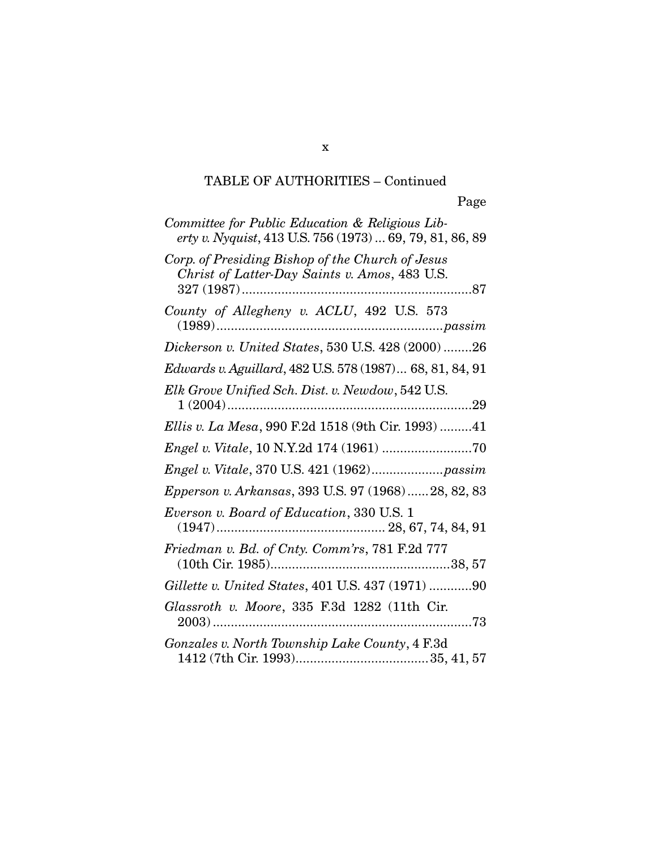| Committee for Public Education & Religious Lib-<br>erty v. Nyquist, 413 U.S. 756 (1973)  69, 79, 81, 86, 89 |
|-------------------------------------------------------------------------------------------------------------|
| Corp. of Presiding Bishop of the Church of Jesus<br>Christ of Latter-Day Saints v. Amos, 483 U.S.           |
| County of Allegheny v. ACLU, 492 U.S. 573                                                                   |
| Dickerson v. United States, 530 U.S. 428 (2000) 26                                                          |
| Edwards v. Aguillard, 482 U.S. 578 (1987) 68, 81, 84, 91                                                    |
| Elk Grove Unified Sch. Dist. v. Newdow, 542 U.S.                                                            |
| Ellis v. La Mesa, 990 F.2d 1518 (9th Cir. 1993) 41                                                          |
| $Engel \; v. \; Vitale, \, 10 \; N.Y.2d \, 174 \; (1961) \; 70$                                             |
|                                                                                                             |
| Epperson v. Arkansas, 393 U.S. 97 (1968)28, 82, 83                                                          |
| Everson v. Board of Education, 330 U.S. 1                                                                   |
| Friedman v. Bd. of Cnty. Comm'rs, 781 F.2d 777                                                              |
| Gillette v. United States, 401 U.S. 437 (1971) 90                                                           |
| Glassroth v. Moore, 335 F.3d 1282 (11th Cir.                                                                |
| Gonzales v. North Township Lake County, 4 F.3d                                                              |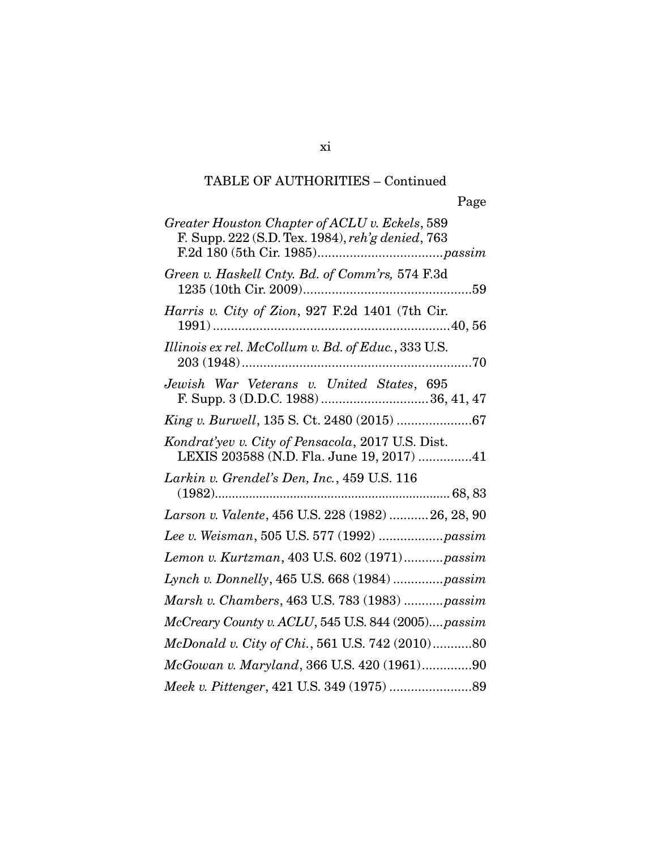| Greater Houston Chapter of ACLU v. Eckels, 589<br>F. Supp. 222 (S.D. Tex. 1984), reh'g denied, 763 |
|----------------------------------------------------------------------------------------------------|
| Green v. Haskell Cnty. Bd. of Comm'rs, 574 F.3d                                                    |
| Harris v. City of Zion, 927 F.2d 1401 (7th Cir.                                                    |
| Illinois ex rel. McCollum v. Bd. of Educ., 333 U.S.                                                |
| Jewish War Veterans v. United States, 695                                                          |
| King v. Burwell, 135 S. Ct. 2480 (2015) 67                                                         |
| Kondrat'yev v. City of Pensacola, 2017 U.S. Dist.<br>LEXIS 203588 (N.D. Fla. June 19, 2017) 41     |
| Larkin v. Grendel's Den, Inc., 459 U.S. 116                                                        |
| Larson v. Valente, 456 U.S. 228 (1982)  26, 28, 90                                                 |
| Lee v. Weisman, 505 U.S. 577 (1992)  passim                                                        |
| Lemon v. Kurtzman, 403 U.S. 602 (1971)passim                                                       |
| Lynch v. Donnelly, 465 U.S. 668 (1984) passim                                                      |
| Marsh v. Chambers, 463 U.S. 783 (1983) passim                                                      |
| McCreary County v. ACLU, 545 U.S. 844 (2005)passim                                                 |
| McDonald v. City of Chi., 561 U.S. 742 (2010)80                                                    |
| McGowan v. Maryland, 366 U.S. 420 (1961)90                                                         |
|                                                                                                    |

xi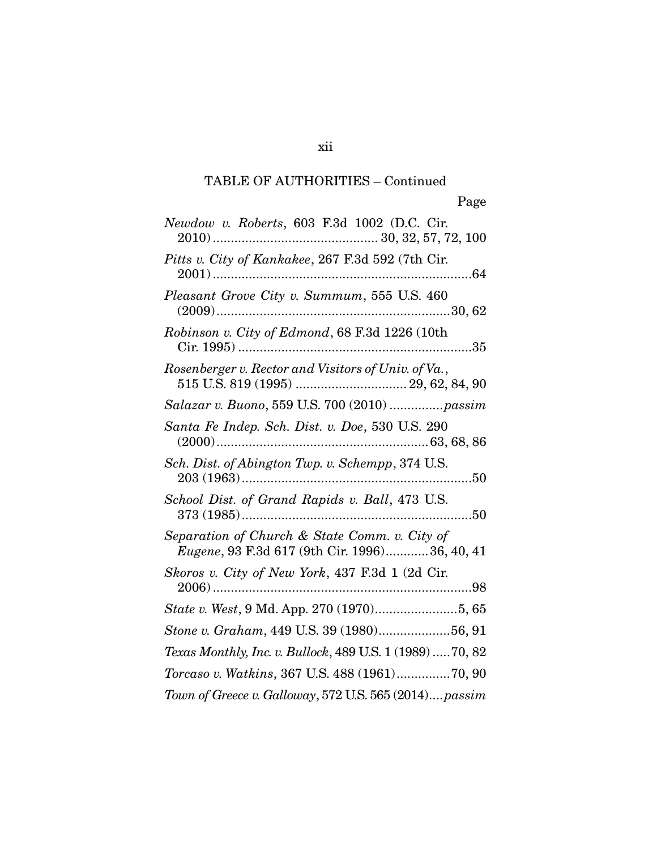xii

| Newdow v. Roberts, 603 F.3d 1002 (D.C. Cir.                                                    |
|------------------------------------------------------------------------------------------------|
| Pitts v. City of Kankakee, 267 F.3d 592 (7th Cir.                                              |
| Pleasant Grove City v. Summum, 555 U.S. 460                                                    |
| Robinson v. City of Edmond, 68 F.3d 1226 (10th                                                 |
| Rosenberger v. Rector and Visitors of Univ. of Va.,                                            |
| Salazar v. Buono, 559 U.S. 700 (2010)  passim                                                  |
| Santa Fe Indep. Sch. Dist. v. Doe, 530 U.S. 290                                                |
| Sch. Dist. of Abington Twp. v. Schempp, 374 U.S.                                               |
| School Dist. of Grand Rapids v. Ball, 473 U.S.                                                 |
| Separation of Church & State Comm. v. City of<br>Eugene, 93 F.3d 617 (9th Cir. 1996)36, 40, 41 |
| Skoros v. City of New York, 437 F.3d 1 (2d Cir.                                                |
| State v. West, 9 Md. App. 270 (1970)5, 65                                                      |
| Stone v. Graham, 449 U.S. 39 (1980)56, 91                                                      |
| Texas Monthly, Inc. v. Bullock, 489 U.S. 1 (1989)  70, 82                                      |
| Torcaso v. Watkins, 367 U.S. 488 (1961)70, 90                                                  |
| Town of Greece v. Galloway, 572 U.S. 565 (2014)passim                                          |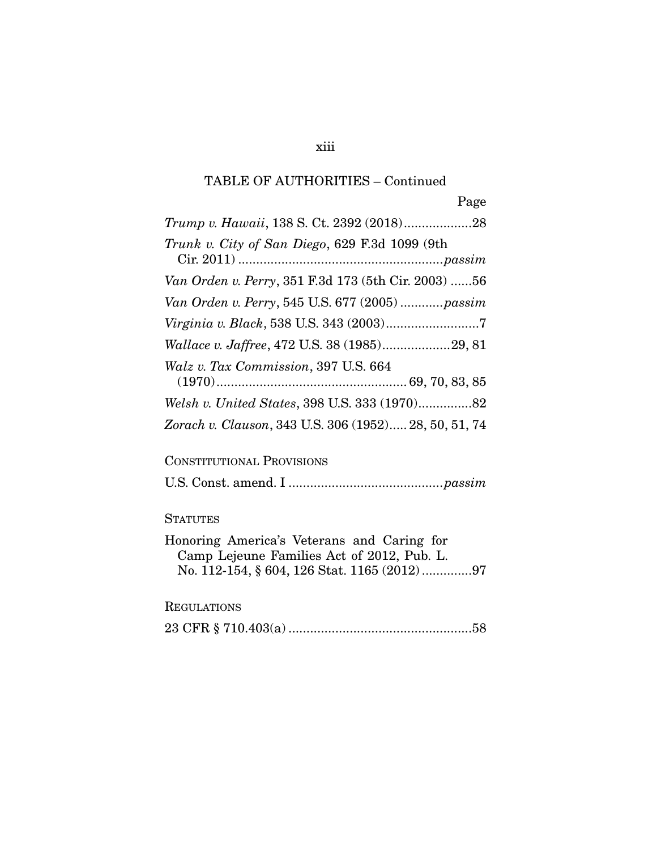xiii

| Trunk v. City of San Diego, 629 F.3d 1099 (9th        |
|-------------------------------------------------------|
| Van Orden v. Perry, 351 F.3d 173 (5th Cir. 2003) 56   |
| Van Orden v. Perry, 545 U.S. 677 (2005)  passim       |
|                                                       |
| Wallace v. Jaffree, 472 U.S. 38 (1985)29, 81          |
| Walz v. Tax Commission, 397 U.S. 664                  |
|                                                       |
| Zorach v. Clauson, 343 U.S. 306 (1952) 28, 50, 51, 74 |

#### CONSTITUTIONAL PROVISIONS

U.S. Const. amend. I ........................................... *passim*

#### **STATUTES**

| Honoring America's Veterans and Caring for |  |  |
|--------------------------------------------|--|--|
| Camp Lejeune Families Act of 2012, Pub. L. |  |  |
|                                            |  |  |

#### REGULATIONS

|--|--|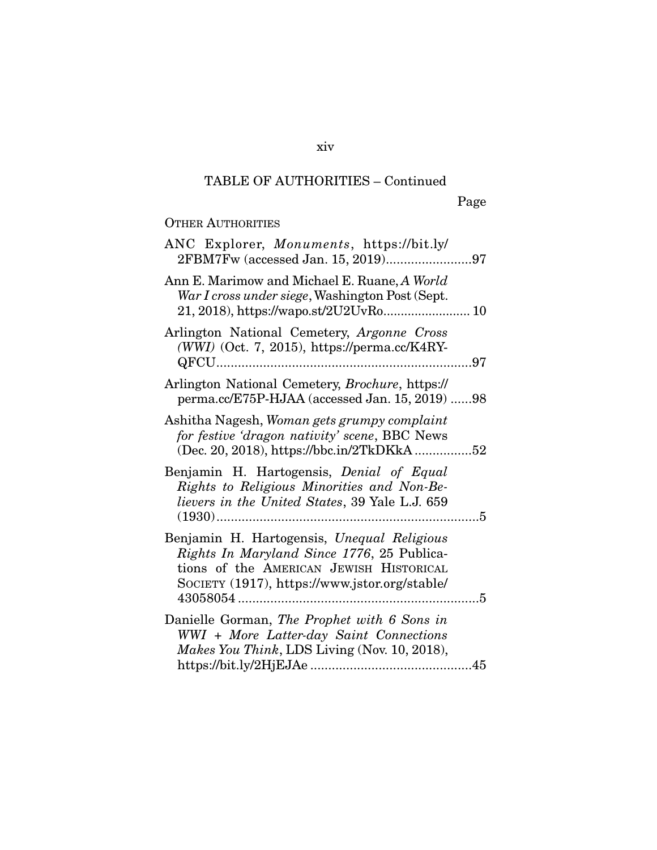#### OTHER AUTHORITIES

| ANC Explorer, <i>Monuments</i> , https://bit.ly/                                                                                                                                     |  |
|--------------------------------------------------------------------------------------------------------------------------------------------------------------------------------------|--|
| Ann E. Marimow and Michael E. Ruane, A World<br>War I cross under siege, Washington Post (Sept.<br>21, 2018), https://wapo.st/2U2UvRo 10                                             |  |
| Arlington National Cemetery, Argonne Cross<br>(WWI) (Oct. 7, 2015), https://perma.cc/K4RY-                                                                                           |  |
| Arlington National Cemetery, Brochure, https://<br>perma.cc/E75P-HJAA (accessed Jan. 15, 2019) 98                                                                                    |  |
| Ashitha Nagesh, Woman gets grumpy complaint<br>for festive 'dragon nativity' scene, BBC News<br>(Dec. 20, 2018), https://bbc.in/2TkDKkA52                                            |  |
| Benjamin H. Hartogensis, Denial of Equal<br>Rights to Religious Minorities and Non-Be-<br>lievers in the United States, 39 Yale L.J. 659                                             |  |
| Benjamin H. Hartogensis, Unequal Religious<br>Rights In Maryland Since 1776, 25 Publica-<br>tions of the AMERICAN JEWISH HISTORICAL<br>SOCIETY (1917), https://www.jstor.org/stable/ |  |
| Danielle Gorman, The Prophet with 6 Sons in<br>WWI + More Latter-day Saint Connections<br>Makes You Think, LDS Living (Nov. 10, 2018),                                               |  |
|                                                                                                                                                                                      |  |

xiv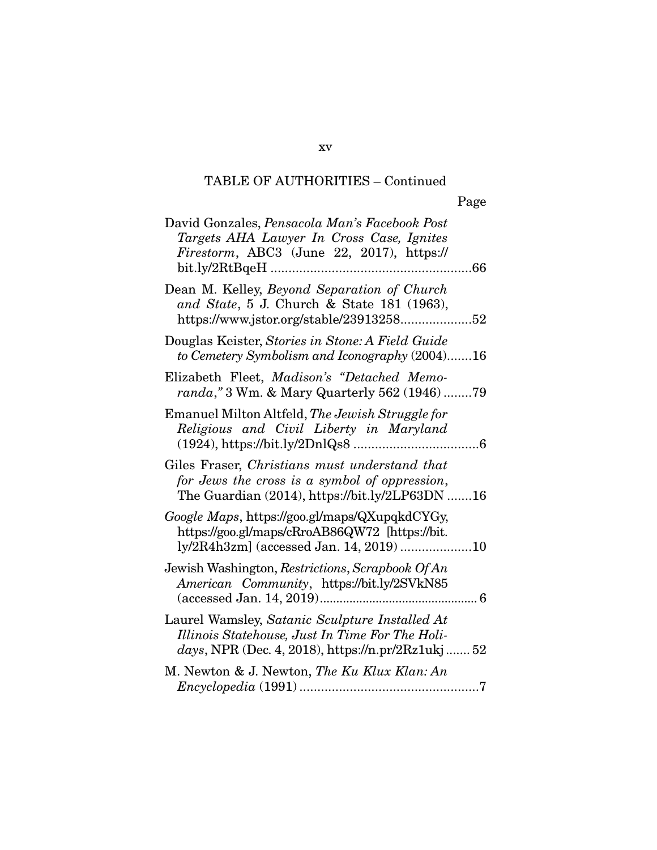xv

| David Gonzales, Pensacola Man's Facebook Post<br>Targets AHA Lawyer In Cross Case, Ignites<br>Firestorm, ABC3 (June 22, 2017), https://                |
|--------------------------------------------------------------------------------------------------------------------------------------------------------|
| Dean M. Kelley, Beyond Separation of Church<br>and State, 5 J. Church & State 181 (1963),<br>https://www.jstor.org/stable/2391325852                   |
| Douglas Keister, Stories in Stone: A Field Guide<br>to Cemetery Symbolism and Iconography (2004)16                                                     |
| Elizabeth Fleet, Madison's "Detached Memo-<br>randa," 3 Wm. & Mary Quarterly 562 (1946)79                                                              |
| Emanuel Milton Altfeld, The Jewish Struggle for<br>Religious and Civil Liberty in Maryland                                                             |
| Giles Fraser, Christians must understand that<br>for Jews the cross is a symbol of oppression,<br>The Guardian $(2014)$ , https://bit.ly/2LP63DN 16    |
| Google Maps, https://goo.gl/maps/QXupqkdCYGy,<br>https://goo.gl/maps/cRroAB86QW72 [https://bit.<br>ly/2R4h3zm] (accessed Jan. 14, 2019) 10             |
| Jewish Washington, Restrictions, Scrapbook Of An<br>American Community, https://bit.ly/2SVkN85                                                         |
| Laurel Wamsley, Satanic Sculpture Installed At<br>Illinois Statehouse, Just In Time For The Holi-<br>days, NPR (Dec. 4, 2018), https://n.pr/2Rz1ukj 52 |
| M. Newton & J. Newton, The Ku Klux Klan: An                                                                                                            |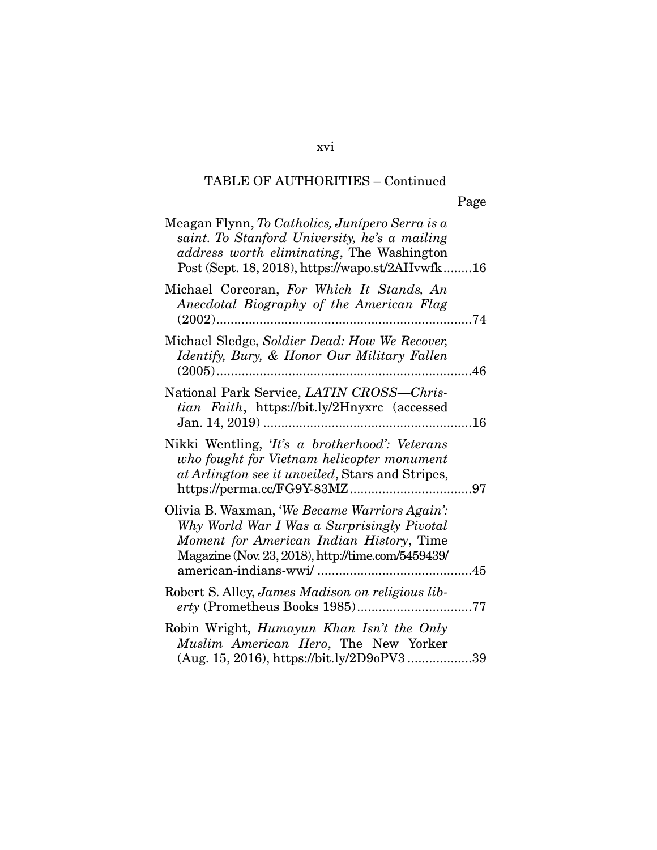xvi

| Meagan Flynn, To Catholics, Junípero Serra is a<br>saint. To Stanford University, he's a mailing<br>address worth eliminating, The Washington<br>Post (Sept. 18, 2018), https://wapo.st/2AHvwfk16 |  |
|---------------------------------------------------------------------------------------------------------------------------------------------------------------------------------------------------|--|
| Michael Corcoran, For Which It Stands, An<br>Anecdotal Biography of the American Flag                                                                                                             |  |
| Michael Sledge, Soldier Dead: How We Recover,<br>Identify, Bury, & Honor Our Military Fallen                                                                                                      |  |
| National Park Service, LATIN CROSS-Chris-<br>tian Faith, https://bit.ly/2Hnyxrc (accessed                                                                                                         |  |
| Nikki Wentling, 'It's a brotherhood': Veterans<br>who fought for Vietnam helicopter monument<br>at Arlington see it unveiled, Stars and Stripes,                                                  |  |
| Olivia B. Waxman, 'We Became Warriors Again':<br>Why World War I Was a Surprisingly Pivotal<br>Moment for American Indian History, Time<br>Magazine (Nov. 23, 2018), http://time.com/5459439/     |  |
| Robert S. Alley, James Madison on religious lib-                                                                                                                                                  |  |
| Robin Wright, Humayun Khan Isn't the Only<br>Muslim American Hero, The New Yorker<br>(Aug. 15, 2016), https://bit.ly/2D9oPV339                                                                    |  |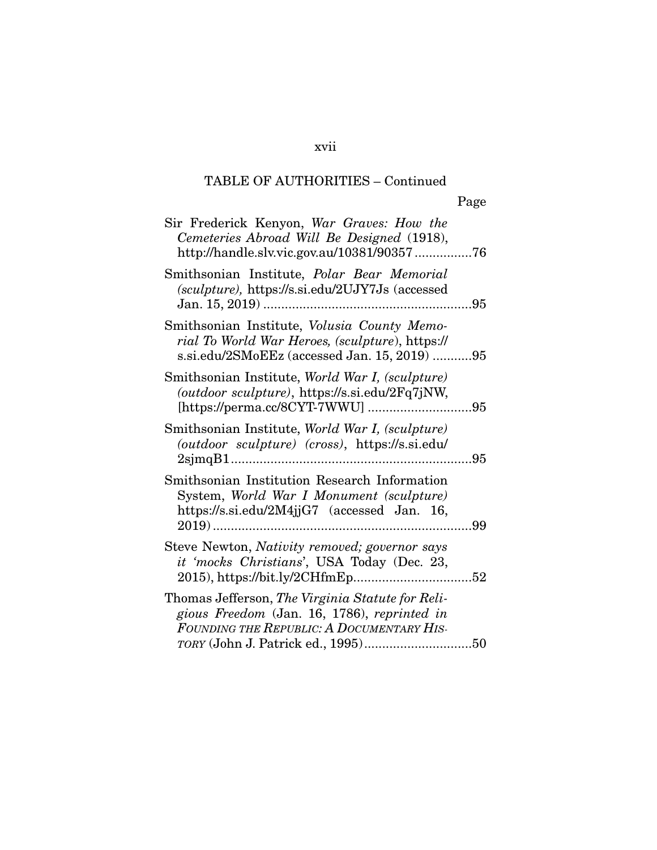#### xvii

## TABLE OF AUTHORITIES – Continued

| ۰, |  |
|----|--|
|    |  |

| Sir Frederick Kenyon, War Graves: How the<br>Cemeteries Abroad Will Be Designed (1918),<br>http://handle.slv.vic.gov.au/10381/9035776          |
|------------------------------------------------------------------------------------------------------------------------------------------------|
| Smithsonian Institute, <i>Polar Bear Memorial</i><br>(sculpture), https://s.si.edu/2UJY7Js (accessed                                           |
| Smithsonian Institute, Volusia County Memo-<br>rial To World War Heroes, (sculpture), https://<br>s.si.edu/2SMoEEz (accessed Jan. 15, 2019) 95 |
| Smithsonian Institute, World War I, (sculpture)<br>(outdoor sculpture), https://s.si.edu/2Fq7jNW,                                              |
| Smithsonian Institute, World War I, (sculpture)<br>(outdoor sculpture) (cross), https://s.si.edu/                                              |
| Smithsonian Institution Research Information<br>System, World War I Monument (sculpture)<br>https://s.si.edu/2M4jjG7 (accessed Jan. 16,        |
| Steve Newton, Nativity removed; governor says<br>it 'mocks Christians', USA Today (Dec. 23,                                                    |
| Thomas Jefferson, The Virginia Statute for Reli-<br>gious Freedom (Jan. 16, 1786), reprinted in<br>FOUNDING THE REPUBLIC: A DOCUMENTARY HIS-   |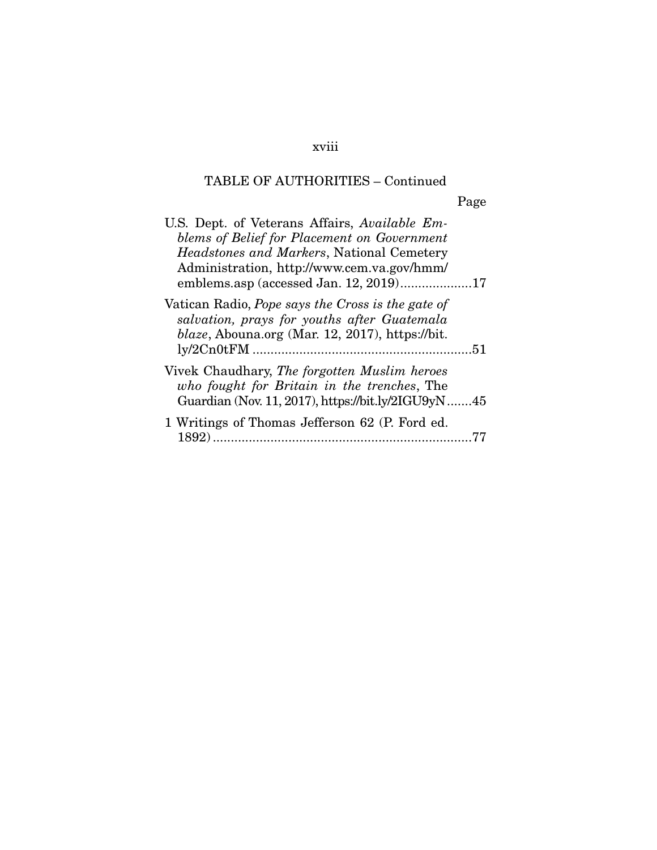## xviii

## TABLE OF AUTHORITIES – Continued

Page

| U.S. Dept. of Veterans Affairs, Available Em-<br>blems of Belief for Placement on Government<br><i>Headstones and Markers, National Cemetery</i><br>Administration, http://www.cem.va.gov/hmm/<br>emblems.asp (accessed Jan. 12, 2019)17 |
|------------------------------------------------------------------------------------------------------------------------------------------------------------------------------------------------------------------------------------------|
| Vatican Radio, Pope says the Cross is the gate of<br>salvation, prays for youths after Guatemala<br>$blaze$ , Abouna.org (Mar. 12, 2017), https://bit.                                                                                   |
| Vivek Chaudhary, The forgotten Muslim heroes<br>who fought for Britain in the trenches, The<br>Guardian (Nov. 11, 2017), https://bit.ly/2IGU9yN45                                                                                        |
| 1 Writings of Thomas Jefferson 62 (P. Ford ed.<br>1892)                                                                                                                                                                                  |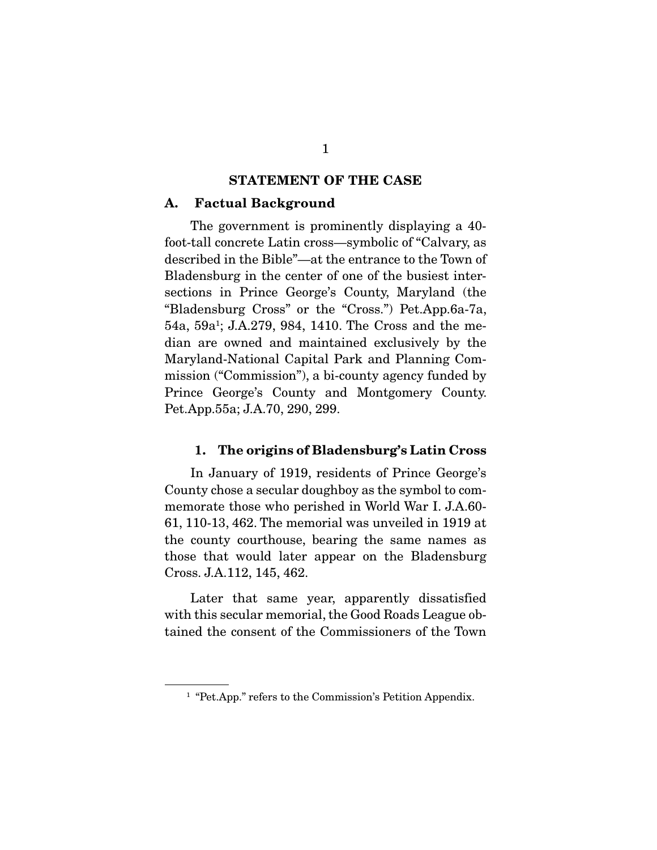#### STATEMENT OF THE CASE

#### A. Factual Background

 The government is prominently displaying a 40 foot-tall concrete Latin cross—symbolic of "Calvary, as described in the Bible"—at the entrance to the Town of Bladensburg in the center of one of the busiest intersections in Prince George's County, Maryland (the "Bladensburg Cross" or the "Cross.") Pet.App.6a-7a, 54a, 59a1 ; J.A.279, 984, 1410. The Cross and the median are owned and maintained exclusively by the Maryland-National Capital Park and Planning Commission ("Commission"), a bi-county agency funded by Prince George's County and Montgomery County. Pet.App.55a; J.A.70, 290, 299.

#### 1. The origins of Bladensburg's Latin Cross

 In January of 1919, residents of Prince George's County chose a secular doughboy as the symbol to commemorate those who perished in World War I. J.A.60- 61, 110-13, 462. The memorial was unveiled in 1919 at the county courthouse, bearing the same names as those that would later appear on the Bladensburg Cross. J.A.112, 145, 462.

 Later that same year, apparently dissatisfied with this secular memorial, the Good Roads League obtained the consent of the Commissioners of the Town

<sup>&</sup>lt;sup>1</sup> "Pet.App." refers to the Commission's Petition Appendix.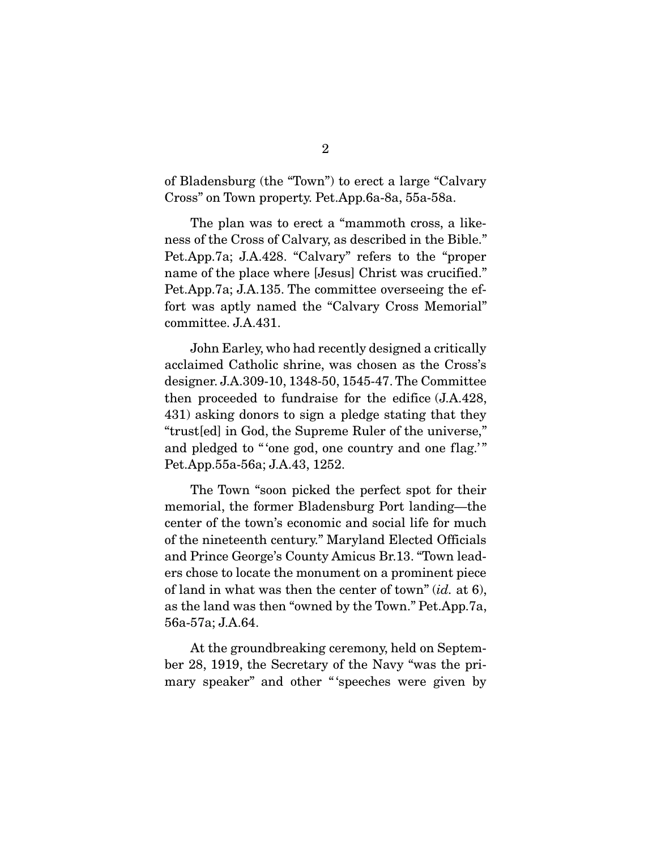of Bladensburg (the "Town") to erect a large "Calvary Cross" on Town property. Pet.App.6a-8a, 55a-58a.

 The plan was to erect a "mammoth cross, a likeness of the Cross of Calvary, as described in the Bible." Pet.App.7a; J.A.428. "Calvary" refers to the "proper name of the place where [Jesus] Christ was crucified." Pet.App.7a; J.A.135. The committee overseeing the effort was aptly named the "Calvary Cross Memorial" committee. J.A.431.

 John Earley, who had recently designed a critically acclaimed Catholic shrine, was chosen as the Cross's designer. J.A.309-10, 1348-50, 1545-47. The Committee then proceeded to fundraise for the edifice (J.A.428, 431) asking donors to sign a pledge stating that they "trust[ed] in God, the Supreme Ruler of the universe," and pledged to "'one god, one country and one flag.'" Pet.App.55a-56a; J.A.43, 1252.

 The Town "soon picked the perfect spot for their memorial, the former Bladensburg Port landing—the center of the town's economic and social life for much of the nineteenth century." Maryland Elected Officials and Prince George's County Amicus Br.13. "Town leaders chose to locate the monument on a prominent piece of land in what was then the center of town" (*id.* at 6), as the land was then "owned by the Town." Pet.App.7a, 56a-57a; J.A.64.

 At the groundbreaking ceremony, held on September 28, 1919, the Secretary of the Navy "was the primary speaker" and other "'speeches were given by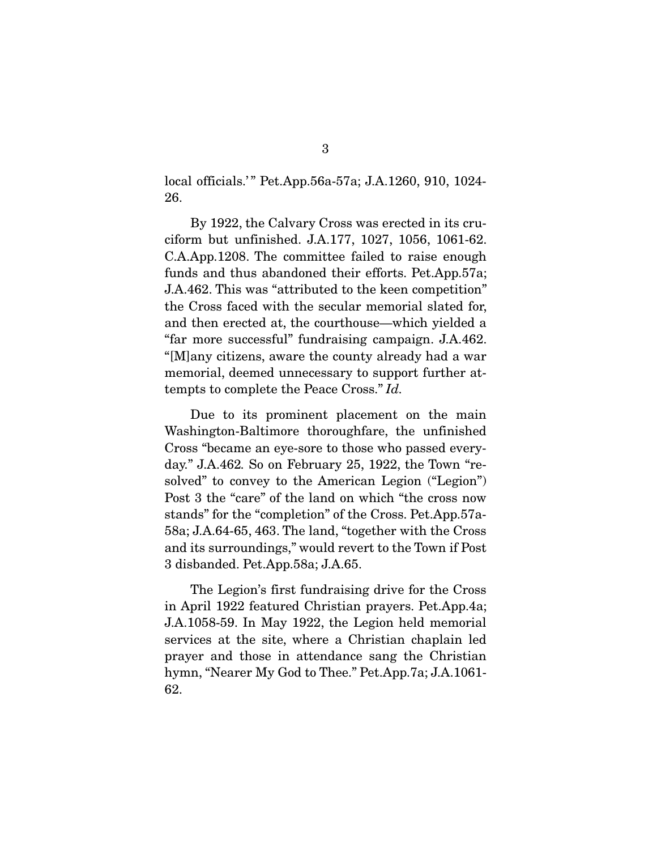local officials.'" Pet.App.56a-57a; J.A.1260, 910, 1024-26.

 By 1922, the Calvary Cross was erected in its cruciform but unfinished. J.A.177, 1027, 1056, 1061-62. C.A.App.1208. The committee failed to raise enough funds and thus abandoned their efforts. Pet.App.57a; J.A.462. This was "attributed to the keen competition" the Cross faced with the secular memorial slated for, and then erected at, the courthouse—which yielded a "far more successful" fundraising campaign. J.A.462. "[M]any citizens, aware the county already had a war memorial, deemed unnecessary to support further attempts to complete the Peace Cross." *Id.*

 Due to its prominent placement on the main Washington-Baltimore thoroughfare, the unfinished Cross "became an eye-sore to those who passed everyday." J.A.462*.* So on February 25, 1922, the Town "resolved" to convey to the American Legion ("Legion") Post 3 the "care" of the land on which "the cross now stands" for the "completion" of the Cross. Pet.App.57a-58a; J.A.64-65, 463. The land, "together with the Cross and its surroundings," would revert to the Town if Post 3 disbanded. Pet.App.58a; J.A.65.

 The Legion's first fundraising drive for the Cross in April 1922 featured Christian prayers. Pet.App.4a; J.A.1058-59. In May 1922, the Legion held memorial services at the site, where a Christian chaplain led prayer and those in attendance sang the Christian hymn, "Nearer My God to Thee." Pet.App.7a; J.A.1061- 62.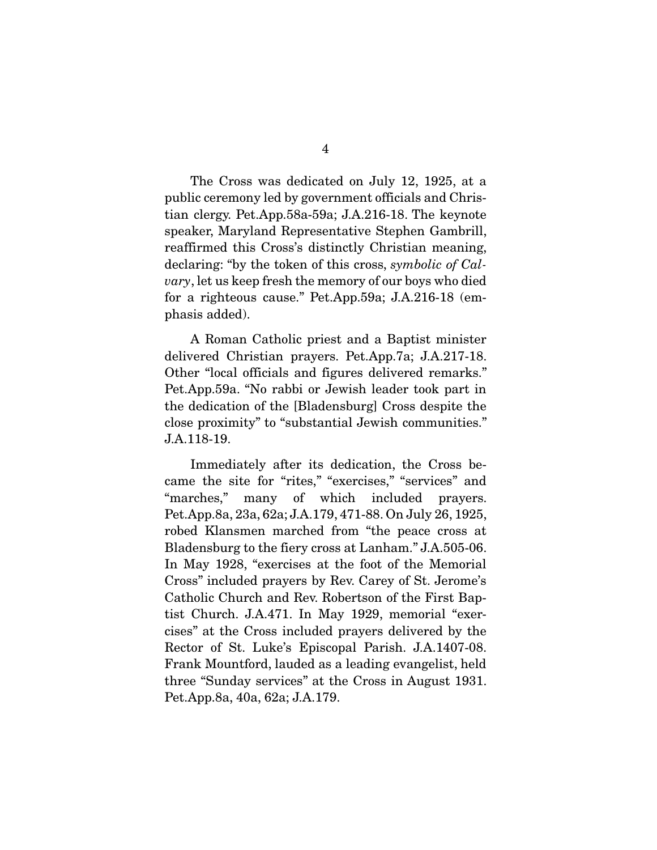The Cross was dedicated on July 12, 1925, at a public ceremony led by government officials and Christian clergy. Pet.App.58a-59a; J.A.216-18. The keynote speaker, Maryland Representative Stephen Gambrill, reaffirmed this Cross's distinctly Christian meaning, declaring: "by the token of this cross, *symbolic of Calvary*, let us keep fresh the memory of our boys who died for a righteous cause." Pet.App.59a; J.A.216-18 (emphasis added).

 A Roman Catholic priest and a Baptist minister delivered Christian prayers. Pet.App.7a; J.A.217-18. Other "local officials and figures delivered remarks." Pet.App.59a. "No rabbi or Jewish leader took part in the dedication of the [Bladensburg] Cross despite the close proximity" to "substantial Jewish communities." J.A.118-19.

 Immediately after its dedication, the Cross became the site for "rites," "exercises," "services" and "marches," many of which included prayers. Pet.App.8a, 23a, 62a; J.A.179, 471-88. On July 26, 1925, robed Klansmen marched from "the peace cross at Bladensburg to the fiery cross at Lanham." J.A.505-06. In May 1928, "exercises at the foot of the Memorial Cross" included prayers by Rev. Carey of St. Jerome's Catholic Church and Rev. Robertson of the First Baptist Church. J.A.471. In May 1929, memorial "exercises" at the Cross included prayers delivered by the Rector of St. Luke's Episcopal Parish. J.A.1407-08. Frank Mountford, lauded as a leading evangelist, held three "Sunday services" at the Cross in August 1931. Pet.App.8a, 40a, 62a; J.A.179.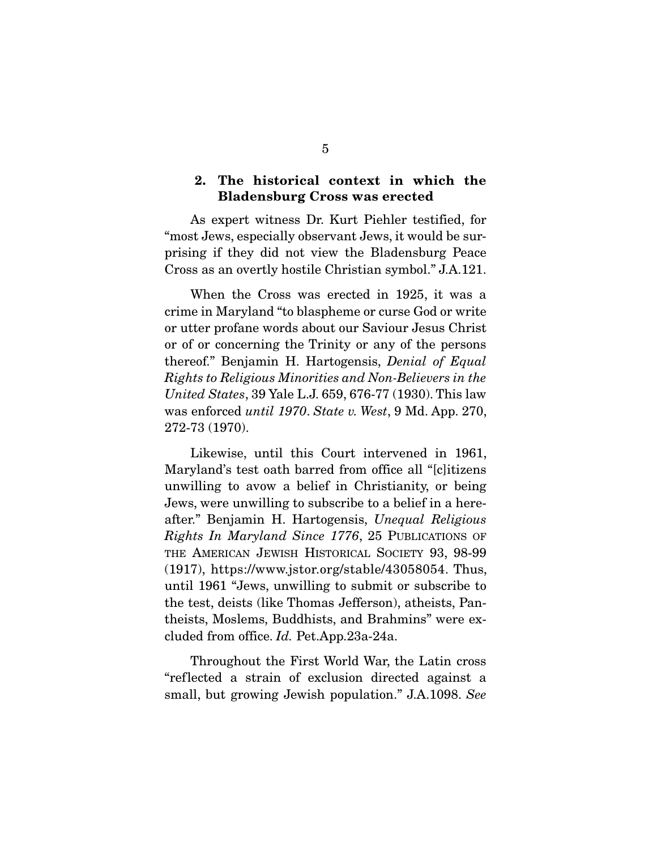#### 2. The historical context in which the Bladensburg Cross was erected

 As expert witness Dr. Kurt Piehler testified, for "most Jews, especially observant Jews, it would be surprising if they did not view the Bladensburg Peace Cross as an overtly hostile Christian symbol." J.A.121.

 When the Cross was erected in 1925, it was a crime in Maryland "to blaspheme or curse God or write or utter profane words about our Saviour Jesus Christ or of or concerning the Trinity or any of the persons thereof." Benjamin H. Hartogensis, *Denial of Equal Rights to Religious Minorities and Non-Believers in the United States*, 39 Yale L.J. 659, 676-77 (1930). This law was enforced *until 1970*. *State v. West*, 9 Md. App. 270, 272-73 (1970).

 Likewise, until this Court intervened in 1961, Maryland's test oath barred from office all "[c]itizens unwilling to avow a belief in Christianity, or being Jews, were unwilling to subscribe to a belief in a hereafter." Benjamin H. Hartogensis, *Unequal Religious Rights In Maryland Since 1776*, 25 PUBLICATIONS OF THE AMERICAN JEWISH HISTORICAL SOCIETY 93, 98-99 (1917), https://www.jstor.org/stable/43058054. Thus, until 1961 "Jews, unwilling to submit or subscribe to the test, deists (like Thomas Jefferson), atheists, Pantheists, Moslems, Buddhists, and Brahmins" were excluded from office. *Id.* Pet.App.23a-24a.

Throughout the First World War, the Latin cross "reflected a strain of exclusion directed against a small, but growing Jewish population." J.A.1098. *See*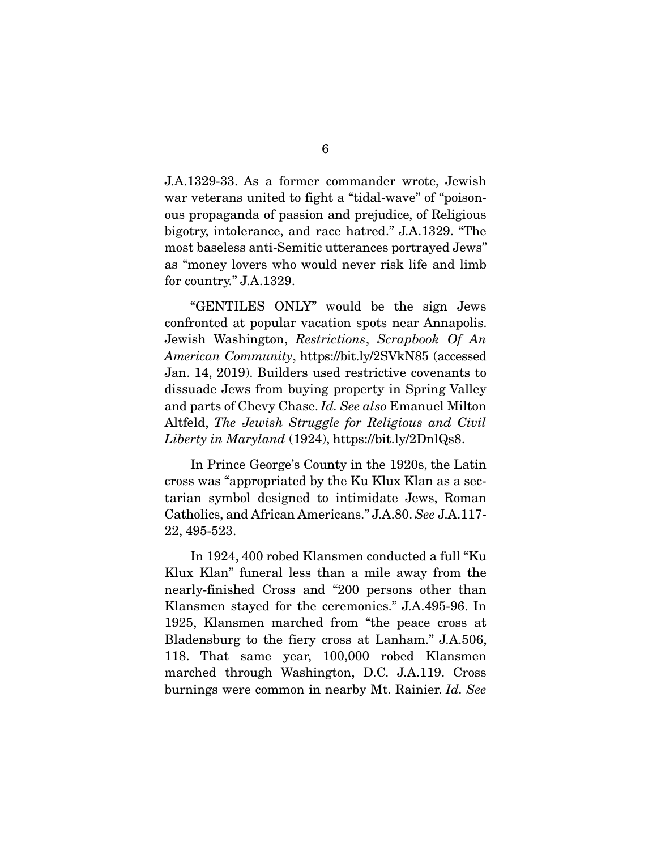J.A.1329-33. As a former commander wrote, Jewish war veterans united to fight a "tidal-wave" of "poisonous propaganda of passion and prejudice, of Religious bigotry, intolerance, and race hatred." J.A.1329. "The most baseless anti-Semitic utterances portrayed Jews" as "money lovers who would never risk life and limb for country." J.A.1329.

 "GENTILES ONLY" would be the sign Jews confronted at popular vacation spots near Annapolis. Jewish Washington, *Restrictions*, *Scrapbook Of An American Community*, https://bit.ly/2SVkN85 (accessed Jan. 14, 2019). Builders used restrictive covenants to dissuade Jews from buying property in Spring Valley and parts of Chevy Chase. *Id. See also* Emanuel Milton Altfeld, *The Jewish Struggle for Religious and Civil Liberty in Maryland* (1924), https://bit.ly/2DnlQs8.

In Prince George's County in the 1920s, the Latin cross was "appropriated by the Ku Klux Klan as a sectarian symbol designed to intimidate Jews, Roman Catholics, and African Americans." J.A.80. *See* J.A.117- 22, 495-523.

 In 1924, 400 robed Klansmen conducted a full "Ku Klux Klan" funeral less than a mile away from the nearly-finished Cross and "200 persons other than Klansmen stayed for the ceremonies." J.A.495-96. In 1925, Klansmen marched from "the peace cross at Bladensburg to the fiery cross at Lanham." J.A.506, 118. That same year, 100,000 robed Klansmen marched through Washington, D.C. J.A.119. Cross burnings were common in nearby Mt. Rainier. *Id. See*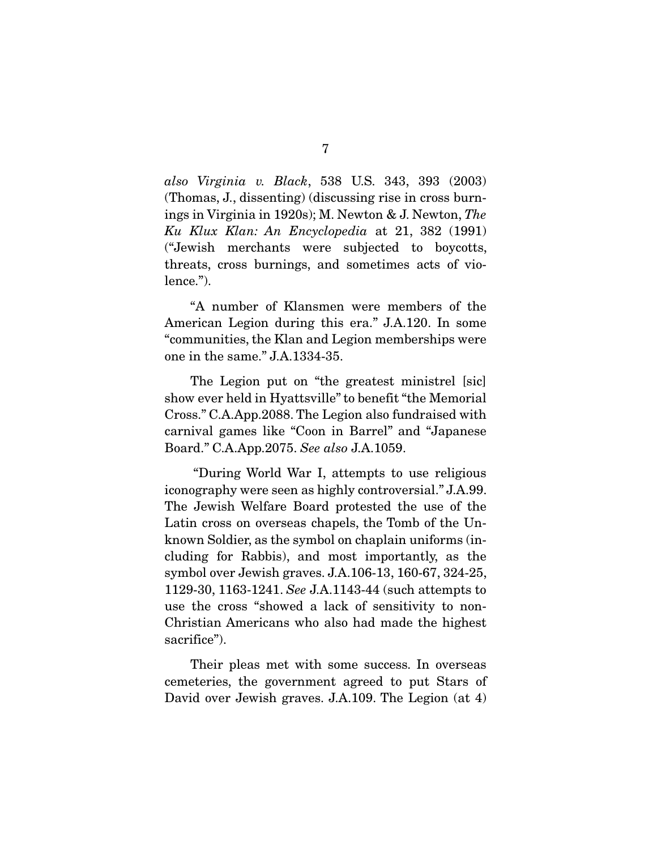*also Virginia v. Black*, 538 U.S. 343, 393 (2003) (Thomas, J., dissenting) (discussing rise in cross burnings in Virginia in 1920s); M. Newton & J. Newton, *The Ku Klux Klan: An Encyclopedia* at 21, 382 (1991) ("Jewish merchants were subjected to boycotts, threats, cross burnings, and sometimes acts of violence.").

 "A number of Klansmen were members of the American Legion during this era." J.A.120. In some "communities, the Klan and Legion memberships were one in the same." J.A.1334-35.

 The Legion put on "the greatest ministrel [sic] show ever held in Hyattsville" to benefit "the Memorial Cross." C.A.App.2088. The Legion also fundraised with carnival games like "Coon in Barrel" and "Japanese Board." C.A.App.2075. *See also* J.A.1059.

 "During World War I, attempts to use religious iconography were seen as highly controversial." J.A.99. The Jewish Welfare Board protested the use of the Latin cross on overseas chapels, the Tomb of the Unknown Soldier, as the symbol on chaplain uniforms (including for Rabbis), and most importantly, as the symbol over Jewish graves. J.A.106-13, 160-67, 324-25, 1129-30, 1163-1241. *See* J.A.1143-44 (such attempts to use the cross "showed a lack of sensitivity to non-Christian Americans who also had made the highest sacrifice").

 Their pleas met with some success. In overseas cemeteries, the government agreed to put Stars of David over Jewish graves. J.A.109. The Legion (at 4)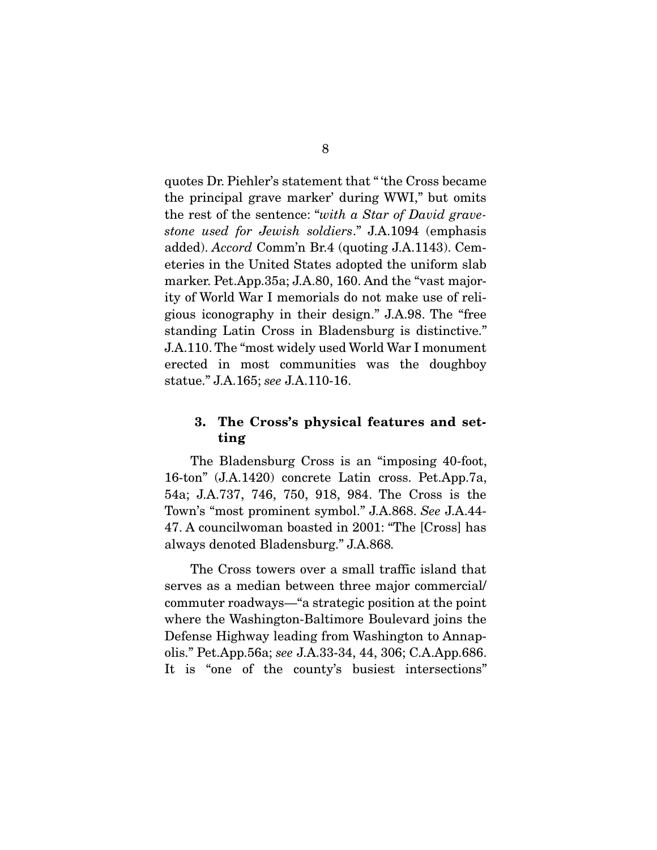quotes Dr. Piehler's statement that " 'the Cross became the principal grave marker' during WWI," but omits the rest of the sentence: "*with a Star of David gravestone used for Jewish soldiers*." J.A.1094 (emphasis added). *Accord* Comm'n Br.4 (quoting J.A.1143). Cemeteries in the United States adopted the uniform slab marker. Pet.App.35a; J.A.80, 160. And the "vast majority of World War I memorials do not make use of religious iconography in their design." J.A.98. The "free standing Latin Cross in Bladensburg is distinctive." J.A.110. The "most widely used World War I monument erected in most communities was the doughboy statue." J.A.165; *see* J.A.110-16.

#### 3. The Cross's physical features and setting

 The Bladensburg Cross is an "imposing 40-foot, 16-ton" (J.A.1420) concrete Latin cross. Pet.App.7a, 54a; J.A.737, 746, 750, 918, 984. The Cross is the Town's "most prominent symbol." J.A.868. *See* J.A.44- 47. A councilwoman boasted in 2001: "The [Cross] has always denoted Bladensburg." J.A.868*.* 

 The Cross towers over a small traffic island that serves as a median between three major commercial/ commuter roadways—"a strategic position at the point where the Washington-Baltimore Boulevard joins the Defense Highway leading from Washington to Annapolis." Pet.App.56a; *see* J.A.33-34, 44, 306; C.A.App.686. It is "one of the county's busiest intersections"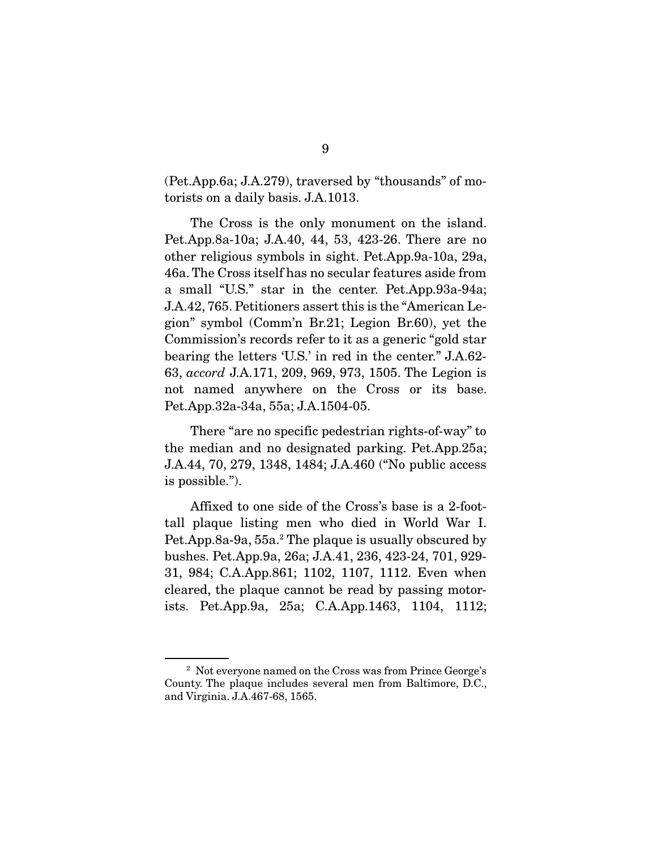(Pet.App.6a; J.A.279), traversed by "thousands" of motorists on a daily basis. J.A.1013.

 The Cross is the only monument on the island. Pet.App.8a-10a; J.A.40, 44, 53, 423-26. There are no other religious symbols in sight. Pet.App.9a-10a, 29a, 46a. The Cross itself has no secular features aside from a small "U.S." star in the center. Pet.App.93a-94a; J.A.42, 765. Petitioners assert this is the "American Legion" symbol (Comm'n Br.21; Legion Br.60), yet the Commission's records refer to it as a generic "gold star bearing the letters 'U.S.' in red in the center." J.A.62- 63, *accord* J.A.171, 209, 969, 973, 1505. The Legion is not named anywhere on the Cross or its base. Pet.App.32a-34a, 55a; J.A.1504-05.

 There "are no specific pedestrian rights-of-way" to the median and no designated parking. Pet.App.25a; J.A.44, 70, 279, 1348, 1484; J.A.460 ("No public access is possible.").

 Affixed to one side of the Cross's base is a 2-foottall plaque listing men who died in World War I. Pet.App.8a-9a, 55a.<sup>2</sup> The plaque is usually obscured by bushes. Pet.App.9a, 26a; J.A.41, 236, 423-24, 701, 929- 31, 984; C.A.App.861; 1102, 1107, 1112. Even when cleared, the plaque cannot be read by passing motorists. Pet.App.9a, 25a; C.A.App.1463, 1104, 1112;

<sup>2</sup> Not everyone named on the Cross was from Prince George's County. The plaque includes several men from Baltimore, D.C., and Virginia. J.A.467-68, 1565.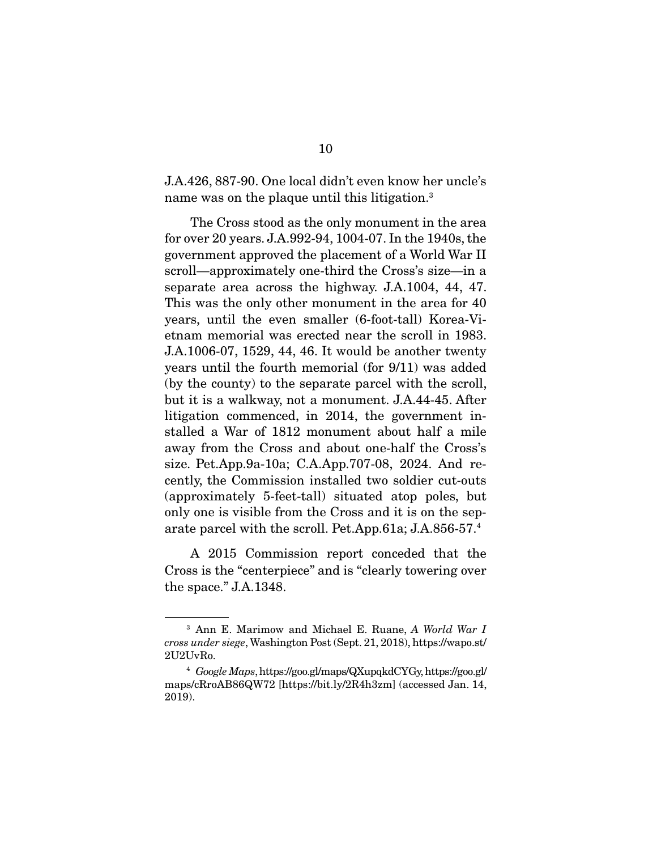J.A.426, 887-90. One local didn't even know her uncle's name was on the plaque until this litigation.<sup>3</sup>

 The Cross stood as the only monument in the area for over 20 years. J.A.992-94, 1004-07. In the 1940s, the government approved the placement of a World War II scroll—approximately one-third the Cross's size—in a separate area across the highway. J.A.1004, 44, 47. This was the only other monument in the area for 40 years, until the even smaller (6-foot-tall) Korea-Vietnam memorial was erected near the scroll in 1983. J.A.1006-07, 1529, 44, 46. It would be another twenty years until the fourth memorial (for 9/11) was added (by the county) to the separate parcel with the scroll, but it is a walkway, not a monument. J.A.44-45. After litigation commenced, in 2014, the government installed a War of 1812 monument about half a mile away from the Cross and about one-half the Cross's size. Pet.App.9a-10a; C.A.App.707-08, 2024. And recently, the Commission installed two soldier cut-outs (approximately 5-feet-tall) situated atop poles, but only one is visible from the Cross and it is on the separate parcel with the scroll. Pet.App.61a; J.A.856-57.4

 A 2015 Commission report conceded that the Cross is the "centerpiece" and is "clearly towering over the space." J.A.1348.

<sup>3</sup> Ann E. Marimow and Michael E. Ruane, *A World War I cross under siege*, Washington Post (Sept. 21, 2018), https://wapo.st/ 2U2UvRo.

<sup>4</sup> *Google Maps*, https://goo.gl/maps/QXupqkdCYGy, https://goo.gl/ maps/cRroAB86QW72 [https://bit.ly/2R4h3zm] (accessed Jan. 14, 2019).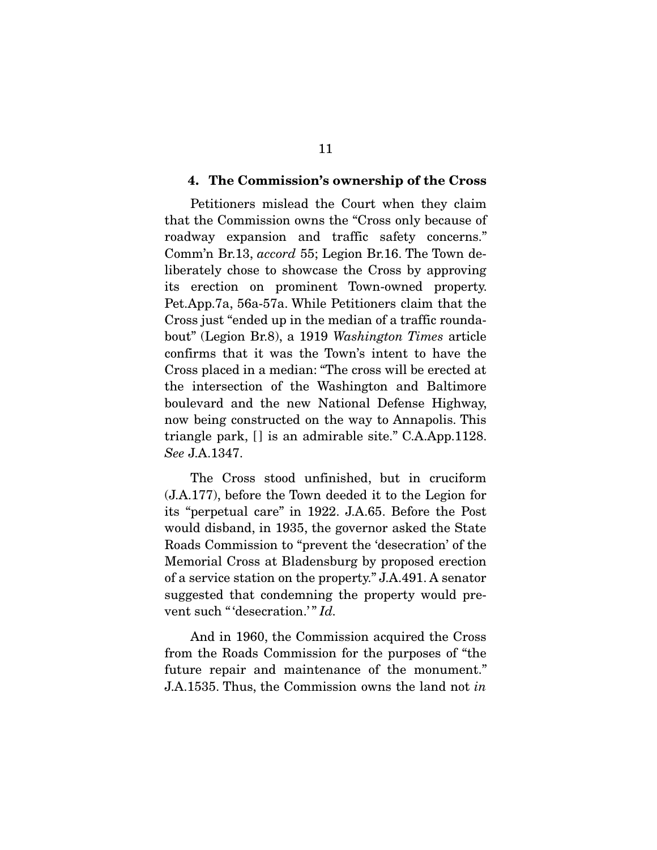#### 4. The Commission's ownership of the Cross

 Petitioners mislead the Court when they claim that the Commission owns the "Cross only because of roadway expansion and traffic safety concerns." Comm'n Br.13, *accord* 55; Legion Br.16. The Town deliberately chose to showcase the Cross by approving its erection on prominent Town-owned property. Pet.App.7a, 56a-57a. While Petitioners claim that the Cross just "ended up in the median of a traffic roundabout" (Legion Br.8), a 1919 *Washington Times* article confirms that it was the Town's intent to have the Cross placed in a median: "The cross will be erected at the intersection of the Washington and Baltimore boulevard and the new National Defense Highway, now being constructed on the way to Annapolis. This triangle park, [] is an admirable site." C.A.App.1128. *See* J.A.1347.

 The Cross stood unfinished, but in cruciform (J.A.177), before the Town deeded it to the Legion for its "perpetual care" in 1922. J.A.65. Before the Post would disband, in 1935, the governor asked the State Roads Commission to "prevent the 'desecration' of the Memorial Cross at Bladensburg by proposed erection of a service station on the property." J.A.491. A senator suggested that condemning the property would prevent such " 'desecration.'" *Id.* 

 And in 1960, the Commission acquired the Cross from the Roads Commission for the purposes of "the future repair and maintenance of the monument." J.A.1535. Thus, the Commission owns the land not *in*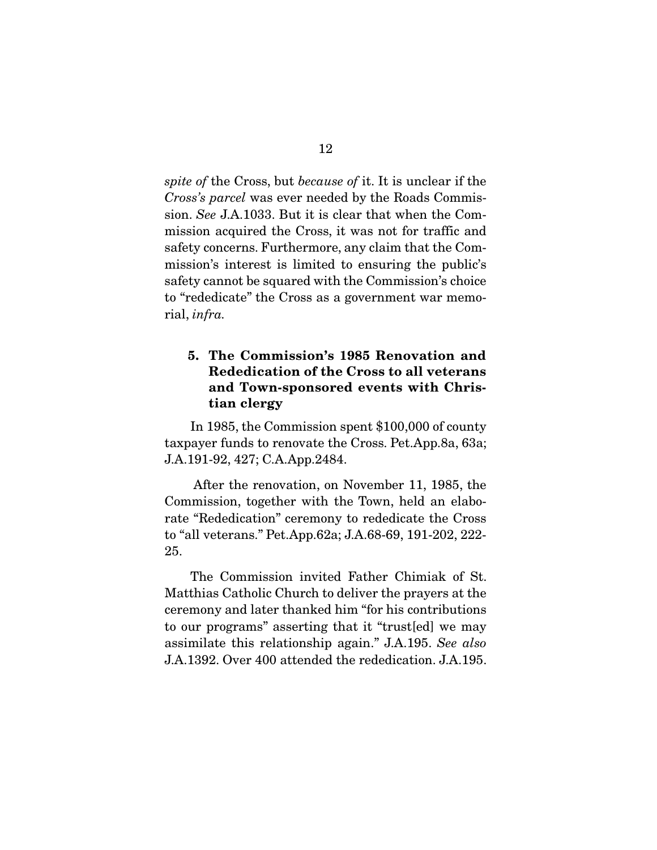*spite of* the Cross, but *because of* it. It is unclear if the *Cross's parcel* was ever needed by the Roads Commission. *See* J.A.1033. But it is clear that when the Commission acquired the Cross, it was not for traffic and safety concerns. Furthermore, any claim that the Commission's interest is limited to ensuring the public's safety cannot be squared with the Commission's choice to "rededicate" the Cross as a government war memorial, *infra.*

#### 5. The Commission's 1985 Renovation and Rededication of the Cross to all veterans and Town-sponsored events with Christian clergy

 In 1985, the Commission spent \$100,000 of county taxpayer funds to renovate the Cross. Pet.App.8a, 63a; J.A.191-92, 427; C.A.App.2484.

 After the renovation, on November 11, 1985, the Commission, together with the Town, held an elaborate "Rededication" ceremony to rededicate the Cross to "all veterans." Pet.App.62a; J.A.68-69, 191-202, 222- 25.

 The Commission invited Father Chimiak of St. Matthias Catholic Church to deliver the prayers at the ceremony and later thanked him "for his contributions to our programs" asserting that it "trust[ed] we may assimilate this relationship again." J.A.195. *See also*  J.A.1392. Over 400 attended the rededication. J.A.195.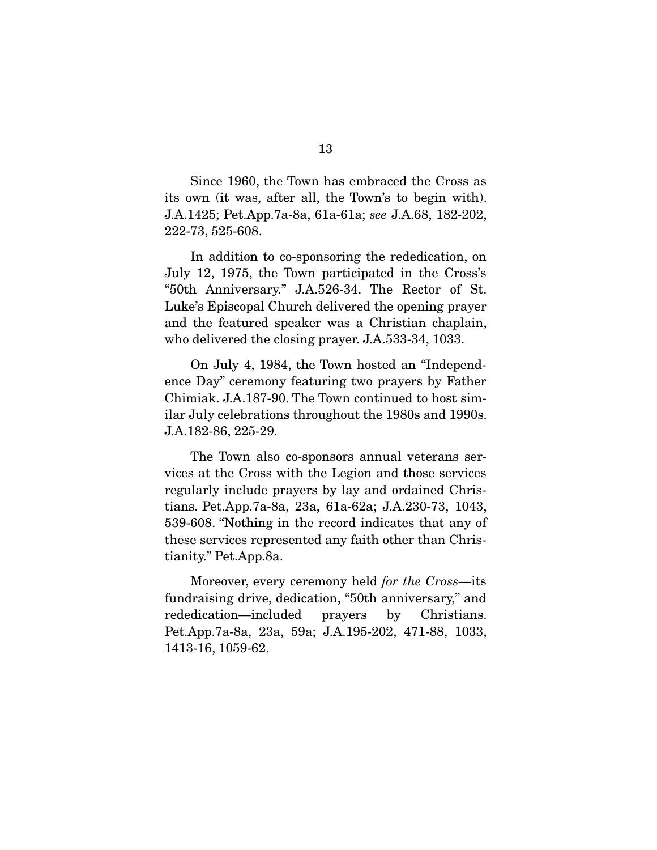Since 1960, the Town has embraced the Cross as its own (it was, after all, the Town's to begin with). J.A.1425; Pet.App.7a-8a, 61a-61a; *see* J.A.68, 182-202, 222-73, 525-608.

 In addition to co-sponsoring the rededication, on July 12, 1975, the Town participated in the Cross's "50th Anniversary." J.A.526-34. The Rector of St. Luke's Episcopal Church delivered the opening prayer and the featured speaker was a Christian chaplain, who delivered the closing prayer. J.A.533-34, 1033.

 On July 4, 1984, the Town hosted an "Independence Day" ceremony featuring two prayers by Father Chimiak. J.A.187-90. The Town continued to host similar July celebrations throughout the 1980s and 1990s. J.A.182-86, 225-29.

 The Town also co-sponsors annual veterans services at the Cross with the Legion and those services regularly include prayers by lay and ordained Christians. Pet.App.7a-8a, 23a, 61a-62a; J.A.230-73, 1043, 539-608. "Nothing in the record indicates that any of these services represented any faith other than Christianity." Pet.App.8a.

 Moreover, every ceremony held *for the Cross*—its fundraising drive, dedication, "50th anniversary," and rededication—included prayers by Christians. Pet.App.7a-8a, 23a, 59a; J.A.195-202, 471-88, 1033, 1413-16, 1059-62.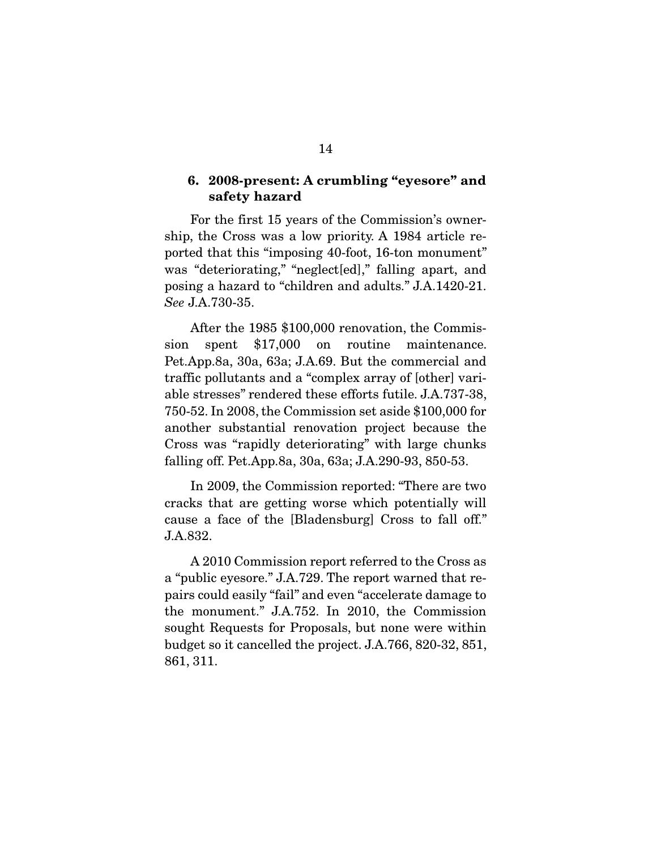#### 6. 2008-present: A crumbling "eyesore" and safety hazard

 For the first 15 years of the Commission's ownership, the Cross was a low priority. A 1984 article reported that this "imposing 40-foot, 16-ton monument" was "deteriorating," "neglect[ed]," falling apart, and posing a hazard to "children and adults." J.A.1420-21. *See* J.A.730-35.

 After the 1985 \$100,000 renovation, the Commission spent \$17,000 on routine maintenance. Pet.App.8a, 30a, 63a; J.A.69. But the commercial and traffic pollutants and a "complex array of [other] variable stresses" rendered these efforts futile. J.A.737-38, 750-52. In 2008, the Commission set aside \$100,000 for another substantial renovation project because the Cross was "rapidly deteriorating" with large chunks falling off. Pet.App.8a, 30a, 63a; J.A.290-93, 850-53.

 In 2009, the Commission reported: "There are two cracks that are getting worse which potentially will cause a face of the [Bladensburg] Cross to fall off." J.A.832.

 A 2010 Commission report referred to the Cross as a "public eyesore." J.A.729. The report warned that repairs could easily "fail" and even "accelerate damage to the monument." J.A.752. In 2010, the Commission sought Requests for Proposals, but none were within budget so it cancelled the project. J.A.766, 820-32, 851, 861, 311.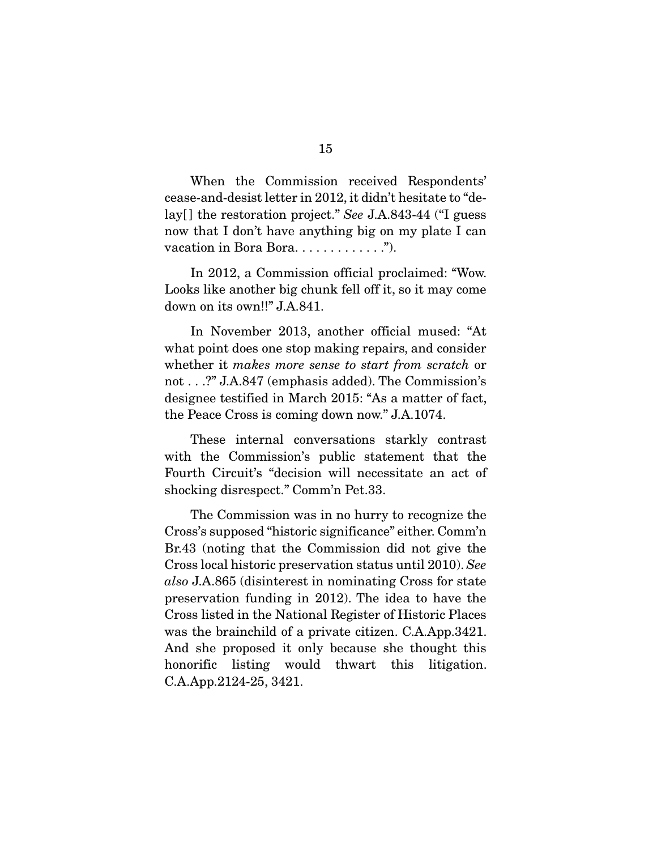When the Commission received Respondents' cease-and-desist letter in 2012, it didn't hesitate to "delay[ ] the restoration project." *See* J.A.843-44 ("I guess now that I don't have anything big on my plate I can vacation in Bora Bora. . . . . . . . . . . . .").

 In 2012, a Commission official proclaimed: "Wow. Looks like another big chunk fell off it, so it may come down on its own!!" J.A.841.

 In November 2013, another official mused: "At what point does one stop making repairs, and consider whether it *makes more sense to start from scratch* or not . . .?" J.A.847 (emphasis added). The Commission's designee testified in March 2015: "As a matter of fact, the Peace Cross is coming down now." J.A.1074.

These internal conversations starkly contrast with the Commission's public statement that the Fourth Circuit's "decision will necessitate an act of shocking disrespect." Comm'n Pet.33.

 The Commission was in no hurry to recognize the Cross's supposed "historic significance" either. Comm'n Br.43 (noting that the Commission did not give the Cross local historic preservation status until 2010). *See also* J.A.865 (disinterest in nominating Cross for state preservation funding in 2012). The idea to have the Cross listed in the National Register of Historic Places was the brainchild of a private citizen. C.A.App.3421. And she proposed it only because she thought this honorific listing would thwart this litigation. C.A.App.2124-25, 3421.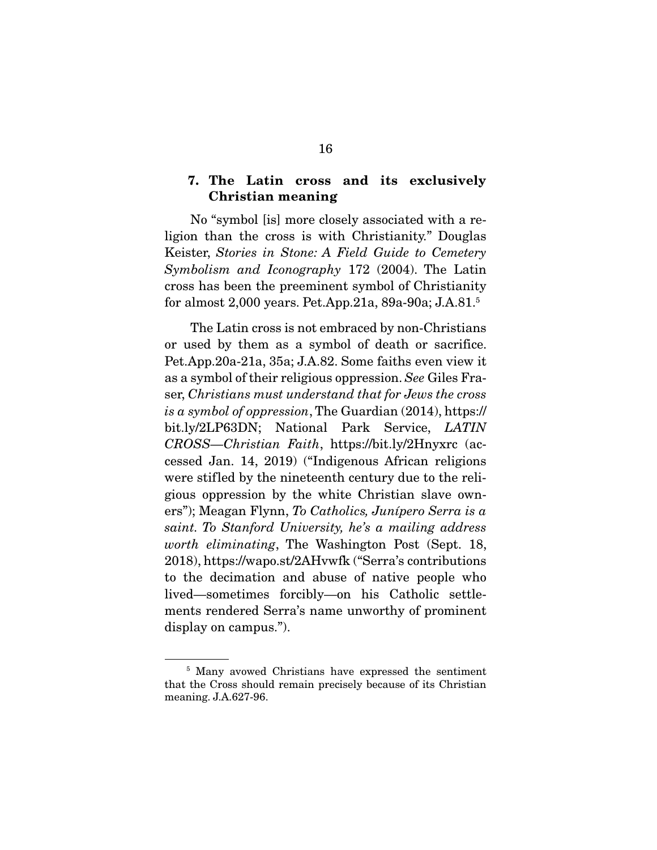#### 7. The Latin cross and its exclusively Christian meaning

 No "symbol [is] more closely associated with a religion than the cross is with Christianity." Douglas Keister, *Stories in Stone: A Field Guide to Cemetery Symbolism and Iconography* 172 (2004). The Latin cross has been the preeminent symbol of Christianity for almost 2,000 years. Pet.App.21a, 89a-90a; J.A.81.5

 The Latin cross is not embraced by non-Christians or used by them as a symbol of death or sacrifice. Pet.App.20a-21a, 35a; J.A.82. Some faiths even view it as a symbol of their religious oppression. *See* Giles Fraser, *Christians must understand that for Jews the cross is a symbol of oppression*, The Guardian (2014), https:// bit.ly/2LP63DN; National Park Service, *LATIN CROSS—Christian Faith*, https://bit.ly/2Hnyxrc (accessed Jan. 14, 2019) ("Indigenous African religions were stifled by the nineteenth century due to the religious oppression by the white Christian slave owners"); Meagan Flynn, *To Catholics, Junípero Serra is a saint. To Stanford University, he's a mailing address worth eliminating*, The Washington Post (Sept. 18, 2018), https://wapo.st/2AHvwfk ("Serra's contributions to the decimation and abuse of native people who lived—sometimes forcibly—on his Catholic settlements rendered Serra's name unworthy of prominent display on campus.").

<sup>5</sup> Many avowed Christians have expressed the sentiment that the Cross should remain precisely because of its Christian meaning. J.A.627-96.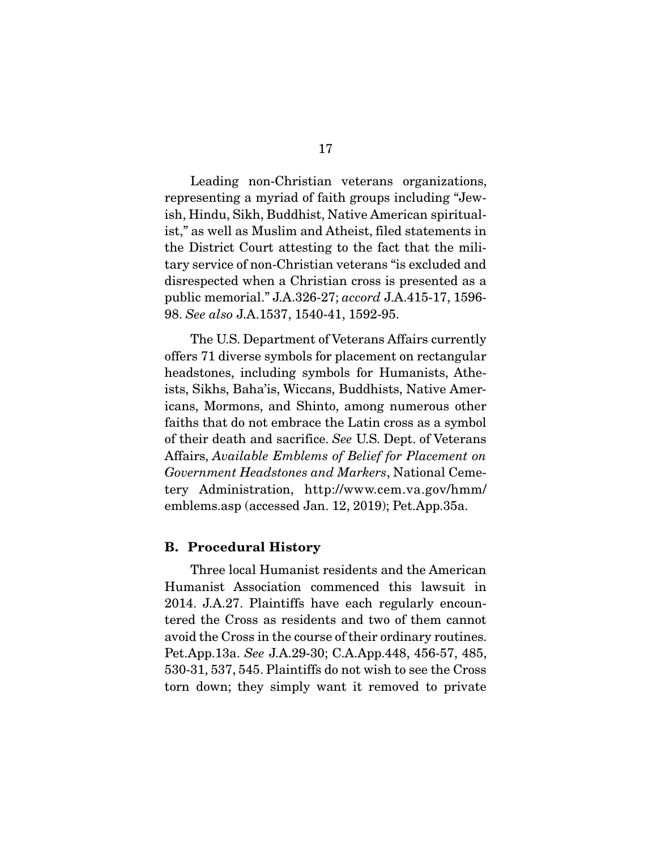Leading non-Christian veterans organizations, representing a myriad of faith groups including "Jewish, Hindu, Sikh, Buddhist, Native American spiritualist," as well as Muslim and Atheist, filed statements in the District Court attesting to the fact that the military service of non-Christian veterans "is excluded and disrespected when a Christian cross is presented as a public memorial." J.A.326-27; *accord* J.A.415-17, 1596- 98. *See also* J.A.1537, 1540-41, 1592-95.

 The U.S. Department of Veterans Affairs currently offers 71 diverse symbols for placement on rectangular headstones, including symbols for Humanists, Atheists, Sikhs, Baha'is, Wiccans, Buddhists, Native Americans, Mormons, and Shinto, among numerous other faiths that do not embrace the Latin cross as a symbol of their death and sacrifice. *See* U.S. Dept. of Veterans Affairs, *Available Emblems of Belief for Placement on Government Headstones and Markers*, National Cemetery Administration, http://www.cem.va.gov/hmm/ emblems.asp (accessed Jan. 12, 2019); Pet.App.35a.

#### B. Procedural History

 Three local Humanist residents and the American Humanist Association commenced this lawsuit in 2014. J.A.27. Plaintiffs have each regularly encountered the Cross as residents and two of them cannot avoid the Cross in the course of their ordinary routines. Pet.App.13a. *See* J.A.29-30; C.A.App.448, 456-57, 485, 530-31, 537, 545. Plaintiffs do not wish to see the Cross torn down; they simply want it removed to private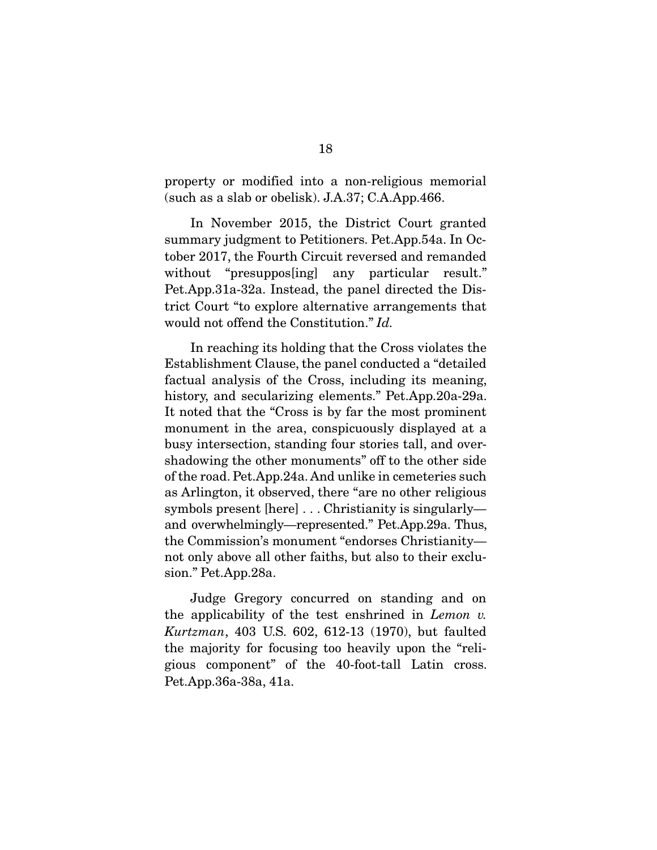property or modified into a non-religious memorial (such as a slab or obelisk). J.A.37; C.A.App.466.

 In November 2015, the District Court granted summary judgment to Petitioners. Pet.App.54a. In October 2017, the Fourth Circuit reversed and remanded without "presuppos[ing] any particular result." Pet.App.31a-32a. Instead, the panel directed the District Court "to explore alternative arrangements that would not offend the Constitution." *Id.* 

 In reaching its holding that the Cross violates the Establishment Clause, the panel conducted a "detailed factual analysis of the Cross, including its meaning, history, and secularizing elements." Pet.App.20a-29a. It noted that the "Cross is by far the most prominent monument in the area, conspicuously displayed at a busy intersection, standing four stories tall, and overshadowing the other monuments" off to the other side of the road. Pet.App.24a. And unlike in cemeteries such as Arlington, it observed, there "are no other religious symbols present [here] . . . Christianity is singularly and overwhelmingly—represented." Pet.App.29a. Thus, the Commission's monument "endorses Christianity not only above all other faiths, but also to their exclusion." Pet.App.28a.

 Judge Gregory concurred on standing and on the applicability of the test enshrined in *Lemon v. Kurtzman*, 403 U.S. 602, 612-13 (1970), but faulted the majority for focusing too heavily upon the "religious component" of the 40-foot-tall Latin cross. Pet.App.36a-38a, 41a.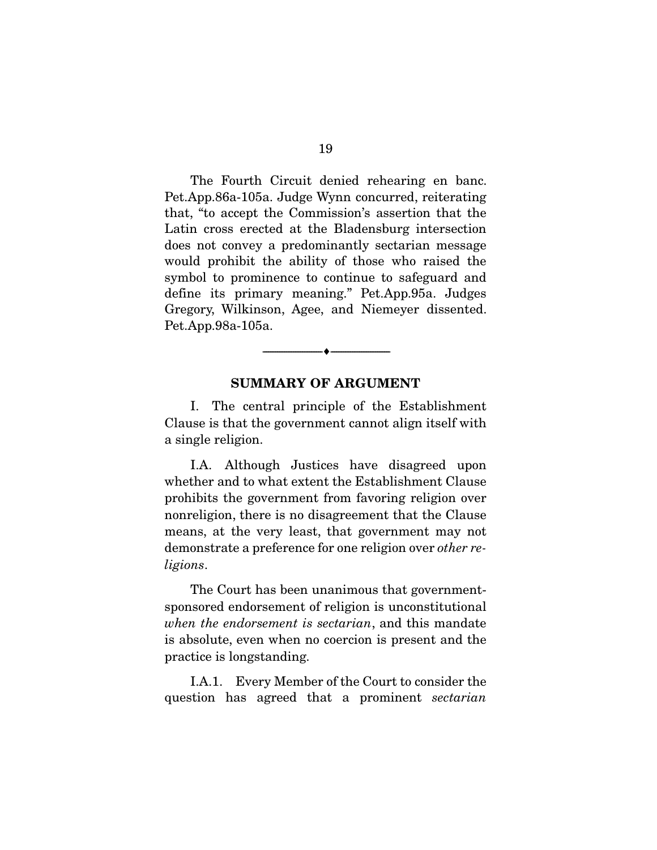The Fourth Circuit denied rehearing en banc. Pet.App.86a-105a. Judge Wynn concurred, reiterating that, "to accept the Commission's assertion that the Latin cross erected at the Bladensburg intersection does not convey a predominantly sectarian message would prohibit the ability of those who raised the symbol to prominence to continue to safeguard and define its primary meaning." Pet.App.95a. Judges Gregory, Wilkinson, Agee, and Niemeyer dissented. Pet.App.98a-105a.

#### SUMMARY OF ARGUMENT

--------------------------------- ---------------------------------

 I. The central principle of the Establishment Clause is that the government cannot align itself with a single religion.

 I.A. Although Justices have disagreed upon whether and to what extent the Establishment Clause prohibits the government from favoring religion over nonreligion, there is no disagreement that the Clause means, at the very least, that government may not demonstrate a preference for one religion over *other religions*.

 The Court has been unanimous that governmentsponsored endorsement of religion is unconstitutional *when the endorsement is sectarian*, and this mandate is absolute, even when no coercion is present and the practice is longstanding.

 I.A.1. Every Member of the Court to consider the question has agreed that a prominent *sectarian*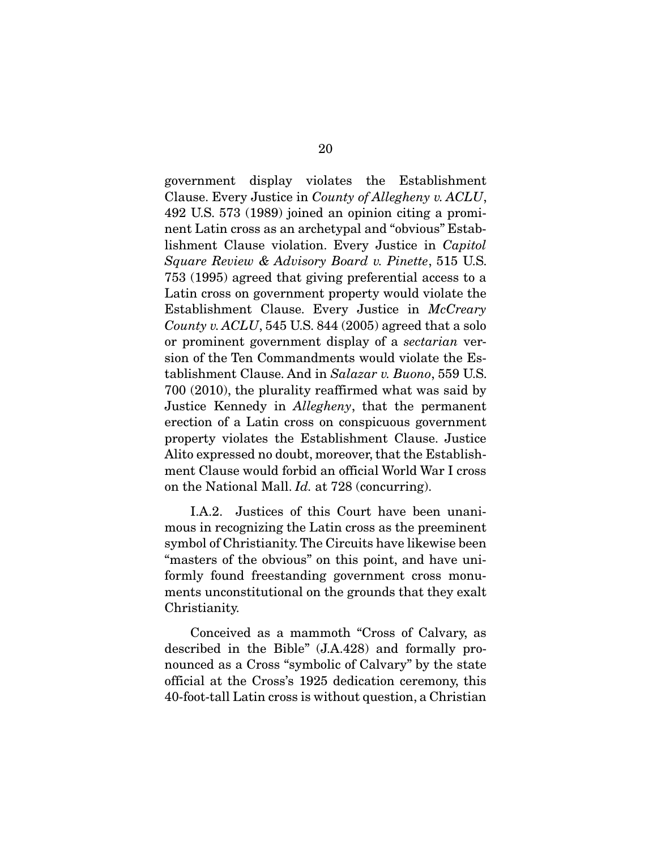government display violates the Establishment Clause. Every Justice in *County of Allegheny v. ACLU*, 492 U.S. 573 (1989) joined an opinion citing a prominent Latin cross as an archetypal and "obvious" Establishment Clause violation. Every Justice in *Capitol Square Review & Advisory Board v. Pinette*, 515 U.S. 753 (1995) agreed that giving preferential access to a Latin cross on government property would violate the Establishment Clause. Every Justice in *McCreary County v. ACLU*, 545 U.S. 844 (2005) agreed that a solo or prominent government display of a *sectarian* version of the Ten Commandments would violate the Establishment Clause. And in *Salazar v. Buono*, 559 U.S. 700 (2010), the plurality reaffirmed what was said by Justice Kennedy in *Allegheny*, that the permanent erection of a Latin cross on conspicuous government property violates the Establishment Clause. Justice Alito expressed no doubt, moreover, that the Establishment Clause would forbid an official World War I cross on the National Mall. *Id.* at 728 (concurring).

 I.A.2. Justices of this Court have been unanimous in recognizing the Latin cross as the preeminent symbol of Christianity. The Circuits have likewise been "masters of the obvious" on this point, and have uniformly found freestanding government cross monuments unconstitutional on the grounds that they exalt Christianity.

 Conceived as a mammoth "Cross of Calvary, as described in the Bible" (J.A.428) and formally pronounced as a Cross "symbolic of Calvary" by the state official at the Cross's 1925 dedication ceremony, this 40-foot-tall Latin cross is without question, a Christian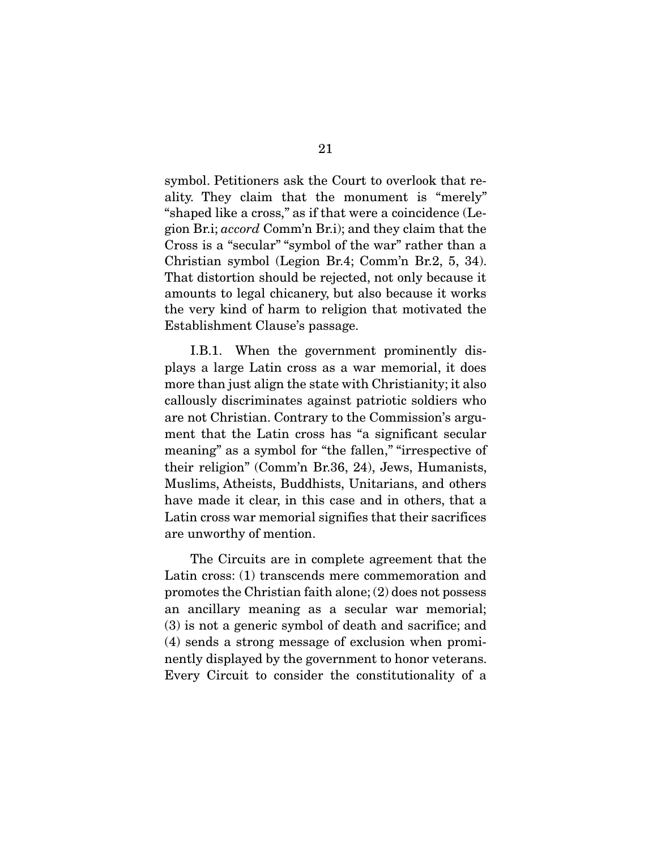symbol. Petitioners ask the Court to overlook that reality. They claim that the monument is "merely" "shaped like a cross," as if that were a coincidence (Legion Br.i; *accord* Comm'n Br.i); and they claim that the Cross is a "secular" "symbol of the war" rather than a Christian symbol (Legion Br.4; Comm'n Br.2, 5, 34). That distortion should be rejected, not only because it amounts to legal chicanery, but also because it works the very kind of harm to religion that motivated the Establishment Clause's passage.

 I.B.1. When the government prominently displays a large Latin cross as a war memorial, it does more than just align the state with Christianity; it also callously discriminates against patriotic soldiers who are not Christian. Contrary to the Commission's argument that the Latin cross has "a significant secular meaning" as a symbol for "the fallen," "irrespective of their religion" (Comm'n Br.36, 24), Jews, Humanists, Muslims, Atheists, Buddhists, Unitarians, and others have made it clear, in this case and in others, that a Latin cross war memorial signifies that their sacrifices are unworthy of mention.

 The Circuits are in complete agreement that the Latin cross: (1) transcends mere commemoration and promotes the Christian faith alone; (2) does not possess an ancillary meaning as a secular war memorial; (3) is not a generic symbol of death and sacrifice; and (4) sends a strong message of exclusion when prominently displayed by the government to honor veterans. Every Circuit to consider the constitutionality of a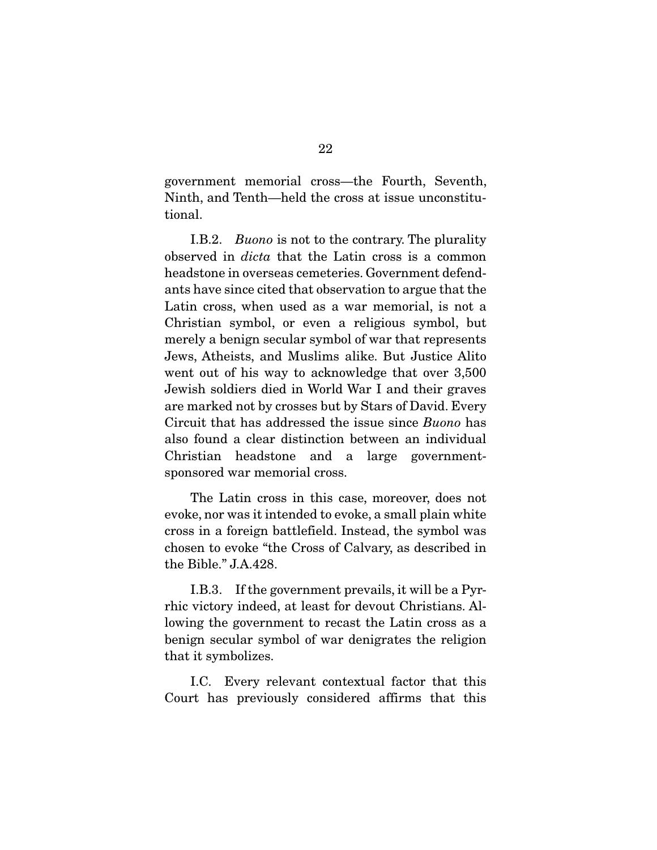government memorial cross—the Fourth, Seventh, Ninth, and Tenth—held the cross at issue unconstitutional.

 I.B.2. *Buono* is not to the contrary. The plurality observed in *dicta* that the Latin cross is a common headstone in overseas cemeteries. Government defendants have since cited that observation to argue that the Latin cross, when used as a war memorial, is not a Christian symbol, or even a religious symbol, but merely a benign secular symbol of war that represents Jews, Atheists, and Muslims alike. But Justice Alito went out of his way to acknowledge that over 3,500 Jewish soldiers died in World War I and their graves are marked not by crosses but by Stars of David. Every Circuit that has addressed the issue since *Buono* has also found a clear distinction between an individual Christian headstone and a large governmentsponsored war memorial cross.

 The Latin cross in this case, moreover, does not evoke, nor was it intended to evoke, a small plain white cross in a foreign battlefield. Instead, the symbol was chosen to evoke "the Cross of Calvary, as described in the Bible." J.A.428.

 I.B.3. If the government prevails, it will be a Pyrrhic victory indeed, at least for devout Christians. Allowing the government to recast the Latin cross as a benign secular symbol of war denigrates the religion that it symbolizes.

 I.C. Every relevant contextual factor that this Court has previously considered affirms that this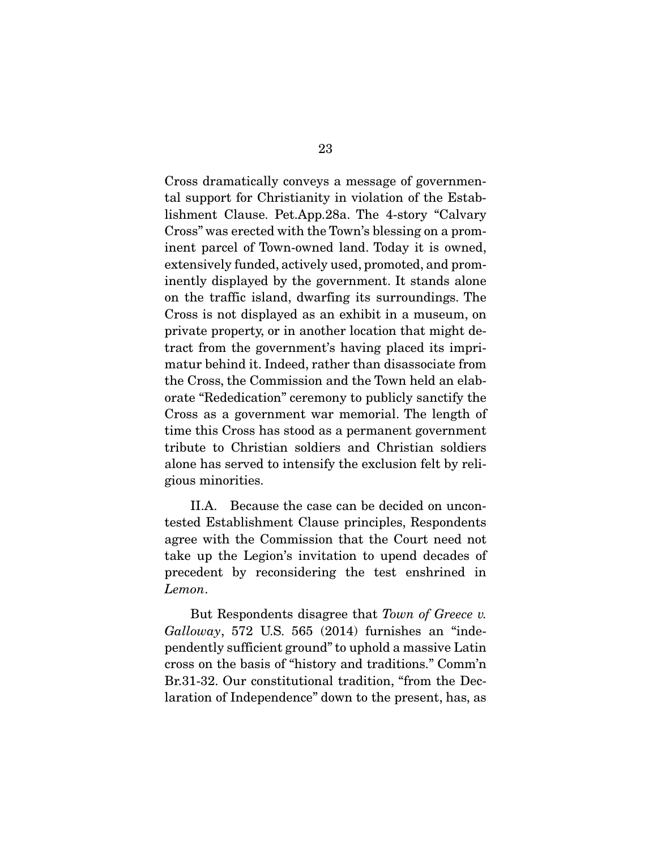Cross dramatically conveys a message of governmental support for Christianity in violation of the Establishment Clause. Pet.App.28a. The 4-story "Calvary Cross" was erected with the Town's blessing on a prominent parcel of Town-owned land. Today it is owned, extensively funded, actively used, promoted, and prominently displayed by the government. It stands alone on the traffic island, dwarfing its surroundings. The Cross is not displayed as an exhibit in a museum, on private property, or in another location that might detract from the government's having placed its imprimatur behind it. Indeed, rather than disassociate from the Cross, the Commission and the Town held an elaborate "Rededication" ceremony to publicly sanctify the Cross as a government war memorial. The length of time this Cross has stood as a permanent government tribute to Christian soldiers and Christian soldiers alone has served to intensify the exclusion felt by religious minorities.

 II.A. Because the case can be decided on uncontested Establishment Clause principles, Respondents agree with the Commission that the Court need not take up the Legion's invitation to upend decades of precedent by reconsidering the test enshrined in *Lemon*.

 But Respondents disagree that *Town of Greece v. Galloway*, 572 U.S. 565 (2014) furnishes an "independently sufficient ground" to uphold a massive Latin cross on the basis of "history and traditions." Comm'n Br.31-32. Our constitutional tradition, "from the Declaration of Independence" down to the present, has, as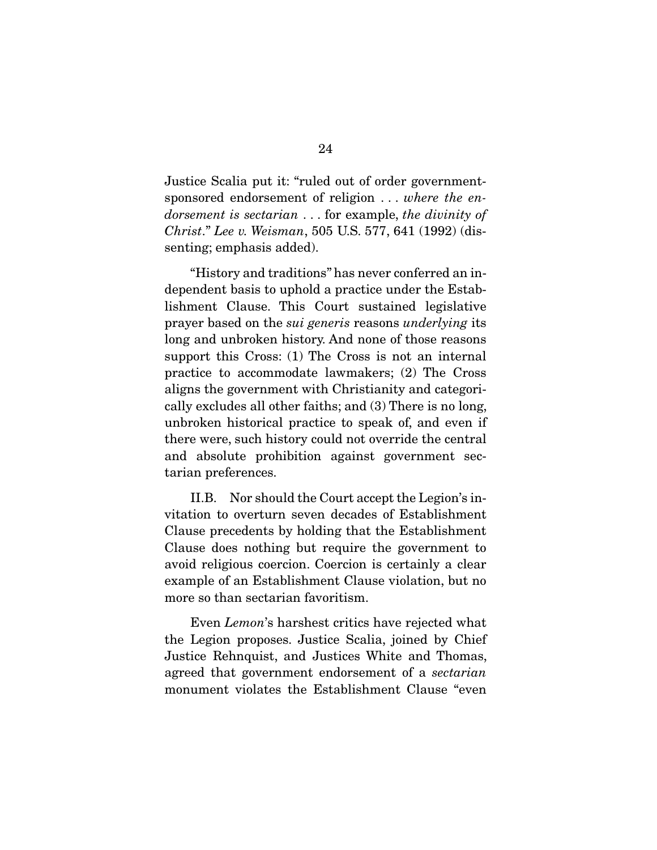Justice Scalia put it: "ruled out of order governmentsponsored endorsement of religion . . . *where the endorsement is sectarian* . . . for example, *the divinity of Christ*." *Lee v. Weisman*, 505 U.S. 577, 641 (1992) (dissenting; emphasis added).

 "History and traditions" has never conferred an independent basis to uphold a practice under the Establishment Clause. This Court sustained legislative prayer based on the *sui generis* reasons *underlying* its long and unbroken history. And none of those reasons support this Cross: (1) The Cross is not an internal practice to accommodate lawmakers; (2) The Cross aligns the government with Christianity and categorically excludes all other faiths; and (3) There is no long, unbroken historical practice to speak of, and even if there were, such history could not override the central and absolute prohibition against government sectarian preferences.

 II.B. Nor should the Court accept the Legion's invitation to overturn seven decades of Establishment Clause precedents by holding that the Establishment Clause does nothing but require the government to avoid religious coercion. Coercion is certainly a clear example of an Establishment Clause violation, but no more so than sectarian favoritism.

 Even *Lemon*'s harshest critics have rejected what the Legion proposes. Justice Scalia, joined by Chief Justice Rehnquist, and Justices White and Thomas, agreed that government endorsement of a *sectarian*  monument violates the Establishment Clause "even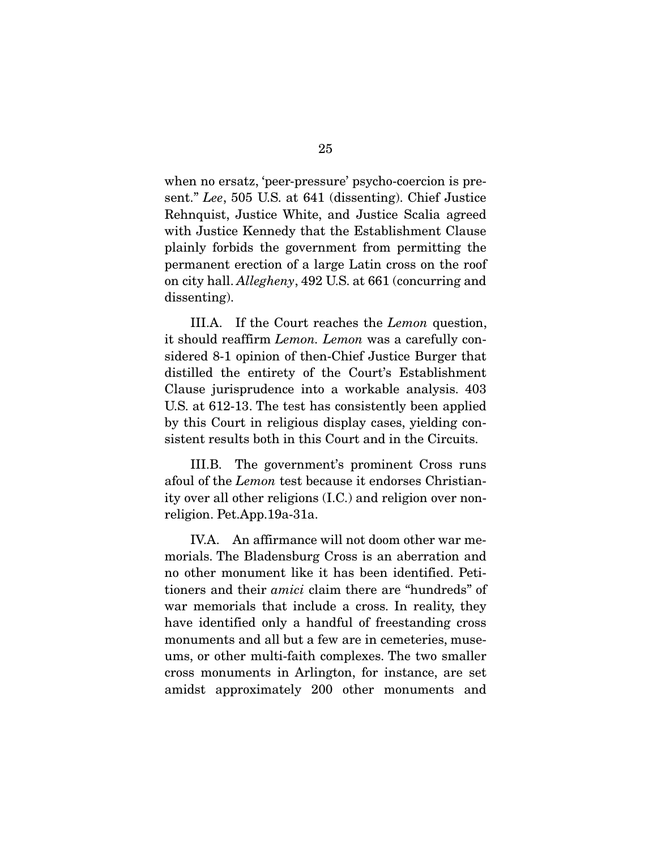when no ersatz, 'peer-pressure' psycho-coercion is present." *Lee*, 505 U.S. at 641 (dissenting). Chief Justice Rehnquist, Justice White, and Justice Scalia agreed with Justice Kennedy that the Establishment Clause plainly forbids the government from permitting the permanent erection of a large Latin cross on the roof on city hall. *Allegheny*, 492 U.S. at 661 (concurring and dissenting).

 III.A. If the Court reaches the *Lemon* question, it should reaffirm *Lemon. Lemon* was a carefully considered 8-1 opinion of then-Chief Justice Burger that distilled the entirety of the Court's Establishment Clause jurisprudence into a workable analysis. 403 U.S. at 612-13. The test has consistently been applied by this Court in religious display cases, yielding consistent results both in this Court and in the Circuits.

 III.B. The government's prominent Cross runs afoul of the *Lemon* test because it endorses Christianity over all other religions (I.C.) and religion over nonreligion. Pet.App.19a-31a.

 IV.A. An affirmance will not doom other war memorials. The Bladensburg Cross is an aberration and no other monument like it has been identified. Petitioners and their *amici* claim there are "hundreds" of war memorials that include a cross. In reality, they have identified only a handful of freestanding cross monuments and all but a few are in cemeteries, museums, or other multi-faith complexes. The two smaller cross monuments in Arlington, for instance, are set amidst approximately 200 other monuments and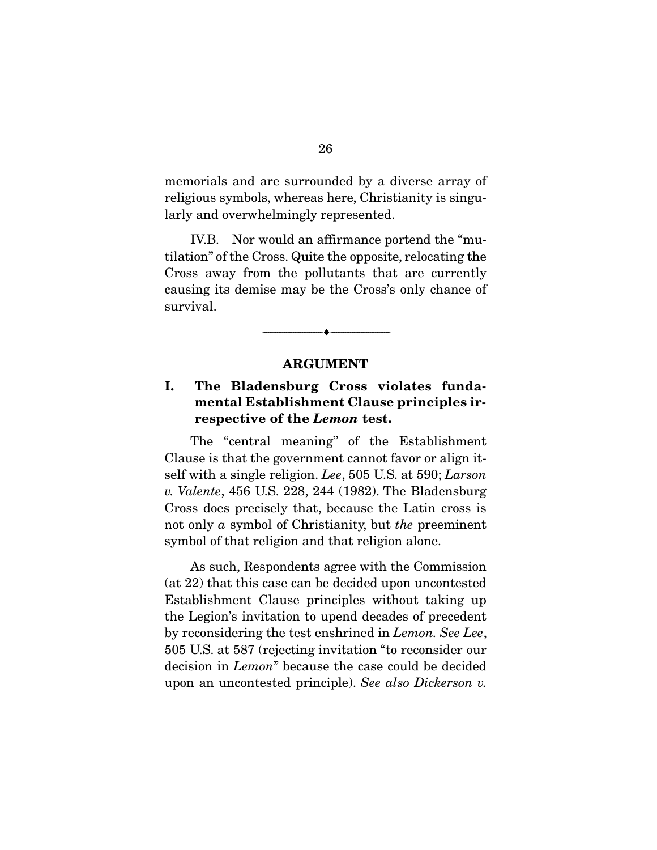memorials and are surrounded by a diverse array of religious symbols, whereas here, Christianity is singularly and overwhelmingly represented.

 IV.B. Nor would an affirmance portend the "mutilation" of the Cross. Quite the opposite, relocating the Cross away from the pollutants that are currently causing its demise may be the Cross's only chance of survival.

#### ARGUMENT

--------------------------------- ---------------------------------

### I. The Bladensburg Cross violates fundamental Establishment Clause principles irrespective of the *Lemon* test.

 The "central meaning" of the Establishment Clause is that the government cannot favor or align itself with a single religion. *Lee*, 505 U.S. at 590; *Larson v. Valente*, 456 U.S. 228, 244 (1982). The Bladensburg Cross does precisely that, because the Latin cross is not only *a* symbol of Christianity, but *the* preeminent symbol of that religion and that religion alone.

 As such, Respondents agree with the Commission (at 22) that this case can be decided upon uncontested Establishment Clause principles without taking up the Legion's invitation to upend decades of precedent by reconsidering the test enshrined in *Lemon. See Lee*, 505 U.S. at 587 (rejecting invitation "to reconsider our decision in *Lemon*" because the case could be decided upon an uncontested principle). *See also Dickerson v.*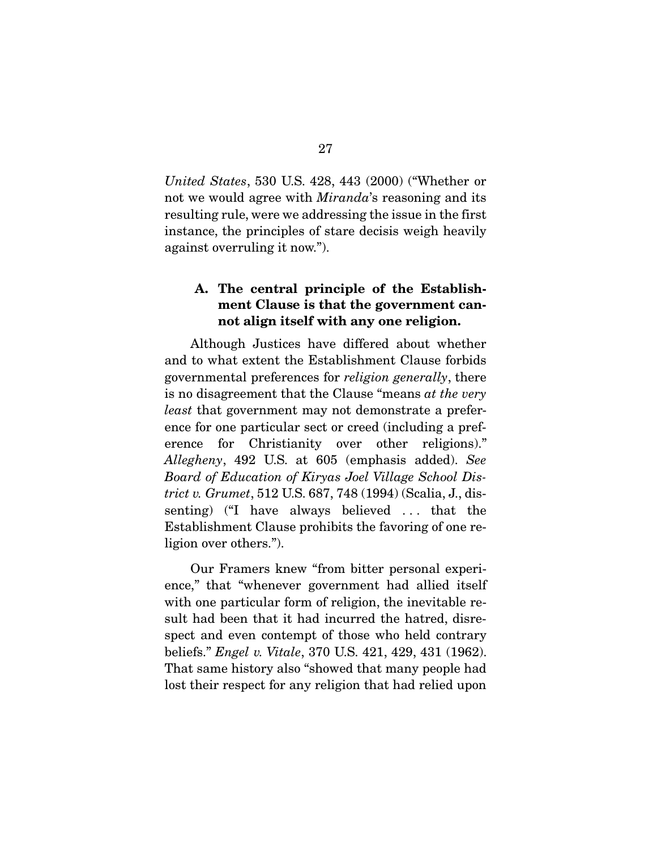*United States*, 530 U.S. 428, 443 (2000) ("Whether or not we would agree with *Miranda*'s reasoning and its resulting rule, were we addressing the issue in the first instance, the principles of stare decisis weigh heavily against overruling it now.").

## A. The central principle of the Establishment Clause is that the government cannot align itself with any one religion.

 Although Justices have differed about whether and to what extent the Establishment Clause forbids governmental preferences for *religion generally*, there is no disagreement that the Clause "means *at the very least* that government may not demonstrate a preference for one particular sect or creed (including a preference for Christianity over other religions)." *Allegheny*, 492 U.S. at 605 (emphasis added). *See Board of Education of Kiryas Joel Village School District v. Grumet*, 512 U.S. 687, 748 (1994) (Scalia, J., dissenting) ("I have always believed . . . that the Establishment Clause prohibits the favoring of one religion over others.").

 Our Framers knew "from bitter personal experience," that "whenever government had allied itself with one particular form of religion, the inevitable result had been that it had incurred the hatred, disrespect and even contempt of those who held contrary beliefs." *Engel v. Vitale*, 370 U.S. 421, 429, 431 (1962). That same history also "showed that many people had lost their respect for any religion that had relied upon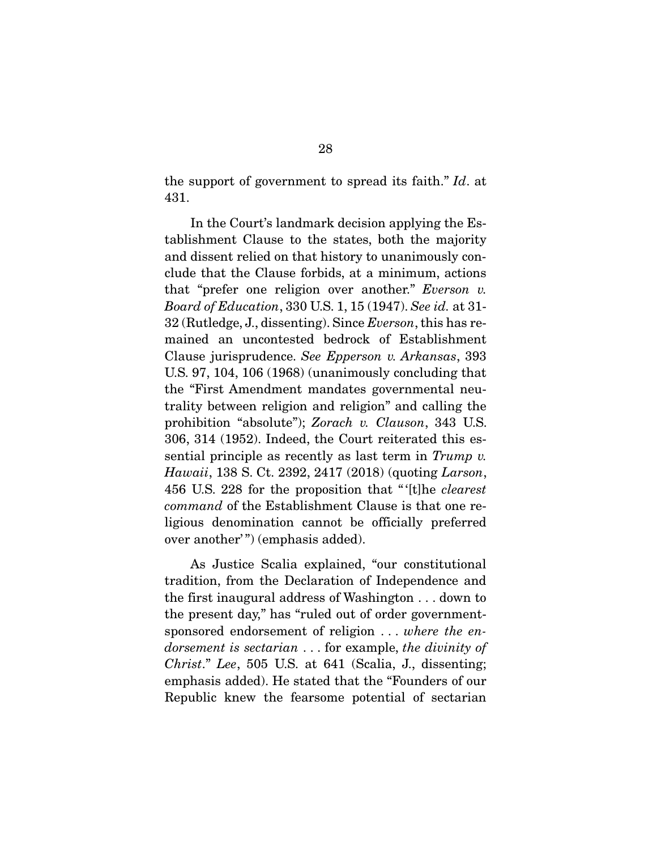the support of government to spread its faith." *Id*. at 431.

 In the Court's landmark decision applying the Establishment Clause to the states, both the majority and dissent relied on that history to unanimously conclude that the Clause forbids, at a minimum, actions that "prefer one religion over another." *Everson v. Board of Education*, 330 U.S. 1, 15 (1947). *See id.* at 31- 32 (Rutledge, J., dissenting). Since *Everson*, this has remained an uncontested bedrock of Establishment Clause jurisprudence. *See Epperson v. Arkansas*, 393 U.S. 97, 104, 106 (1968) (unanimously concluding that the "First Amendment mandates governmental neutrality between religion and religion" and calling the prohibition "absolute"); *Zorach v. Clauson*, 343 U.S. 306, 314 (1952). Indeed, the Court reiterated this essential principle as recently as last term in *Trump v. Hawaii*, 138 S. Ct. 2392, 2417 (2018) (quoting *Larson*, 456 U.S. 228 for the proposition that " '[t]he *clearest command* of the Establishment Clause is that one religious denomination cannot be officially preferred over another'") (emphasis added).

 As Justice Scalia explained, "our constitutional tradition, from the Declaration of Independence and the first inaugural address of Washington . . . down to the present day," has "ruled out of order governmentsponsored endorsement of religion . . . *where the endorsement is sectarian* . . . for example, *the divinity of Christ*." *Lee*, 505 U.S. at 641 (Scalia, J., dissenting; emphasis added). He stated that the "Founders of our Republic knew the fearsome potential of sectarian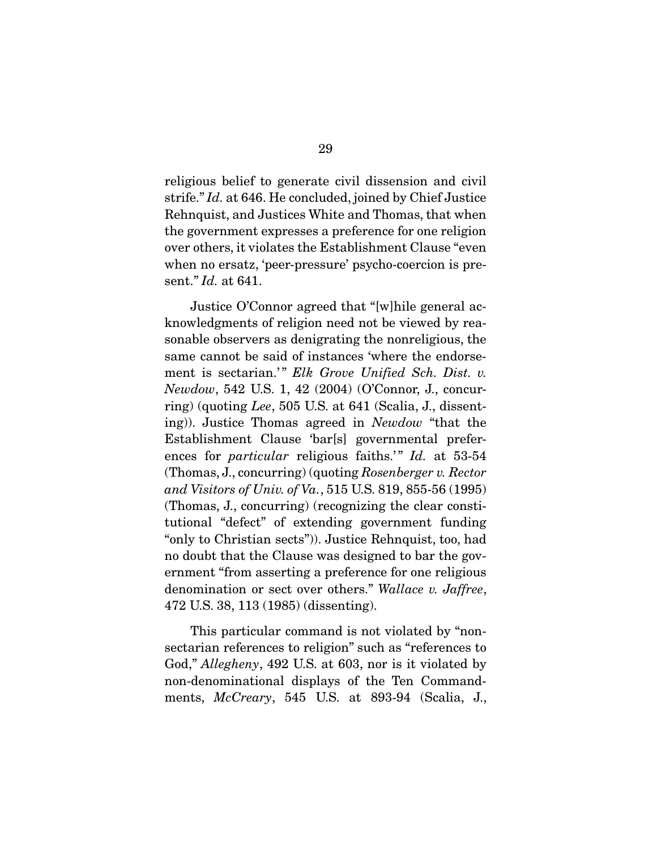religious belief to generate civil dissension and civil strife." *Id.* at 646. He concluded, joined by Chief Justice Rehnquist, and Justices White and Thomas, that when the government expresses a preference for one religion over others, it violates the Establishment Clause "even when no ersatz, 'peer-pressure' psycho-coercion is present." *Id.* at 641.

 Justice O'Connor agreed that "[w]hile general acknowledgments of religion need not be viewed by reasonable observers as denigrating the nonreligious, the same cannot be said of instances 'where the endorsement is sectarian.'" Elk Grove Unified Sch. Dist. v. *Newdow*, 542 U.S. 1, 42 (2004) (O'Connor, J., concurring) (quoting *Lee*, 505 U.S. at 641 (Scalia, J., dissenting)). Justice Thomas agreed in *Newdow* "that the Establishment Clause 'bar[s] governmental preferences for *particular* religious faiths.'" *Id.* at 53-54 (Thomas, J., concurring) (quoting *Rosenberger v. Rector and Visitors of Univ. of Va.*, 515 U.S. 819, 855-56 (1995) (Thomas, J., concurring) (recognizing the clear constitutional "defect" of extending government funding "only to Christian sects")). Justice Rehnquist, too, had no doubt that the Clause was designed to bar the government "from asserting a preference for one religious denomination or sect over others." *Wallace v. Jaffree*, 472 U.S. 38, 113 (1985) (dissenting).

 This particular command is not violated by "nonsectarian references to religion" such as "references to God," *Allegheny*, 492 U.S. at 603, nor is it violated by non-denominational displays of the Ten Commandments, *McCreary*, 545 U.S. at 893-94 (Scalia, J.,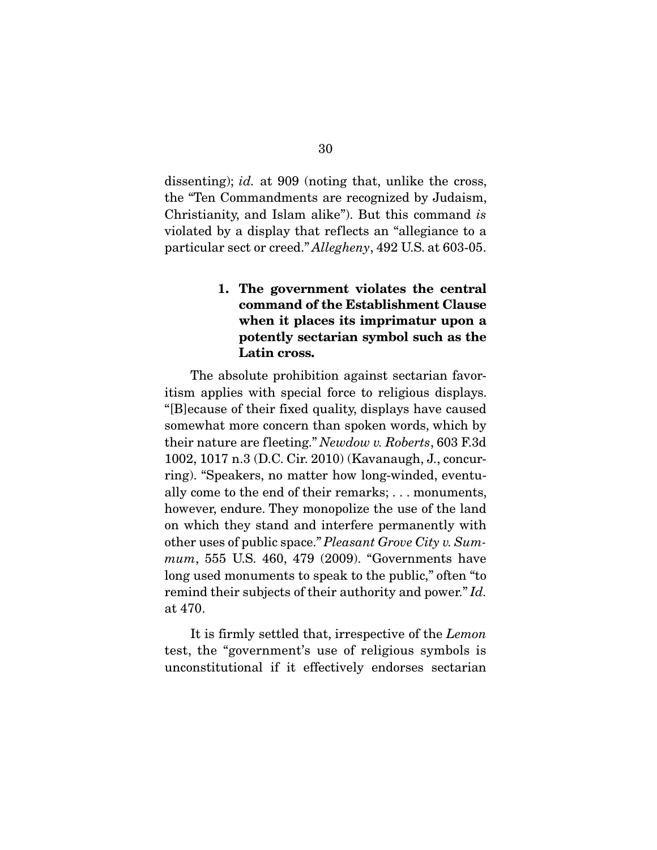dissenting); *id.* at 909 (noting that, unlike the cross, the "Ten Commandments are recognized by Judaism, Christianity, and Islam alike"). But this command *is* violated by a display that reflects an "allegiance to a particular sect or creed." *Allegheny*, 492 U.S. at 603-05.

# 1. The government violates the central command of the Establishment Clause when it places its imprimatur upon a potently sectarian symbol such as the Latin cross.

 The absolute prohibition against sectarian favoritism applies with special force to religious displays. "[B]ecause of their fixed quality, displays have caused somewhat more concern than spoken words, which by their nature are fleeting." *Newdow v. Roberts*, 603 F.3d 1002, 1017 n.3 (D.C. Cir. 2010) (Kavanaugh, J., concurring). "Speakers, no matter how long-winded, eventually come to the end of their remarks; . . . monuments, however, endure. They monopolize the use of the land on which they stand and interfere permanently with other uses of public space." *Pleasant Grove City v. Summum*, 555 U.S. 460, 479 (2009). "Governments have long used monuments to speak to the public," often "to remind their subjects of their authority and power." *Id.*  at 470.

 It is firmly settled that, irrespective of the *Lemon*  test, the "government's use of religious symbols is unconstitutional if it effectively endorses sectarian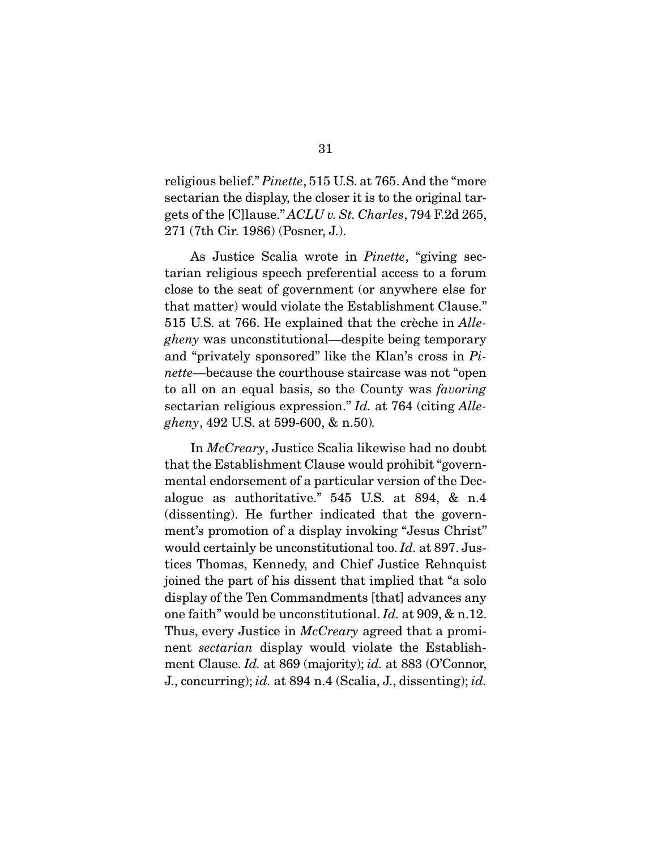religious belief." *Pinette*, 515 U.S. at 765. And the "more sectarian the display, the closer it is to the original targets of the [C]lause." *ACLU v. St. Charles*, 794 F.2d 265, 271 (7th Cir. 1986) (Posner, J.).

 As Justice Scalia wrote in *Pinette*, "giving sectarian religious speech preferential access to a forum close to the seat of government (or anywhere else for that matter) would violate the Establishment Clause." 515 U.S. at 766. He explained that the crèche in *Allegheny* was unconstitutional—despite being temporary and "privately sponsored" like the Klan's cross in *Pinette*—because the courthouse staircase was not "open to all on an equal basis, so the County was *favoring* sectarian religious expression." *Id.* at 764 (citing *Allegheny*, 492 U.S. at 599-600, & n.50)*.*

 In *McCreary*, Justice Scalia likewise had no doubt that the Establishment Clause would prohibit "governmental endorsement of a particular version of the Decalogue as authoritative." 545 U.S. at 894, & n.4 (dissenting). He further indicated that the government's promotion of a display invoking "Jesus Christ" would certainly be unconstitutional too. *Id.* at 897. Justices Thomas, Kennedy, and Chief Justice Rehnquist joined the part of his dissent that implied that "a solo display of the Ten Commandments [that] advances any one faith" would be unconstitutional. *Id.* at 909, & n.12. Thus, every Justice in *McCreary* agreed that a prominent *sectarian* display would violate the Establishment Clause. *Id.* at 869 (majority); *id.* at 883 (O'Connor, J., concurring); *id.* at 894 n.4 (Scalia, J., dissenting); *id.*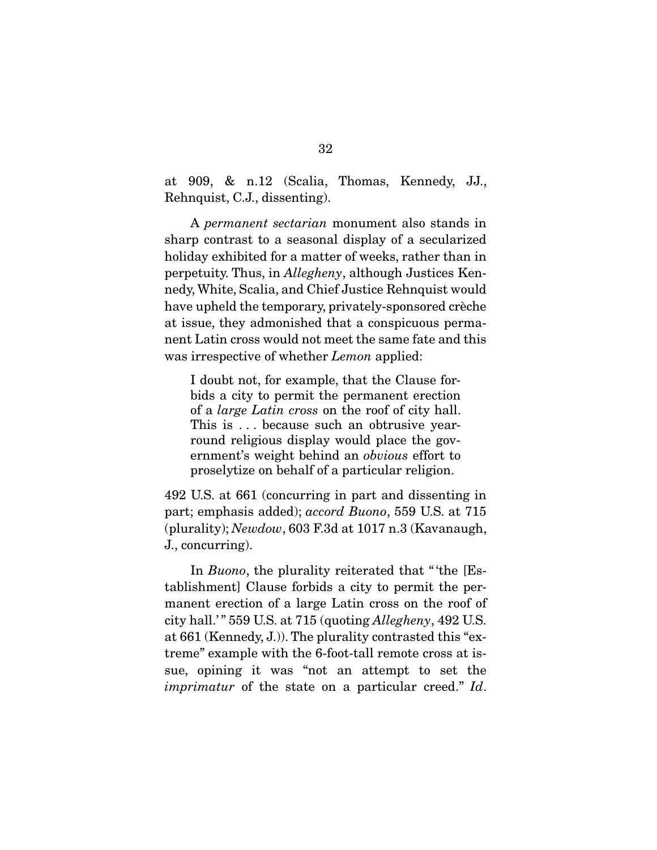at 909, & n.12 (Scalia, Thomas, Kennedy, JJ., Rehnquist, C.J., dissenting).

 A *permanent sectarian* monument also stands in sharp contrast to a seasonal display of a secularized holiday exhibited for a matter of weeks, rather than in perpetuity. Thus, in *Allegheny*, although Justices Kennedy, White, Scalia, and Chief Justice Rehnquist would have upheld the temporary, privately-sponsored crèche at issue, they admonished that a conspicuous permanent Latin cross would not meet the same fate and this was irrespective of whether *Lemon* applied:

I doubt not, for example, that the Clause forbids a city to permit the permanent erection of a *large Latin cross* on the roof of city hall. This is ... because such an obtrusive yearround religious display would place the government's weight behind an *obvious* effort to proselytize on behalf of a particular religion.

492 U.S. at 661 (concurring in part and dissenting in part; emphasis added); *accord Buono*, 559 U.S. at 715 (plurality); *Newdow*, 603 F.3d at 1017 n.3 (Kavanaugh, J., concurring).

In *Buono*, the plurality reiterated that "the [Establishment] Clause forbids a city to permit the permanent erection of a large Latin cross on the roof of city hall.' " 559 U.S. at 715 (quoting *Allegheny*, 492 U.S. at 661 (Kennedy, J.)). The plurality contrasted this "extreme" example with the 6-foot-tall remote cross at issue, opining it was "not an attempt to set the *imprimatur* of the state on a particular creed." *Id*.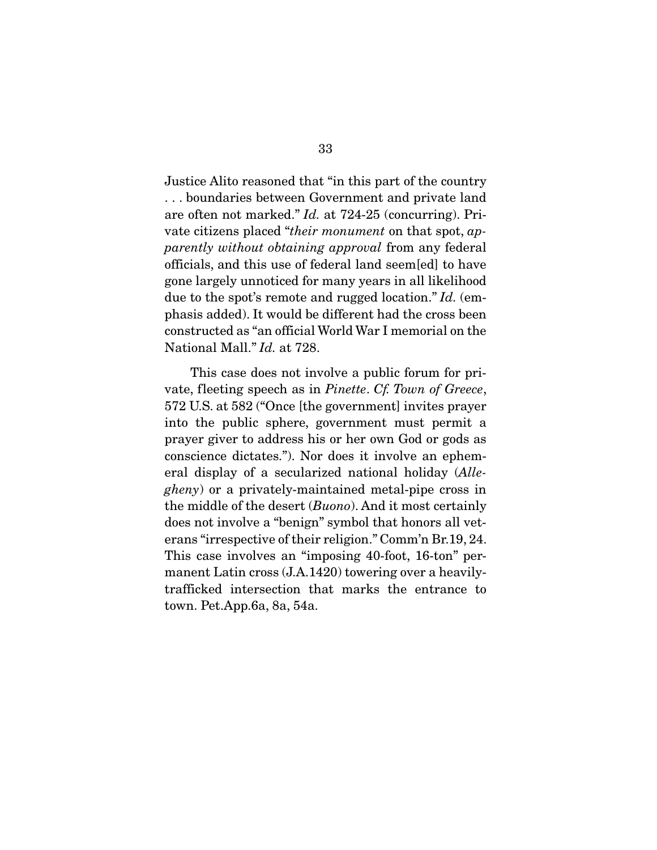Justice Alito reasoned that "in this part of the country . . . boundaries between Government and private land are often not marked." *Id.* at 724-25 (concurring). Private citizens placed "*their monument* on that spot, *apparently without obtaining approval* from any federal officials, and this use of federal land seem[ed] to have gone largely unnoticed for many years in all likelihood due to the spot's remote and rugged location." *Id.* (emphasis added). It would be different had the cross been constructed as "an official World War I memorial on the National Mall." *Id.* at 728.

 This case does not involve a public forum for private, fleeting speech as in *Pinette*. *Cf. Town of Greece*, 572 U.S. at 582 ("Once [the government] invites prayer into the public sphere, government must permit a prayer giver to address his or her own God or gods as conscience dictates."). Nor does it involve an ephemeral display of a secularized national holiday (*Allegheny*) or a privately-maintained metal-pipe cross in the middle of the desert (*Buono*). And it most certainly does not involve a "benign" symbol that honors all veterans "irrespective of their religion." Comm'n Br.19, 24. This case involves an "imposing 40-foot, 16-ton" permanent Latin cross (J.A.1420) towering over a heavilytrafficked intersection that marks the entrance to town. Pet.App.6a, 8a, 54a.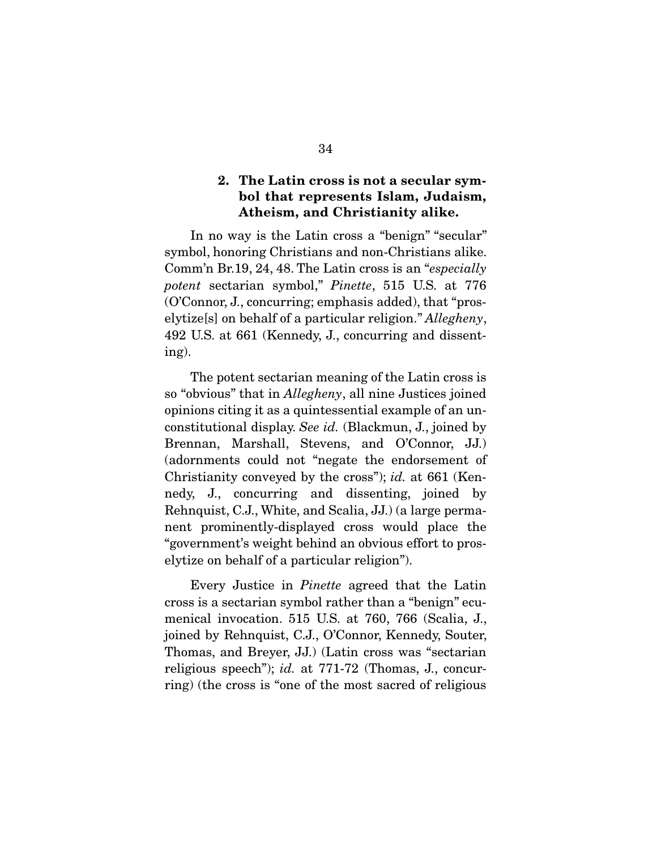#### 2. The Latin cross is not a secular symbol that represents Islam, Judaism, Atheism, and Christianity alike.

 In no way is the Latin cross a "benign" "secular" symbol, honoring Christians and non-Christians alike. Comm'n Br.19, 24, 48. The Latin cross is an "*especially potent* sectarian symbol," *Pinette*, 515 U.S. at 776 (O'Connor, J., concurring; emphasis added), that "proselytize[s] on behalf of a particular religion." *Allegheny*, 492 U.S. at 661 (Kennedy, J., concurring and dissenting).

 The potent sectarian meaning of the Latin cross is so "obvious" that in *Allegheny*, all nine Justices joined opinions citing it as a quintessential example of an unconstitutional display. *See id.* (Blackmun, J., joined by Brennan, Marshall, Stevens, and O'Connor, JJ.) (adornments could not "negate the endorsement of Christianity conveyed by the cross"); *id.* at 661 (Kennedy, J., concurring and dissenting, joined by Rehnquist, C.J., White, and Scalia, JJ.) (a large permanent prominently-displayed cross would place the "government's weight behind an obvious effort to proselytize on behalf of a particular religion").

 Every Justice in *Pinette* agreed that the Latin cross is a sectarian symbol rather than a "benign" ecumenical invocation. 515 U.S. at 760, 766 (Scalia, J., joined by Rehnquist, C.J., O'Connor, Kennedy, Souter, Thomas, and Breyer, JJ.) (Latin cross was "sectarian religious speech"); *id.* at 771-72 (Thomas, J., concurring) (the cross is "one of the most sacred of religious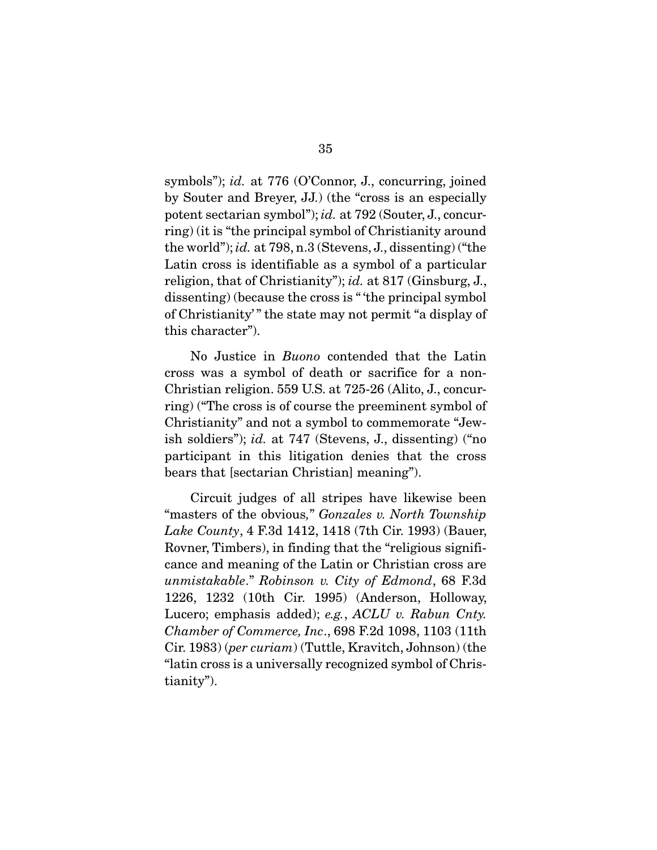symbols"); *id.* at 776 (O'Connor, J., concurring, joined by Souter and Breyer, JJ.) (the "cross is an especially potent sectarian symbol"); *id.* at 792 (Souter, J., concurring) (it is "the principal symbol of Christianity around the world"); *id.* at 798, n.3 (Stevens, J., dissenting) ("the Latin cross is identifiable as a symbol of a particular religion, that of Christianity"); *id.* at 817 (Ginsburg, J., dissenting) (because the cross is " 'the principal symbol of Christianity' " the state may not permit "a display of this character").

 No Justice in *Buono* contended that the Latin cross was a symbol of death or sacrifice for a non-Christian religion. 559 U.S. at 725-26 (Alito, J., concurring) ("The cross is of course the preeminent symbol of Christianity" and not a symbol to commemorate "Jewish soldiers"); *id.* at 747 (Stevens, J., dissenting) ("no participant in this litigation denies that the cross bears that [sectarian Christian] meaning").

 Circuit judges of all stripes have likewise been "masters of the obvious*,*" *Gonzales v. North Township Lake County*, 4 F.3d 1412, 1418 (7th Cir. 1993) (Bauer, Rovner, Timbers), in finding that the "religious significance and meaning of the Latin or Christian cross are *unmistakable*." *Robinson v. City of Edmond*, 68 F.3d 1226, 1232 (10th Cir. 1995) (Anderson, Holloway, Lucero; emphasis added); *e.g.*, *ACLU v. Rabun Cnty. Chamber of Commerce, Inc*., 698 F.2d 1098, 1103 (11th Cir. 1983) (*per curiam*) (Tuttle, Kravitch, Johnson) (the "latin cross is a universally recognized symbol of Christianity").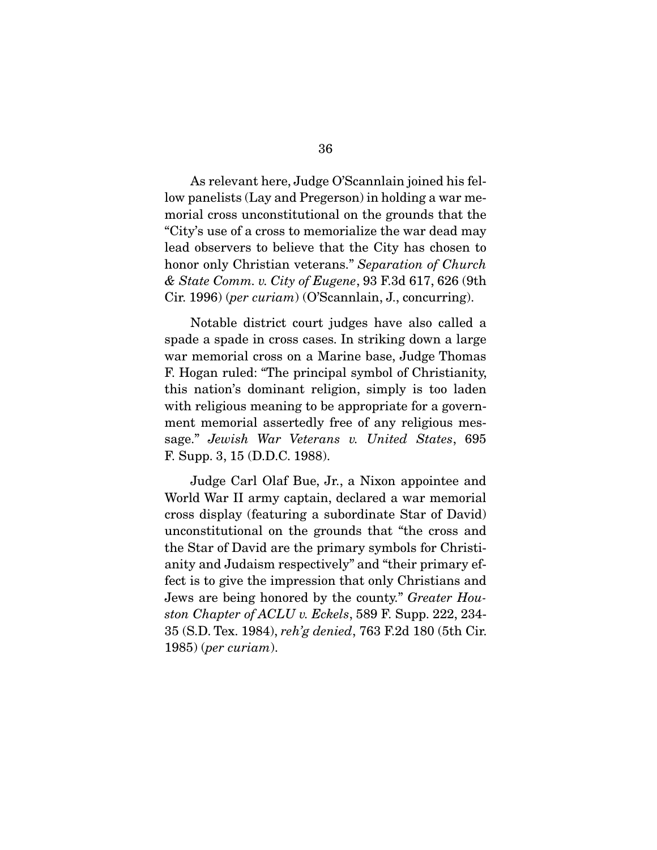As relevant here, Judge O'Scannlain joined his fellow panelists (Lay and Pregerson) in holding a war memorial cross unconstitutional on the grounds that the "City's use of a cross to memorialize the war dead may lead observers to believe that the City has chosen to honor only Christian veterans." *Separation of Church & State Comm. v. City of Eugene*, 93 F.3d 617, 626 (9th Cir. 1996) (*per curiam*) (O'Scannlain, J., concurring).

 Notable district court judges have also called a spade a spade in cross cases. In striking down a large war memorial cross on a Marine base, Judge Thomas F. Hogan ruled: "The principal symbol of Christianity, this nation's dominant religion, simply is too laden with religious meaning to be appropriate for a government memorial assertedly free of any religious message." *Jewish War Veterans v. United States*, 695 F. Supp. 3, 15 (D.D.C. 1988).

 Judge Carl Olaf Bue, Jr., a Nixon appointee and World War II army captain, declared a war memorial cross display (featuring a subordinate Star of David) unconstitutional on the grounds that "the cross and the Star of David are the primary symbols for Christianity and Judaism respectively" and "their primary effect is to give the impression that only Christians and Jews are being honored by the county." *Greater Houston Chapter of ACLU v. Eckels*, 589 F. Supp. 222, 234- 35 (S.D. Tex. 1984), *reh'g denied*, 763 F.2d 180 (5th Cir. 1985) (*per curiam*).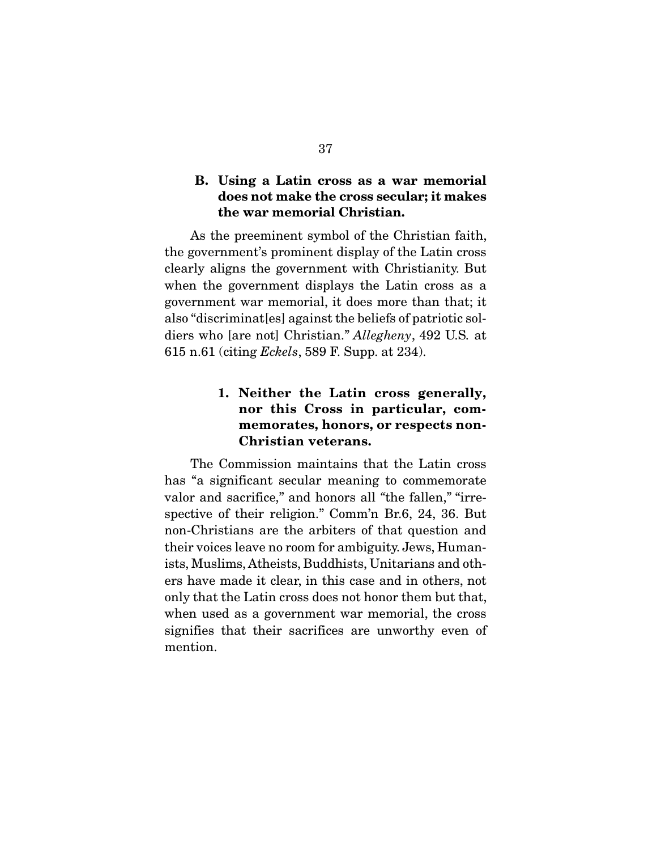### B. Using a Latin cross as a war memorial does not make the cross secular; it makes the war memorial Christian.

 As the preeminent symbol of the Christian faith, the government's prominent display of the Latin cross clearly aligns the government with Christianity. But when the government displays the Latin cross as a government war memorial, it does more than that; it also "discriminat[es] against the beliefs of patriotic soldiers who [are not] Christian." *Allegheny*, 492 U.S*.* at 615 n.61 (citing *Eckels*, 589 F. Supp. at 234).

## 1. Neither the Latin cross generally, nor this Cross in particular, commemorates, honors, or respects non-Christian veterans.

 The Commission maintains that the Latin cross has "a significant secular meaning to commemorate valor and sacrifice," and honors all *"*the fallen," "irrespective of their religion." Comm'n Br.6, 24, 36. But non-Christians are the arbiters of that question and their voices leave no room for ambiguity. Jews, Humanists, Muslims, Atheists, Buddhists, Unitarians and others have made it clear, in this case and in others, not only that the Latin cross does not honor them but that, when used as a government war memorial, the cross signifies that their sacrifices are unworthy even of mention.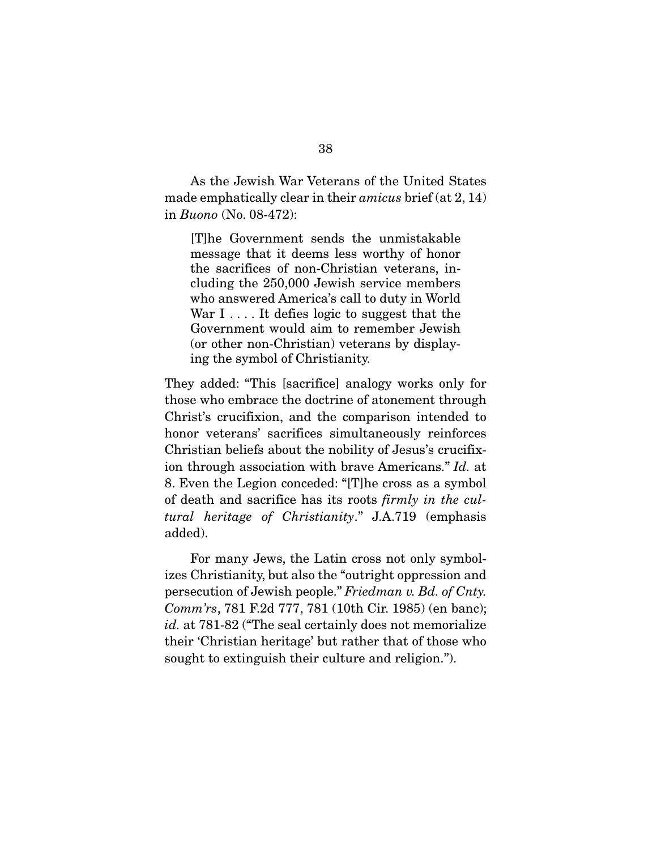As the Jewish War Veterans of the United States made emphatically clear in their *amicus* brief (at 2, 14) in *Buono* (No. 08-472):

[T]he Government sends the unmistakable message that it deems less worthy of honor the sacrifices of non-Christian veterans, including the 250,000 Jewish service members who answered America's call to duty in World War  $I \ldots$  It defies logic to suggest that the Government would aim to remember Jewish (or other non-Christian) veterans by displaying the symbol of Christianity.

They added: "This [sacrifice] analogy works only for those who embrace the doctrine of atonement through Christ's crucifixion, and the comparison intended to honor veterans' sacrifices simultaneously reinforces Christian beliefs about the nobility of Jesus's crucifixion through association with brave Americans." *Id.* at 8. Even the Legion conceded: "[T]he cross as a symbol of death and sacrifice has its roots *firmly in the cultural heritage of Christianity*." J.A.719 (emphasis added).

 For many Jews, the Latin cross not only symbolizes Christianity, but also the "outright oppression and persecution of Jewish people." *Friedman v. Bd. of Cnty. Comm'rs*, 781 F.2d 777, 781 (10th Cir. 1985) (en banc); *id.* at 781-82 ("The seal certainly does not memorialize their 'Christian heritage' but rather that of those who sought to extinguish their culture and religion.").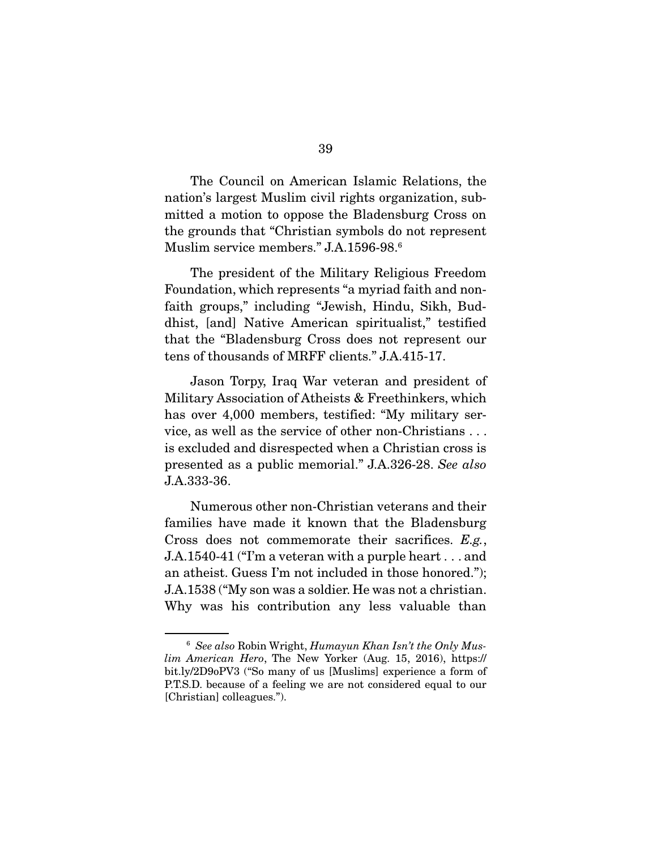The Council on American Islamic Relations, the nation's largest Muslim civil rights organization, submitted a motion to oppose the Bladensburg Cross on the grounds that "Christian symbols do not represent Muslim service members." J.A.1596-98.6

The president of the Military Religious Freedom Foundation, which represents "a myriad faith and nonfaith groups," including "Jewish, Hindu, Sikh, Buddhist, [and] Native American spiritualist," testified that the "Bladensburg Cross does not represent our tens of thousands of MRFF clients." J.A.415-17.

 Jason Torpy, Iraq War veteran and president of Military Association of Atheists & Freethinkers, which has over 4,000 members, testified: "My military service, as well as the service of other non-Christians . . . is excluded and disrespected when a Christian cross is presented as a public memorial." J.A.326-28. *See also*  J.A.333-36.

 Numerous other non-Christian veterans and their families have made it known that the Bladensburg Cross does not commemorate their sacrifices. *E.g.*, J.A.1540-41 ("I'm a veteran with a purple heart . . . and an atheist. Guess I'm not included in those honored."); J.A.1538 ("My son was a soldier. He was not a christian. Why was his contribution any less valuable than

<sup>6</sup> *See also* Robin Wright, *Humayun Khan Isn't the Only Muslim American Hero*, The New Yorker (Aug. 15, 2016), https:// bit.ly/2D9oPV3 ("So many of us [Muslims] experience a form of P.T.S.D. because of a feeling we are not considered equal to our [Christian] colleagues.").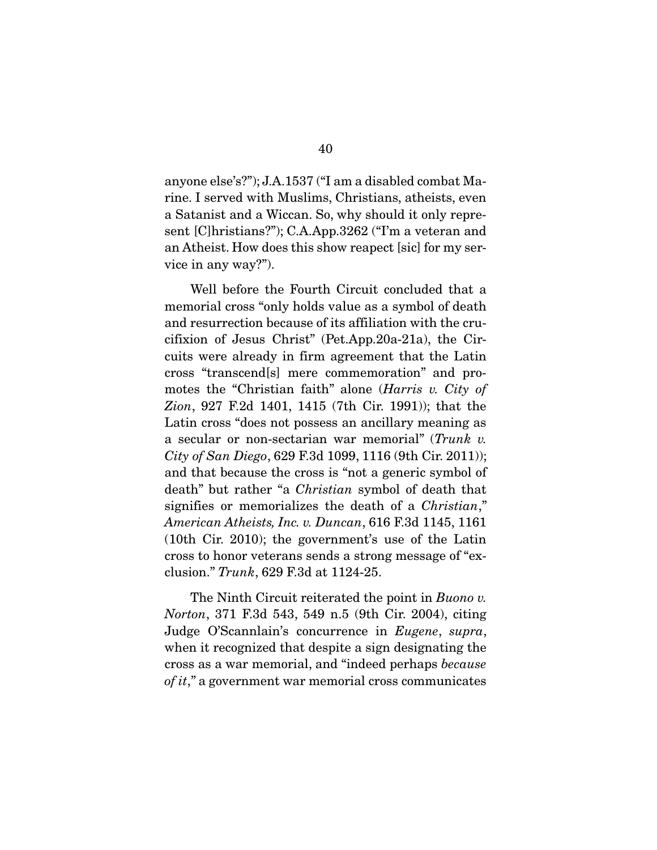anyone else's?"); J.A.1537 ("I am a disabled combat Marine. I served with Muslims, Christians, atheists, even a Satanist and a Wiccan. So, why should it only represent [C]hristians?"); C.A.App.3262 ("I'm a veteran and an Atheist. How does this show reapect [sic] for my service in any way?").

 Well before the Fourth Circuit concluded that a memorial cross "only holds value as a symbol of death and resurrection because of its affiliation with the crucifixion of Jesus Christ" (Pet.App.20a-21a), the Circuits were already in firm agreement that the Latin cross "transcend[s] mere commemoration" and promotes the "Christian faith" alone (*Harris v. City of Zion*, 927 F.2d 1401, 1415 (7th Cir. 1991)); that the Latin cross "does not possess an ancillary meaning as a secular or non-sectarian war memorial" (*Trunk v. City of San Diego*, 629 F.3d 1099, 1116 (9th Cir. 2011)); and that because the cross is "not a generic symbol of death" but rather "a *Christian* symbol of death that signifies or memorializes the death of a *Christian*," *American Atheists, Inc. v. Duncan*, 616 F.3d 1145, 1161 (10th Cir. 2010); the government's use of the Latin cross to honor veterans sends a strong message of "exclusion." *Trunk*, 629 F.3d at 1124-25.

 The Ninth Circuit reiterated the point in *Buono v. Norton*, 371 F.3d 543, 549 n.5 (9th Cir. 2004), citing Judge O'Scannlain's concurrence in *Eugene*, *supra*, when it recognized that despite a sign designating the cross as a war memorial, and "indeed perhaps *because of it*," a government war memorial cross communicates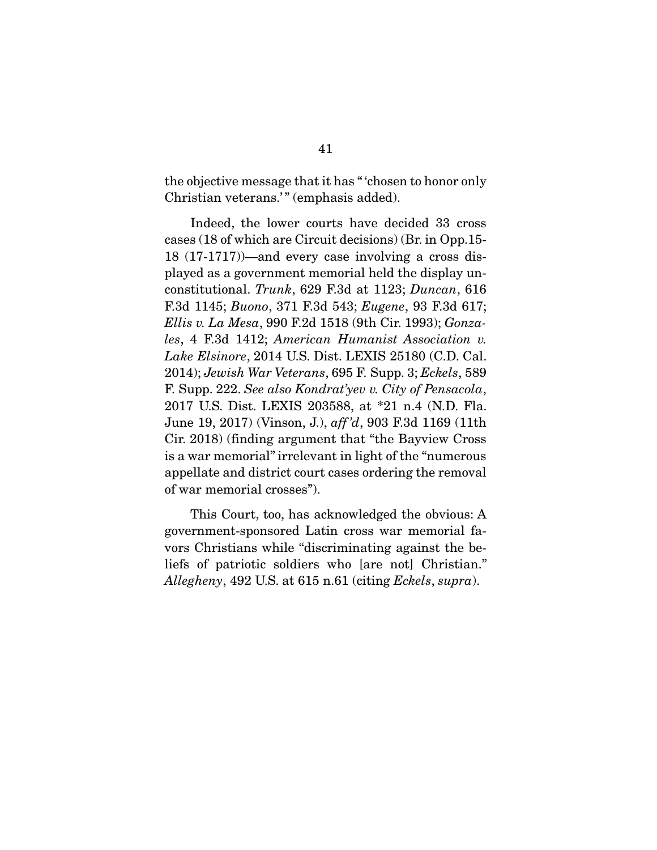the objective message that it has " 'chosen to honor only Christian veterans.'" (emphasis added).

 Indeed, the lower courts have decided 33 cross cases (18 of which are Circuit decisions) (Br. in Opp.15- 18 (17-1717))—and every case involving a cross displayed as a government memorial held the display unconstitutional. *Trunk*, 629 F.3d at 1123; *Duncan*, 616 F.3d 1145; *Buono*, 371 F.3d 543; *Eugene*, 93 F.3d 617; *Ellis v. La Mesa*, 990 F.2d 1518 (9th Cir. 1993); *Gonzales*, 4 F.3d 1412; *American Humanist Association v. Lake Elsinore*, 2014 U.S. Dist. LEXIS 25180 (C.D. Cal. 2014); *Jewish War Veterans*, 695 F. Supp. 3; *Eckels*, 589 F. Supp. 222. *See also Kondrat'yev v. City of Pensacola*, 2017 U.S. Dist. LEXIS 203588, at \*21 n.4 (N.D. Fla. June 19, 2017) (Vinson, J.), *aff 'd*, 903 F.3d 1169 (11th Cir. 2018) (finding argument that "the Bayview Cross is a war memorial" irrelevant in light of the "numerous appellate and district court cases ordering the removal of war memorial crosses").

 This Court, too, has acknowledged the obvious: A government-sponsored Latin cross war memorial favors Christians while "discriminating against the beliefs of patriotic soldiers who [are not] Christian." *Allegheny*, 492 U.S. at 615 n.61 (citing *Eckels*, *supra*).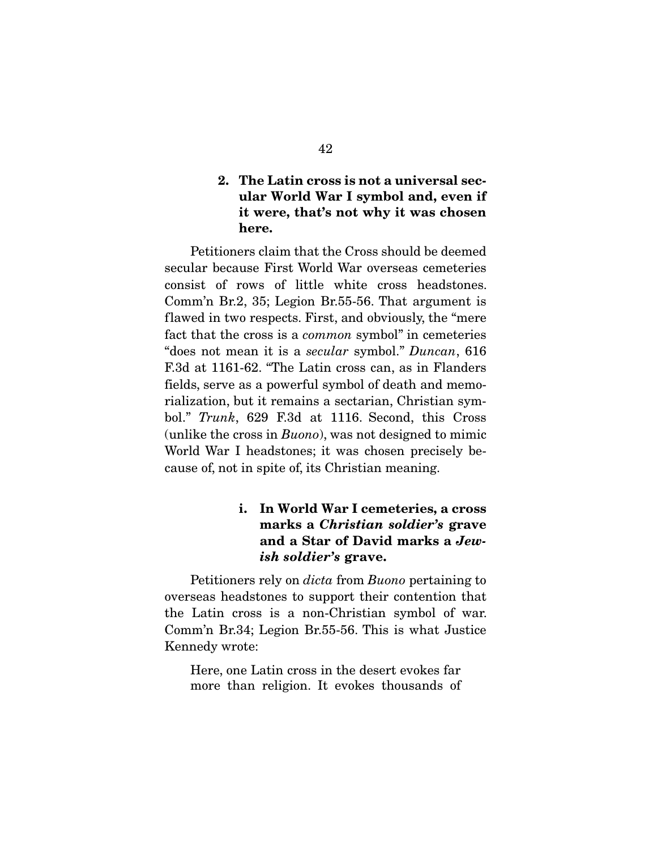## 2. The Latin cross is not a universal secular World War I symbol and, even if it were, that's not why it was chosen here.

 Petitioners claim that the Cross should be deemed secular because First World War overseas cemeteries consist of rows of little white cross headstones. Comm'n Br.2, 35; Legion Br.55-56. That argument is flawed in two respects. First, and obviously, the "mere fact that the cross is a *common* symbol" in cemeteries "does not mean it is a *secular* symbol." *Duncan*, 616 F.3d at 1161-62. "The Latin cross can, as in Flanders fields, serve as a powerful symbol of death and memorialization, but it remains a sectarian, Christian symbol." *Trunk*, 629 F.3d at 1116. Second, this Cross (unlike the cross in *Buono*), was not designed to mimic World War I headstones; it was chosen precisely because of, not in spite of, its Christian meaning.

# i. In World War I cemeteries, a cross marks a *Christian soldier's* grave and a Star of David marks a *Jewish soldier's* grave.

 Petitioners rely on *dicta* from *Buono* pertaining to overseas headstones to support their contention that the Latin cross is a non-Christian symbol of war. Comm'n Br.34; Legion Br.55-56. This is what Justice Kennedy wrote:

Here, one Latin cross in the desert evokes far more than religion. It evokes thousands of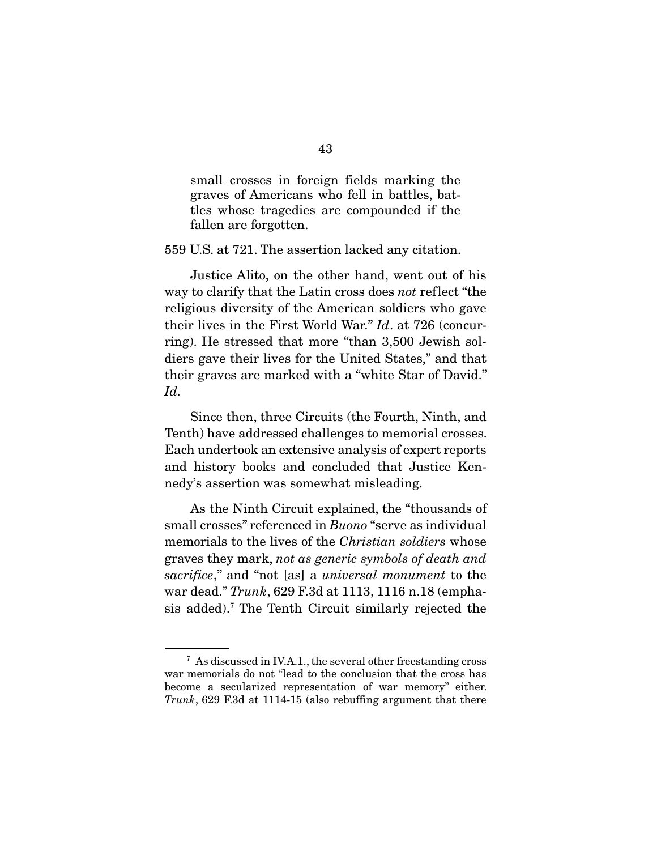small crosses in foreign fields marking the graves of Americans who fell in battles, battles whose tragedies are compounded if the fallen are forgotten.

559 U.S. at 721. The assertion lacked any citation.

 Justice Alito, on the other hand, went out of his way to clarify that the Latin cross does *not* reflect "the religious diversity of the American soldiers who gave their lives in the First World War." *Id*. at 726 (concurring). He stressed that more "than 3,500 Jewish soldiers gave their lives for the United States," and that their graves are marked with a "white Star of David." *Id.*

 Since then, three Circuits (the Fourth, Ninth, and Tenth) have addressed challenges to memorial crosses. Each undertook an extensive analysis of expert reports and history books and concluded that Justice Kennedy's assertion was somewhat misleading.

 As the Ninth Circuit explained, the "thousands of small crosses" referenced in *Buono* "serve as individual memorials to the lives of the *Christian soldiers* whose graves they mark, *not as generic symbols of death and sacrifice*," and "not [as] a *universal monument* to the war dead." *Trunk*, 629 F.3d at 1113, 1116 n.18 (emphasis added).7 The Tenth Circuit similarly rejected the

<sup>7</sup> As discussed in IV.A.1., the several other freestanding cross war memorials do not "lead to the conclusion that the cross has become a secularized representation of war memory" either. *Trunk*, 629 F.3d at 1114-15 (also rebuffing argument that there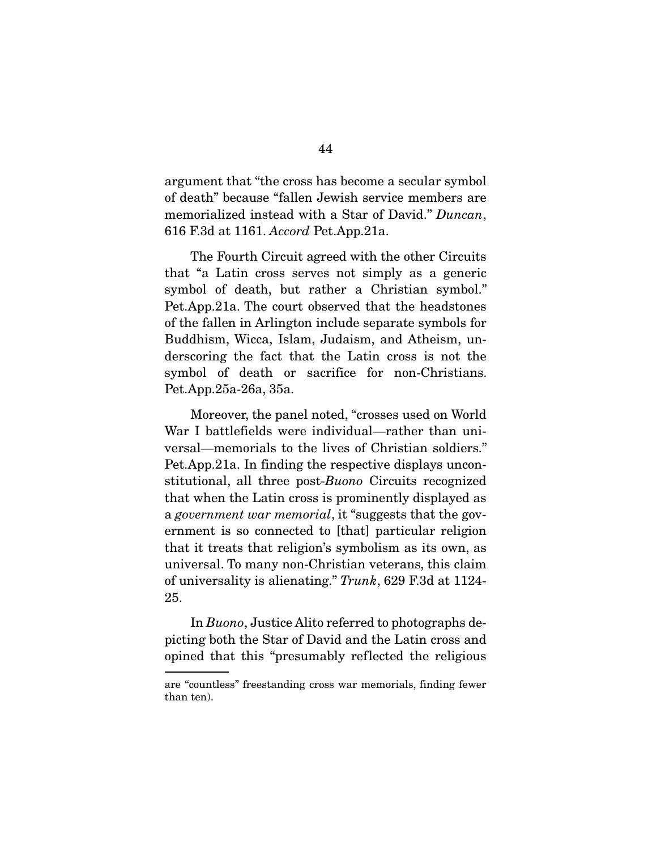argument that "the cross has become a secular symbol of death" because "fallen Jewish service members are memorialized instead with a Star of David." *Duncan*, 616 F.3d at 1161. *Accord* Pet.App.21a.

 The Fourth Circuit agreed with the other Circuits that "a Latin cross serves not simply as a generic symbol of death, but rather a Christian symbol." Pet.App.21a. The court observed that the headstones of the fallen in Arlington include separate symbols for Buddhism, Wicca, Islam, Judaism, and Atheism, underscoring the fact that the Latin cross is not the symbol of death or sacrifice for non-Christians. Pet.App.25a-26a, 35a.

 Moreover, the panel noted, "crosses used on World War I battlefields were individual—rather than universal—memorials to the lives of Christian soldiers." Pet.App.21a. In finding the respective displays unconstitutional, all three post-*Buono* Circuits recognized that when the Latin cross is prominently displayed as a *government war memorial*, it "suggests that the government is so connected to [that] particular religion that it treats that religion's symbolism as its own, as universal. To many non-Christian veterans, this claim of universality is alienating." *Trunk*, 629 F.3d at 1124- 25.

 In *Buono*, Justice Alito referred to photographs depicting both the Star of David and the Latin cross and opined that this "presumably reflected the religious

are "countless" freestanding cross war memorials, finding fewer than ten).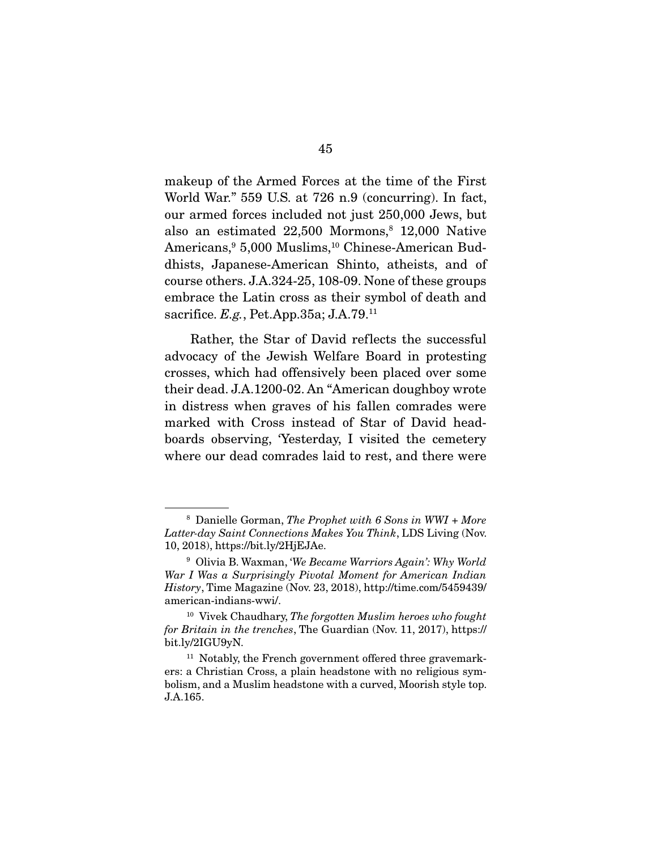makeup of the Armed Forces at the time of the First World War." 559 U.S. at 726 n.9 (concurring). In fact, our armed forces included not just 250,000 Jews, but also an estimated 22,500 Mormons,<sup>8</sup> 12,000 Native Americans,9 5,000 Muslims,10 Chinese-American Buddhists, Japanese-American Shinto, atheists, and of course others. J.A.324-25, 108-09. None of these groups embrace the Latin cross as their symbol of death and sacrifice. *E.g.*, Pet.App.35a; J.A.79.11

 Rather, the Star of David reflects the successful advocacy of the Jewish Welfare Board in protesting crosses, which had offensively been placed over some their dead. J.A.1200-02. An "American doughboy wrote in distress when graves of his fallen comrades were marked with Cross instead of Star of David headboards observing, 'Yesterday, I visited the cemetery where our dead comrades laid to rest, and there were

<sup>8</sup> Danielle Gorman, *The Prophet with 6 Sons in WWI + More Latter-day Saint Connections Makes You Think*, LDS Living (Nov. 10, 2018), https://bit.ly/2HjEJAe.

<sup>9</sup> Olivia B. Waxman, '*We Became Warriors Again': Why World War I Was a Surprisingly Pivotal Moment for American Indian History*, Time Magazine (Nov. 23, 2018), http://time.com/5459439/ american-indians-wwi/.

<sup>10</sup> Vivek Chaudhary, *The forgotten Muslim heroes who fought for Britain in the trenches*, The Guardian (Nov. 11, 2017), https:// bit.ly/2IGU9yN.

<sup>&</sup>lt;sup>11</sup> Notably, the French government offered three gravemarkers: a Christian Cross, a plain headstone with no religious symbolism, and a Muslim headstone with a curved, Moorish style top. J.A.165.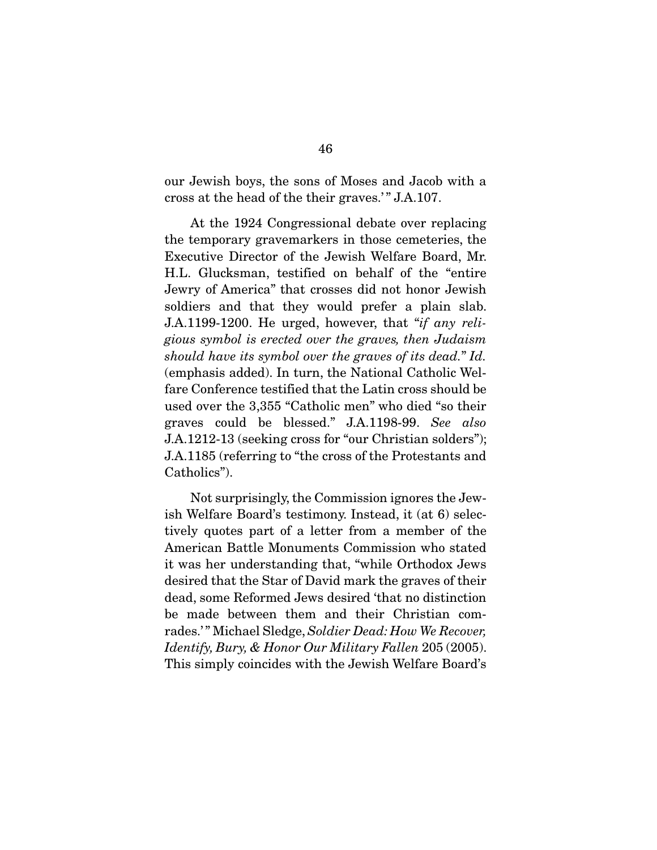our Jewish boys, the sons of Moses and Jacob with a cross at the head of the their graves.' " J.A.107.

 At the 1924 Congressional debate over replacing the temporary gravemarkers in those cemeteries, the Executive Director of the Jewish Welfare Board, Mr. H.L. Glucksman, testified on behalf of the "entire Jewry of America" that crosses did not honor Jewish soldiers and that they would prefer a plain slab. J.A.1199-1200. He urged, however, that "*if any religious symbol is erected over the graves, then Judaism should have its symbol over the graves of its dead.*" *Id.* (emphasis added). In turn, the National Catholic Welfare Conference testified that the Latin cross should be used over the 3,355 "Catholic men" who died "so their graves could be blessed." J.A.1198-99. *See also* J.A.1212-13 (seeking cross for "our Christian solders"); J.A.1185 (referring to "the cross of the Protestants and Catholics").

 Not surprisingly, the Commission ignores the Jewish Welfare Board's testimony. Instead, it (at 6) selectively quotes part of a letter from a member of the American Battle Monuments Commission who stated it was her understanding that, "while Orthodox Jews desired that the Star of David mark the graves of their dead, some Reformed Jews desired 'that no distinction be made between them and their Christian comrades.' " Michael Sledge, *Soldier Dead: How We Recover, Identify, Bury, & Honor Our Military Fallen* 205 (2005). This simply coincides with the Jewish Welfare Board's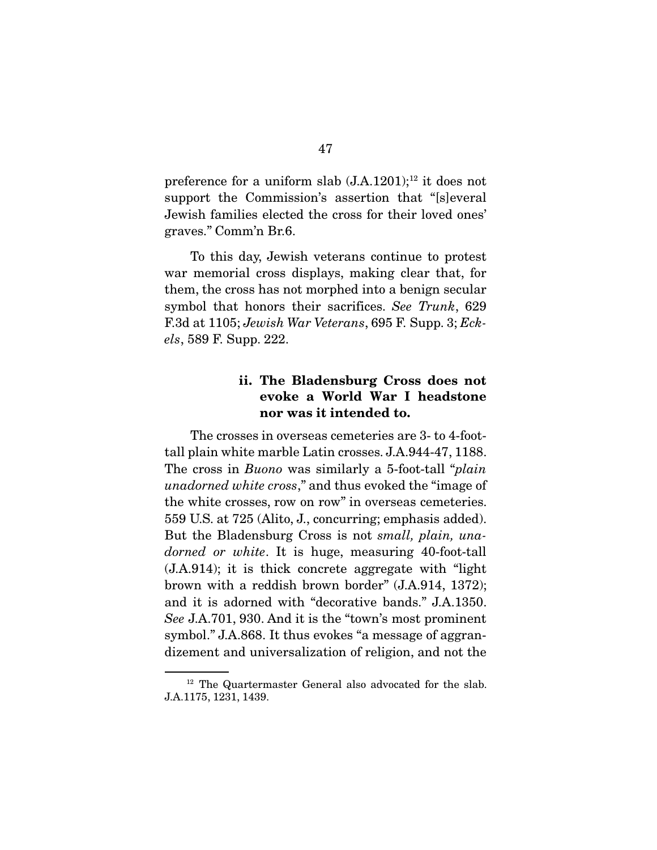preference for a uniform slab  $(J.A.1201);^{12}$  it does not support the Commission's assertion that "[s]everal Jewish families elected the cross for their loved ones' graves." Comm'n Br.6.

 To this day, Jewish veterans continue to protest war memorial cross displays, making clear that, for them, the cross has not morphed into a benign secular symbol that honors their sacrifices. *See Trunk*, 629 F.3d at 1105; *Jewish War Veterans*, 695 F. Supp. 3; *Eckels*, 589 F. Supp. 222.

## ii. The Bladensburg Cross does not evoke a World War I headstone nor was it intended to.

 The crosses in overseas cemeteries are 3- to 4-foottall plain white marble Latin crosses. J.A.944-47, 1188. The cross in *Buono* was similarly a 5-foot-tall "*plain unadorned white cross*," and thus evoked the "image of the white crosses, row on row" in overseas cemeteries. 559 U.S. at 725 (Alito, J., concurring; emphasis added). But the Bladensburg Cross is not *small, plain, unadorned or white*. It is huge, measuring 40-foot-tall (J.A.914); it is thick concrete aggregate with "light brown with a reddish brown border" (J.A.914, 1372); and it is adorned with "decorative bands." J.A.1350. *See* J.A.701, 930. And it is the "town's most prominent symbol." J.A.868. It thus evokes "a message of aggrandizement and universalization of religion, and not the

<sup>&</sup>lt;sup>12</sup> The Quartermaster General also advocated for the slab. J.A.1175, 1231, 1439.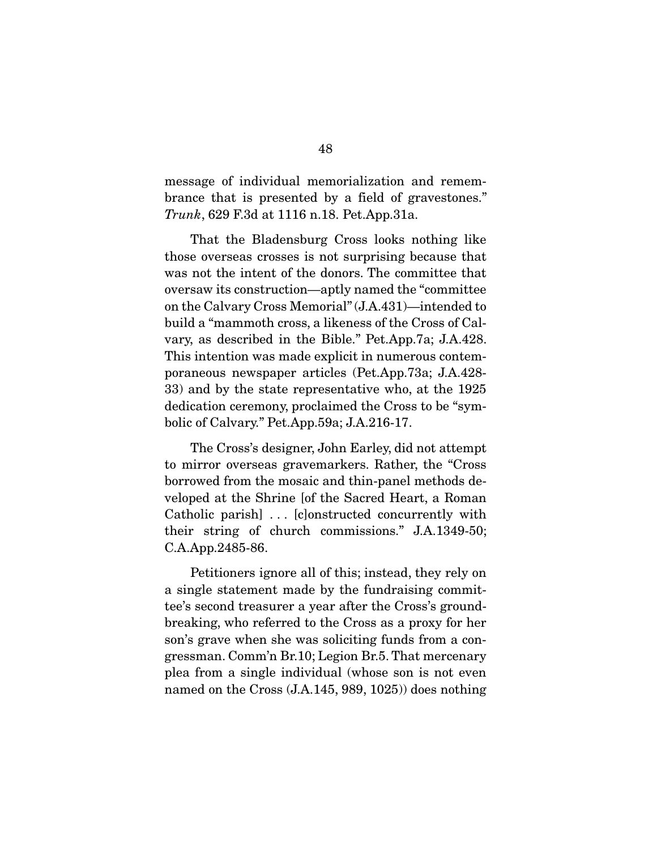message of individual memorialization and remembrance that is presented by a field of gravestones." *Trunk*, 629 F.3d at 1116 n.18. Pet.App.31a.

 That the Bladensburg Cross looks nothing like those overseas crosses is not surprising because that was not the intent of the donors. The committee that oversaw its construction—aptly named the "committee on the Calvary Cross Memorial" (J.A.431)—intended to build a "mammoth cross, a likeness of the Cross of Calvary, as described in the Bible." Pet.App.7a; J.A.428. This intention was made explicit in numerous contemporaneous newspaper articles (Pet.App.73a; J.A.428- 33) and by the state representative who, at the 1925 dedication ceremony, proclaimed the Cross to be "symbolic of Calvary." Pet.App.59a; J.A.216-17.

 The Cross's designer, John Earley, did not attempt to mirror overseas gravemarkers. Rather, the "Cross borrowed from the mosaic and thin-panel methods developed at the Shrine [of the Sacred Heart, a Roman Catholic parish] . . . [c]onstructed concurrently with their string of church commissions." J.A.1349-50; C.A.App.2485-86.

 Petitioners ignore all of this; instead, they rely on a single statement made by the fundraising committee's second treasurer a year after the Cross's groundbreaking, who referred to the Cross as a proxy for her son's grave when she was soliciting funds from a congressman. Comm'n Br.10; Legion Br.5. That mercenary plea from a single individual (whose son is not even named on the Cross (J.A.145, 989, 1025)) does nothing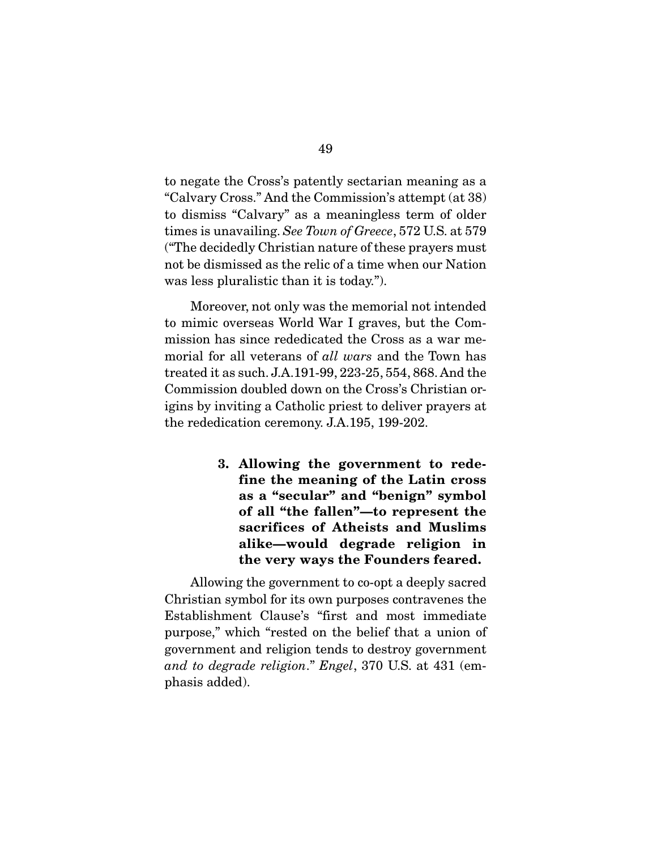to negate the Cross's patently sectarian meaning as a "Calvary Cross." And the Commission's attempt (at 38) to dismiss "Calvary" as a meaningless term of older times is unavailing. *See Town of Greece*, 572 U.S. at 579 ("The decidedly Christian nature of these prayers must not be dismissed as the relic of a time when our Nation was less pluralistic than it is today.").

 Moreover, not only was the memorial not intended to mimic overseas World War I graves, but the Commission has since rededicated the Cross as a war memorial for all veterans of *all wars* and the Town has treated it as such. J.A.191-99, 223-25, 554, 868. And the Commission doubled down on the Cross's Christian origins by inviting a Catholic priest to deliver prayers at the rededication ceremony. J.A.195, 199-202.

> 3. Allowing the government to redefine the meaning of the Latin cross as a "secular" and "benign" symbol of all "the fallen"—to represent the sacrifices of Atheists and Muslims alike—would degrade religion in the very ways the Founders feared.

 Allowing the government to co-opt a deeply sacred Christian symbol for its own purposes contravenes the Establishment Clause's "first and most immediate purpose," which "rested on the belief that a union of government and religion tends to destroy government *and to degrade religion*." *Engel*, 370 U.S. at 431 (emphasis added).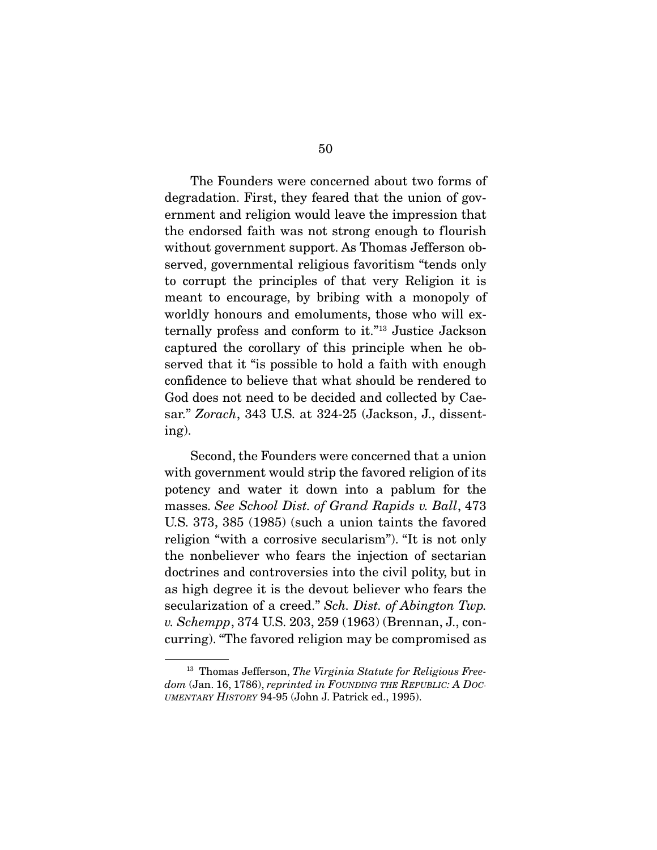The Founders were concerned about two forms of degradation. First, they feared that the union of government and religion would leave the impression that the endorsed faith was not strong enough to flourish without government support. As Thomas Jefferson observed, governmental religious favoritism "tends only to corrupt the principles of that very Religion it is meant to encourage, by bribing with a monopoly of worldly honours and emoluments, those who will externally profess and conform to it."13 Justice Jackson captured the corollary of this principle when he observed that it "is possible to hold a faith with enough confidence to believe that what should be rendered to God does not need to be decided and collected by Caesar." *Zorach*, 343 U.S. at 324-25 (Jackson, J., dissenting).

 Second, the Founders were concerned that a union with government would strip the favored religion of its potency and water it down into a pablum for the masses. *See School Dist. of Grand Rapids v. Ball*, 473 U.S. 373, 385 (1985) (such a union taints the favored religion "with a corrosive secularism"). "It is not only the nonbeliever who fears the injection of sectarian doctrines and controversies into the civil polity, but in as high degree it is the devout believer who fears the secularization of a creed." *Sch. Dist. of Abington Twp. v. Schempp*, 374 U.S. 203, 259 (1963) (Brennan, J., concurring). "The favored religion may be compromised as

<sup>13</sup> Thomas Jefferson, *The Virginia Statute for Religious Freedom* (Jan. 16, 1786), *reprinted in FOUNDING THE REPUBLIC: A DOC-UMENTARY HISTORY* 94-95 (John J. Patrick ed., 1995).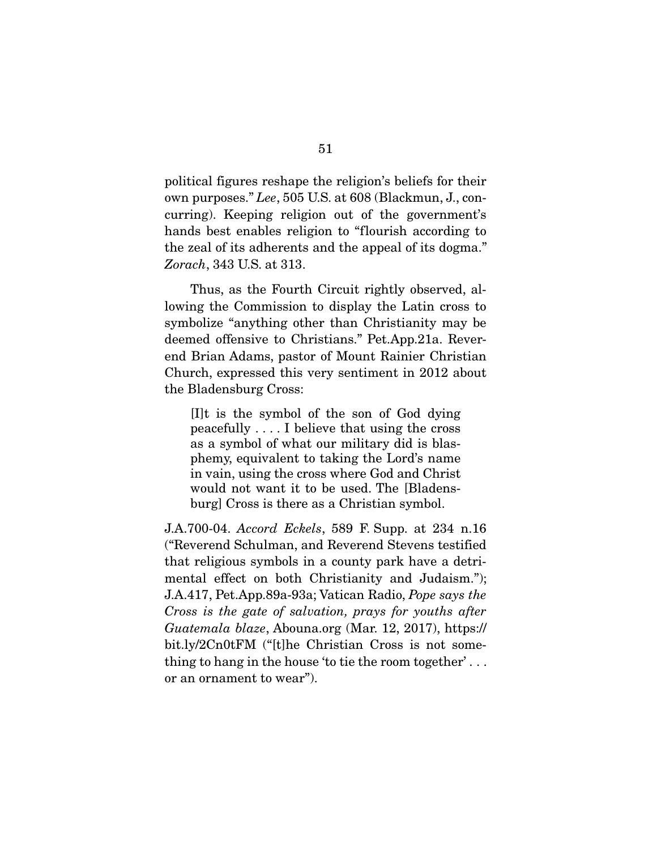political figures reshape the religion's beliefs for their own purposes." *Lee*, 505 U.S. at 608 (Blackmun, J., concurring). Keeping religion out of the government's hands best enables religion to "flourish according to the zeal of its adherents and the appeal of its dogma." *Zorach*, 343 U.S. at 313.

 Thus, as the Fourth Circuit rightly observed, allowing the Commission to display the Latin cross to symbolize "anything other than Christianity may be deemed offensive to Christians." Pet.App.21a. Reverend Brian Adams, pastor of Mount Rainier Christian Church, expressed this very sentiment in 2012 about the Bladensburg Cross:

[I]t is the symbol of the son of God dying peacefully . . . . I believe that using the cross as a symbol of what our military did is blasphemy, equivalent to taking the Lord's name in vain, using the cross where God and Christ would not want it to be used. The [Bladensburg] Cross is there as a Christian symbol.

J.A.700-04. *Accord Eckels*, 589 F. Supp. at 234 n.16 ("Reverend Schulman, and Reverend Stevens testified that religious symbols in a county park have a detrimental effect on both Christianity and Judaism."); J.A.417, Pet.App.89a-93a; Vatican Radio, *Pope says the Cross is the gate of salvation, prays for youths after Guatemala blaze*, Abouna.org (Mar. 12, 2017), https:// bit.ly/2Cn0tFM ("[t]he Christian Cross is not something to hang in the house 'to tie the room together' . . . or an ornament to wear").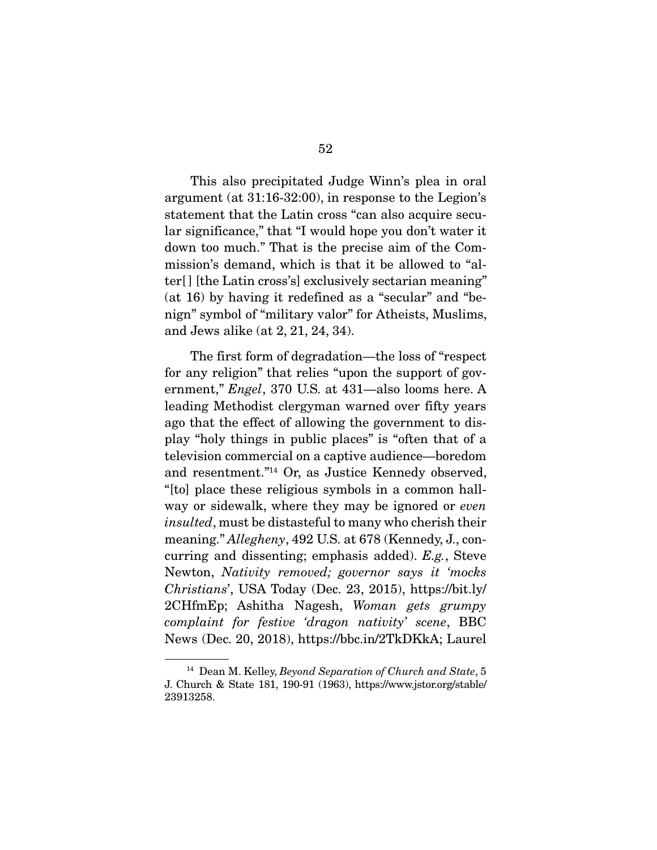This also precipitated Judge Winn's plea in oral argument (at 31:16-32:00), in response to the Legion's statement that the Latin cross "can also acquire secular significance," that "I would hope you don't water it down too much." That is the precise aim of the Commission's demand, which is that it be allowed to "alter[] [the Latin cross's] exclusively sectarian meaning" (at 16) by having it redefined as a "secular" and "benign" symbol of "military valor" for Atheists, Muslims, and Jews alike (at 2, 21, 24, 34).

 The first form of degradation—the loss of "respect for any religion" that relies "upon the support of government," *Engel*, 370 U.S. at 431—also looms here. A leading Methodist clergyman warned over fifty years ago that the effect of allowing the government to display "holy things in public places" is "often that of a television commercial on a captive audience—boredom and resentment."14 Or, as Justice Kennedy observed, "[to] place these religious symbols in a common hallway or sidewalk, where they may be ignored or *even insulted*, must be distasteful to many who cherish their meaning." *Allegheny*, 492 U.S. at 678 (Kennedy, J., concurring and dissenting; emphasis added). *E.g.*, Steve Newton, *Nativity removed; governor says it 'mocks Christians*', USA Today (Dec. 23, 2015), https://bit.ly/ 2CHfmEp; Ashitha Nagesh, *Woman gets grumpy complaint for festive 'dragon nativity' scene*, BBC News (Dec. 20, 2018), https://bbc.in/2TkDKkA; Laurel

<sup>14</sup> Dean M. Kelley, *Beyond Separation of Church and State*, 5 J. Church & State 181, 190-91 (1963), https://www.jstor.org/stable/ 23913258.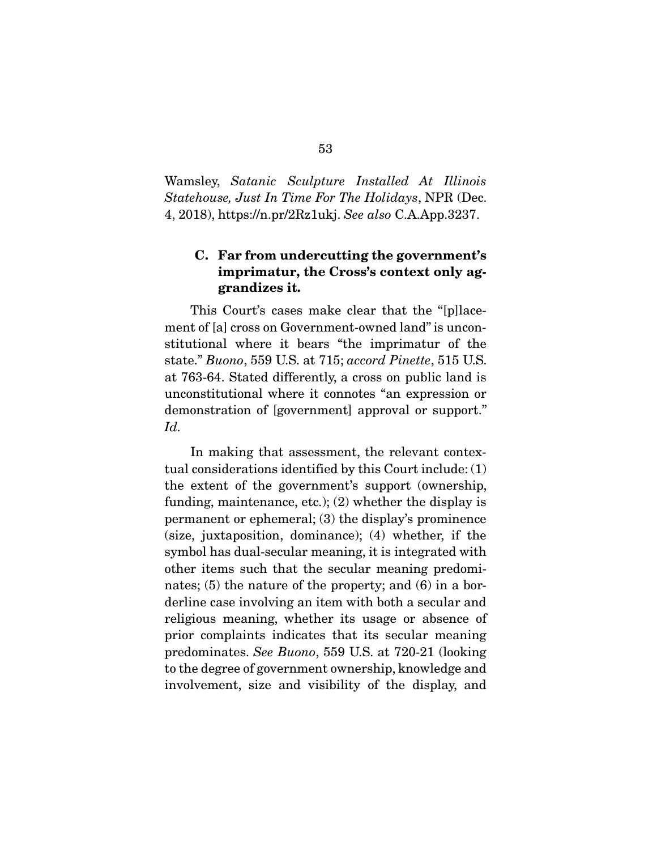Wamsley, *Satanic Sculpture Installed At Illinois Statehouse, Just In Time For The Holidays*, NPR (Dec. 4, 2018), https://n.pr/2Rz1ukj. *See also* C.A.App.3237.

## C. Far from undercutting the government's imprimatur, the Cross's context only aggrandizes it.

 This Court's cases make clear that the "[p]lacement of [a] cross on Government-owned land" is unconstitutional where it bears "the imprimatur of the state." *Buono*, 559 U.S. at 715; *accord Pinette*, 515 U.S. at 763-64. Stated differently, a cross on public land is unconstitutional where it connotes "an expression or demonstration of [government] approval or support." *Id.*

 In making that assessment, the relevant contextual considerations identified by this Court include: (1) the extent of the government's support (ownership, funding, maintenance, etc.); (2) whether the display is permanent or ephemeral; (3) the display's prominence (size, juxtaposition, dominance); (4) whether, if the symbol has dual-secular meaning, it is integrated with other items such that the secular meaning predominates; (5) the nature of the property; and (6) in a borderline case involving an item with both a secular and religious meaning, whether its usage or absence of prior complaints indicates that its secular meaning predominates. *See Buono*, 559 U.S. at 720-21 (looking to the degree of government ownership, knowledge and involvement, size and visibility of the display, and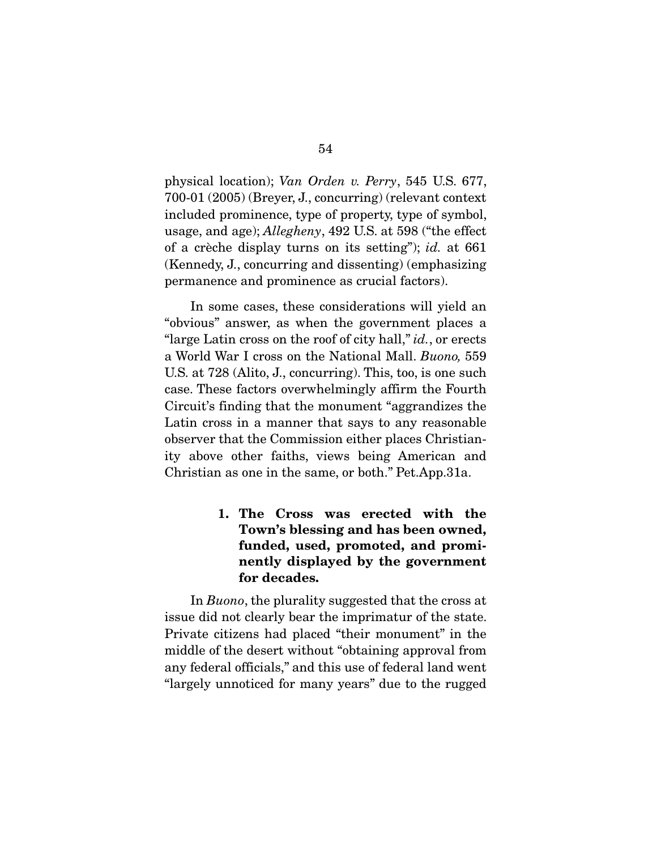physical location); *Van Orden v. Perry*, 545 U.S. 677, 700-01 (2005) (Breyer, J., concurring) (relevant context included prominence, type of property, type of symbol, usage, and age); *Allegheny*, 492 U.S. at 598 ("the effect of a crèche display turns on its setting"); *id.* at 661 (Kennedy, J., concurring and dissenting) (emphasizing permanence and prominence as crucial factors).

 In some cases, these considerations will yield an "obvious" answer, as when the government places a "large Latin cross on the roof of city hall," *id.*, or erects a World War I cross on the National Mall. *Buono,* 559 U.S. at 728 (Alito, J., concurring). This, too, is one such case. These factors overwhelmingly affirm the Fourth Circuit's finding that the monument "aggrandizes the Latin cross in a manner that says to any reasonable observer that the Commission either places Christianity above other faiths, views being American and Christian as one in the same, or both." Pet.App.31a.

> 1. The Cross was erected with the Town's blessing and has been owned, funded, used, promoted, and prominently displayed by the government for decades.

In *Buono*, the plurality suggested that the cross at issue did not clearly bear the imprimatur of the state. Private citizens had placed "their monument" in the middle of the desert without "obtaining approval from any federal officials," and this use of federal land went "largely unnoticed for many years" due to the rugged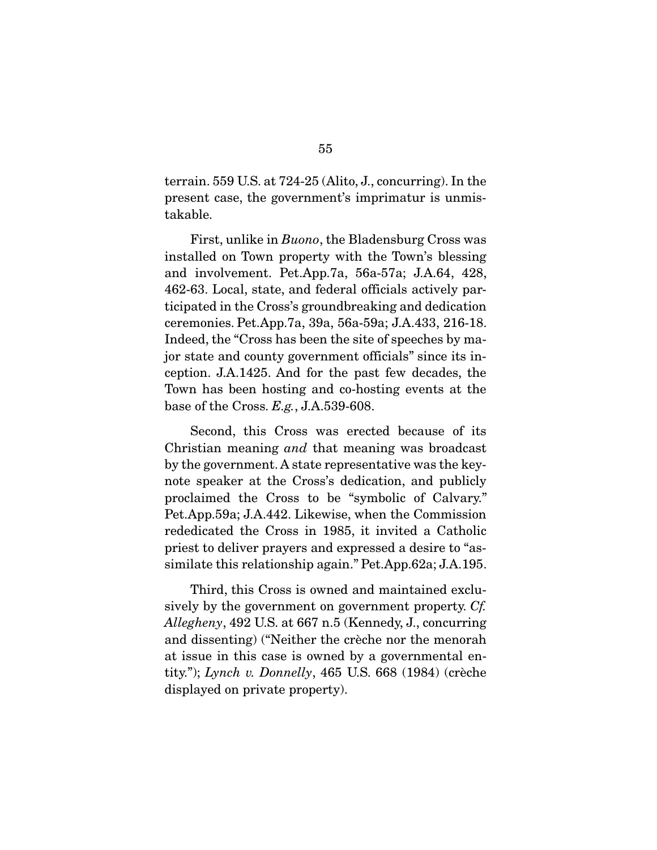terrain. 559 U.S. at 724-25 (Alito, J., concurring). In the present case, the government's imprimatur is unmistakable.

 First, unlike in *Buono*, the Bladensburg Cross was installed on Town property with the Town's blessing and involvement. Pet.App.7a, 56a-57a; J.A.64, 428, 462-63. Local, state, and federal officials actively participated in the Cross's groundbreaking and dedication ceremonies. Pet.App.7a, 39a, 56a-59a; J.A.433, 216-18. Indeed, the "Cross has been the site of speeches by major state and county government officials" since its inception. J.A.1425. And for the past few decades, the Town has been hosting and co-hosting events at the base of the Cross. *E.g.*, J.A.539-608.

 Second, this Cross was erected because of its Christian meaning *and* that meaning was broadcast by the government. A state representative was the keynote speaker at the Cross's dedication, and publicly proclaimed the Cross to be "symbolic of Calvary." Pet.App.59a; J.A.442. Likewise, when the Commission rededicated the Cross in 1985, it invited a Catholic priest to deliver prayers and expressed a desire to "assimilate this relationship again." Pet.App.62a; J.A.195.

 Third, this Cross is owned and maintained exclusively by the government on government property. *Cf. Allegheny*, 492 U.S. at 667 n.5 (Kennedy, J., concurring and dissenting) ("Neither the crèche nor the menorah at issue in this case is owned by a governmental entity."); *Lynch v. Donnelly*, 465 U.S. 668 (1984) (crèche displayed on private property).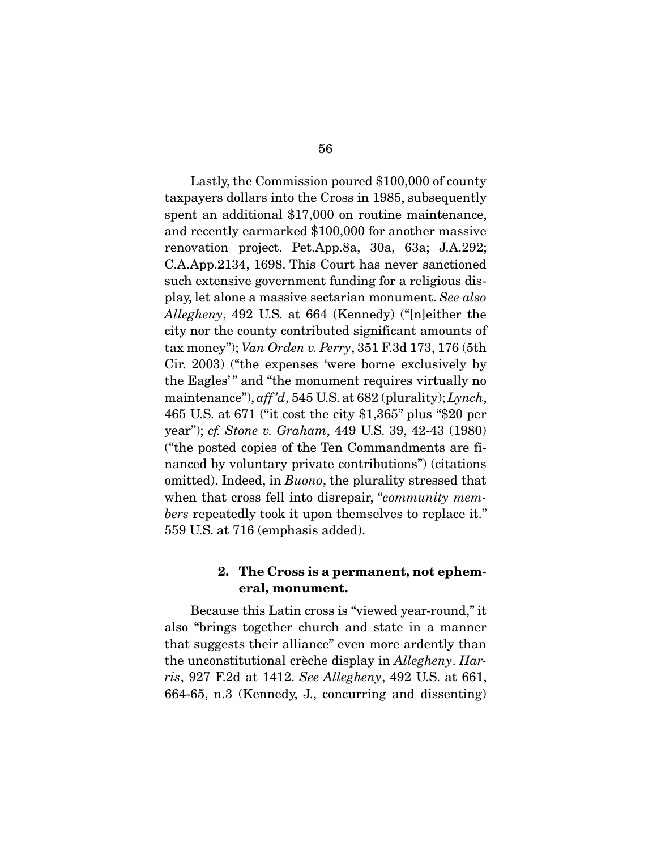Lastly, the Commission poured \$100,000 of county taxpayers dollars into the Cross in 1985, subsequently spent an additional \$17,000 on routine maintenance, and recently earmarked \$100,000 for another massive renovation project. Pet.App.8a, 30a, 63a; J.A.292; C.A.App.2134, 1698. This Court has never sanctioned such extensive government funding for a religious display, let alone a massive sectarian monument. *See also Allegheny*, 492 U.S. at 664 (Kennedy) ("[n]either the city nor the county contributed significant amounts of tax money"); *Van Orden v. Perry*, 351 F.3d 173, 176 (5th Cir. 2003) ("the expenses 'were borne exclusively by the Eagles' " and "the monument requires virtually no maintenance"), *aff 'd*, 545 U.S. at 682 (plurality); *Lynch*, 465 U.S. at 671 ("it cost the city \$1,365" plus "\$20 per year"); *cf. Stone v. Graham*, 449 U.S. 39, 42-43 (1980) ("the posted copies of the Ten Commandments are financed by voluntary private contributions") (citations omitted). Indeed, in *Buono*, the plurality stressed that when that cross fell into disrepair, "*community members* repeatedly took it upon themselves to replace it." 559 U.S. at 716 (emphasis added).

#### 2. The Cross is a permanent, not ephemeral, monument.

 Because this Latin cross is "viewed year-round," it also "brings together church and state in a manner that suggests their alliance" even more ardently than the unconstitutional crèche display in *Allegheny*. *Harris*, 927 F.2d at 1412. *See Allegheny*, 492 U.S. at 661, 664-65, n.3 (Kennedy, J., concurring and dissenting)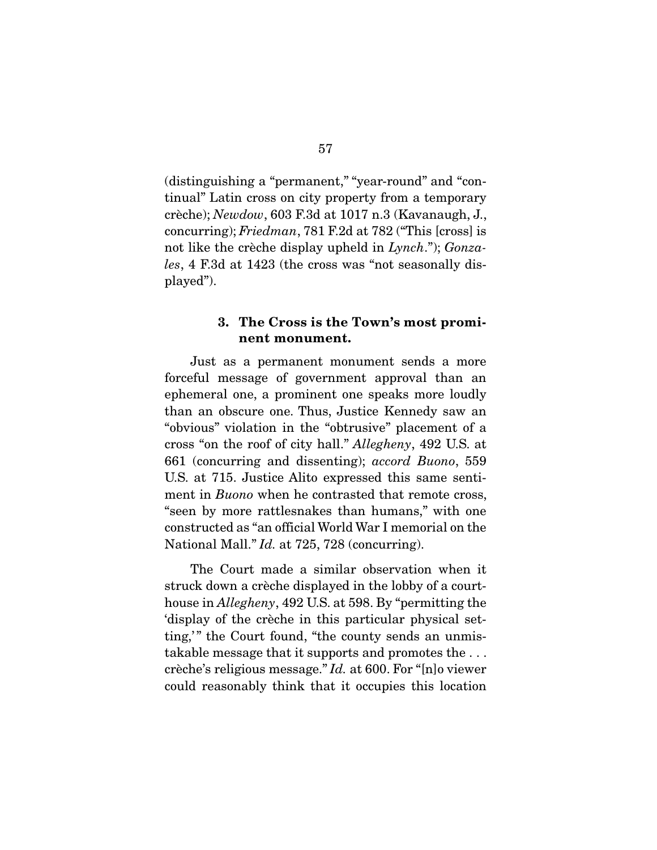(distinguishing a "permanent," "year-round" and "continual" Latin cross on city property from a temporary crèche); *Newdow*, 603 F.3d at 1017 n.3 (Kavanaugh, J., concurring); *Friedman*, 781 F.2d at 782 ("This [cross] is not like the crèche display upheld in *Lynch*."); *Gonzales*, 4 F.3d at 1423 (the cross was "not seasonally displayed").

#### 3. The Cross is the Town's most prominent monument.

 Just as a permanent monument sends a more forceful message of government approval than an ephemeral one, a prominent one speaks more loudly than an obscure one. Thus, Justice Kennedy saw an "obvious" violation in the "obtrusive" placement of a cross "on the roof of city hall." *Allegheny*, 492 U.S. at 661 (concurring and dissenting); *accord Buono*, 559 U.S. at 715. Justice Alito expressed this same sentiment in *Buono* when he contrasted that remote cross, "seen by more rattlesnakes than humans," with one constructed as "an official World War I memorial on the National Mall." *Id.* at 725, 728 (concurring).

 The Court made a similar observation when it struck down a crèche displayed in the lobby of a courthouse in *Allegheny*, 492 U.S. at 598. By "permitting the 'display of the crèche in this particular physical setting," the Court found, "the county sends an unmistakable message that it supports and promotes the . . . crèche's religious message." *Id.* at 600. For "[n]o viewer could reasonably think that it occupies this location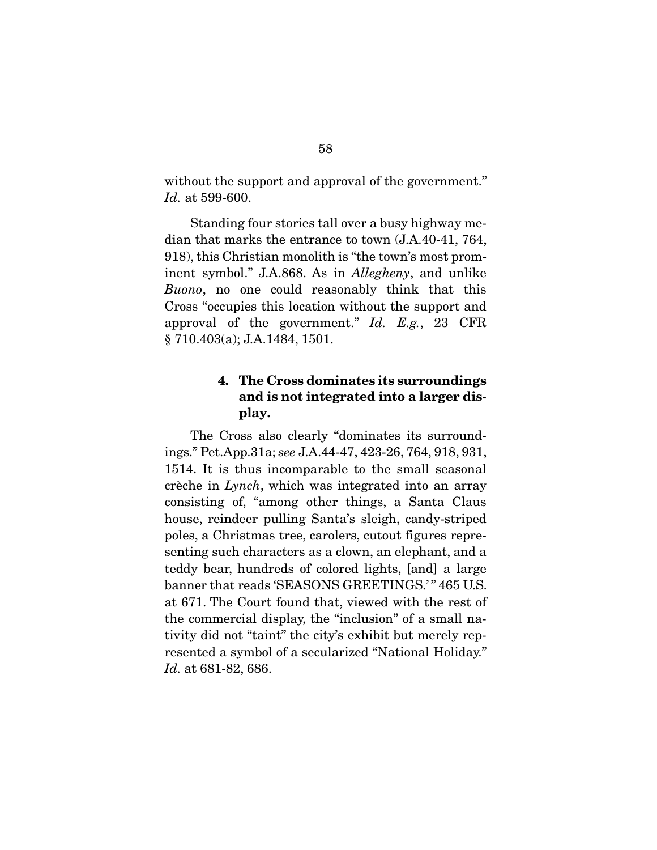without the support and approval of the government." *Id.* at 599-600.

 Standing four stories tall over a busy highway median that marks the entrance to town (J.A.40-41, 764, 918), this Christian monolith is "the town's most prominent symbol." J.A.868. As in *Allegheny*, and unlike *Buono*, no one could reasonably think that this Cross "occupies this location without the support and approval of the government." *Id. E.g.*, 23 CFR § 710.403(a); J.A.1484, 1501.

## 4. The Cross dominates its surroundings and is not integrated into a larger display.

 The Cross also clearly "dominates its surroundings." Pet.App.31a; *see* J.A.44-47, 423-26, 764, 918, 931, 1514. It is thus incomparable to the small seasonal crèche in *Lynch*, which was integrated into an array consisting of, "among other things, a Santa Claus house, reindeer pulling Santa's sleigh, candy-striped poles, a Christmas tree, carolers, cutout figures representing such characters as a clown, an elephant, and a teddy bear, hundreds of colored lights, [and] a large banner that reads 'SEASONS GREETINGS.'" 465 U.S. at 671. The Court found that, viewed with the rest of the commercial display, the "inclusion" of a small nativity did not "taint" the city's exhibit but merely represented a symbol of a secularized "National Holiday." *Id.* at 681-82, 686.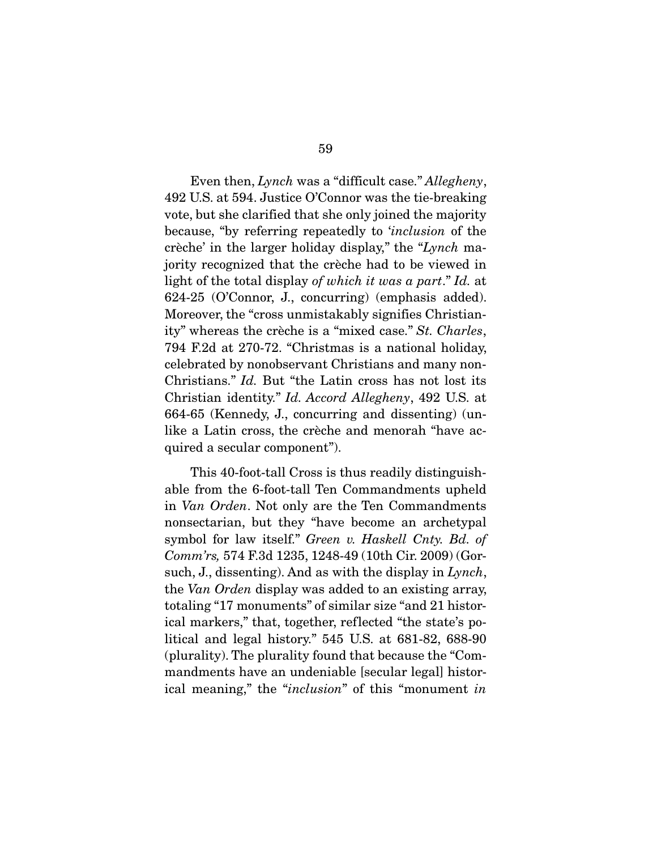Even then, *Lynch* was a "difficult case." *Allegheny*, 492 U.S. at 594. Justice O'Connor was the tie-breaking vote, but she clarified that she only joined the majority because, "by referring repeatedly to '*inclusion* of the crèche' in the larger holiday display," the "*Lynch* majority recognized that the crèche had to be viewed in light of the total display *of which it was a part*." *Id.* at 624-25 (O'Connor, J., concurring) (emphasis added). Moreover, the "cross unmistakably signifies Christianity" whereas the crèche is a "mixed case." *St. Charles*, 794 F.2d at 270-72. "Christmas is a national holiday, celebrated by nonobservant Christians and many non-Christians." *Id.* But "the Latin cross has not lost its Christian identity." *Id. Accord Allegheny*, 492 U.S. at 664-65 (Kennedy, J., concurring and dissenting) (unlike a Latin cross, the crèche and menorah "have acquired a secular component").

 This 40-foot-tall Cross is thus readily distinguishable from the 6-foot-tall Ten Commandments upheld in *Van Orden*. Not only are the Ten Commandments nonsectarian, but they "have become an archetypal symbol for law itself." *Green v. Haskell Cnty. Bd. of Comm'rs,* 574 F.3d 1235, 1248-49 (10th Cir. 2009) (Gorsuch, J., dissenting). And as with the display in *Lynch*, the *Van Orden* display was added to an existing array, totaling "17 monuments" of similar size "and 21 historical markers," that, together, reflected "the state's political and legal history." 545 U.S. at 681-82, 688-90 (plurality). The plurality found that because the "Commandments have an undeniable [secular legal] historical meaning," the "*inclusion*" of this "monument *in*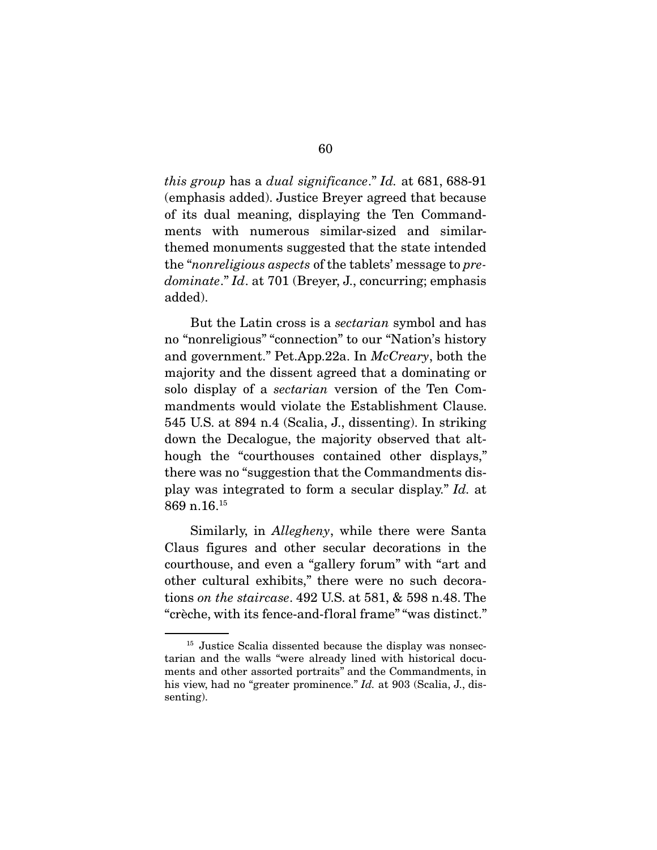*this group* has a *dual significance*." *Id.* at 681, 688-91 (emphasis added). Justice Breyer agreed that because of its dual meaning, displaying the Ten Commandments with numerous similar-sized and similarthemed monuments suggested that the state intended the "*nonreligious aspects* of the tablets' message to *predominate*." *Id*. at 701 (Breyer, J., concurring; emphasis added).

 But the Latin cross is a *sectarian* symbol and has no "nonreligious" "connection" to our "Nation's history and government." Pet.App.22a. In *McCreary*, both the majority and the dissent agreed that a dominating or solo display of a *sectarian* version of the Ten Commandments would violate the Establishment Clause. 545 U.S. at 894 n.4 (Scalia, J., dissenting). In striking down the Decalogue, the majority observed that although the "courthouses contained other displays," there was no "suggestion that the Commandments display was integrated to form a secular display." *Id.* at 869 n.16.15

 Similarly, in *Allegheny*, while there were Santa Claus figures and other secular decorations in the courthouse, and even a "gallery forum" with "art and other cultural exhibits," there were no such decorations *on the staircase*. 492 U.S. at 581, & 598 n.48. The "crèche, with its fence-and-floral frame" "was distinct."

<sup>&</sup>lt;sup>15</sup> Justice Scalia dissented because the display was nonsectarian and the walls "were already lined with historical documents and other assorted portraits" and the Commandments, in his view, had no "greater prominence." *Id.* at 903 (Scalia, J., dissenting).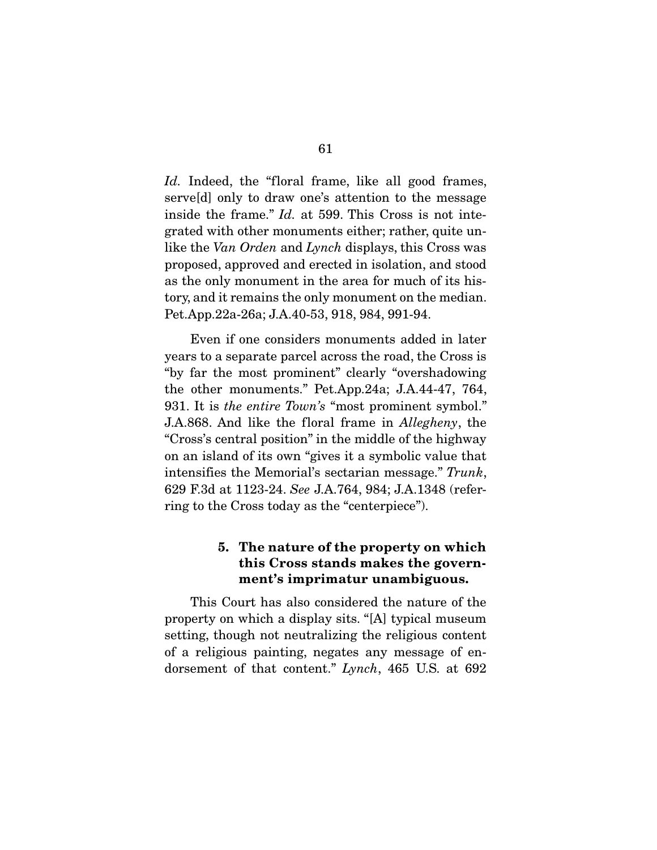*Id.* Indeed, the "floral frame, like all good frames, serve[d] only to draw one's attention to the message inside the frame." *Id.* at 599. This Cross is not integrated with other monuments either; rather, quite unlike the *Van Orden* and *Lynch* displays, this Cross was proposed, approved and erected in isolation, and stood as the only monument in the area for much of its history, and it remains the only monument on the median. Pet.App.22a-26a; J.A.40-53, 918, 984, 991-94.

 Even if one considers monuments added in later years to a separate parcel across the road, the Cross is "by far the most prominent" clearly "overshadowing the other monuments." Pet.App.24a; J.A.44-47, 764, 931. It is *the entire Town's* "most prominent symbol." J.A.868. And like the floral frame in *Allegheny*, the "Cross's central position" in the middle of the highway on an island of its own "gives it a symbolic value that intensifies the Memorial's sectarian message." *Trunk*, 629 F.3d at 1123-24. *See* J.A.764, 984; J.A.1348 (referring to the Cross today as the "centerpiece").

### 5. The nature of the property on which this Cross stands makes the government's imprimatur unambiguous.

 This Court has also considered the nature of the property on which a display sits. "[A] typical museum setting, though not neutralizing the religious content of a religious painting, negates any message of endorsement of that content." *Lynch*, 465 U.S. at 692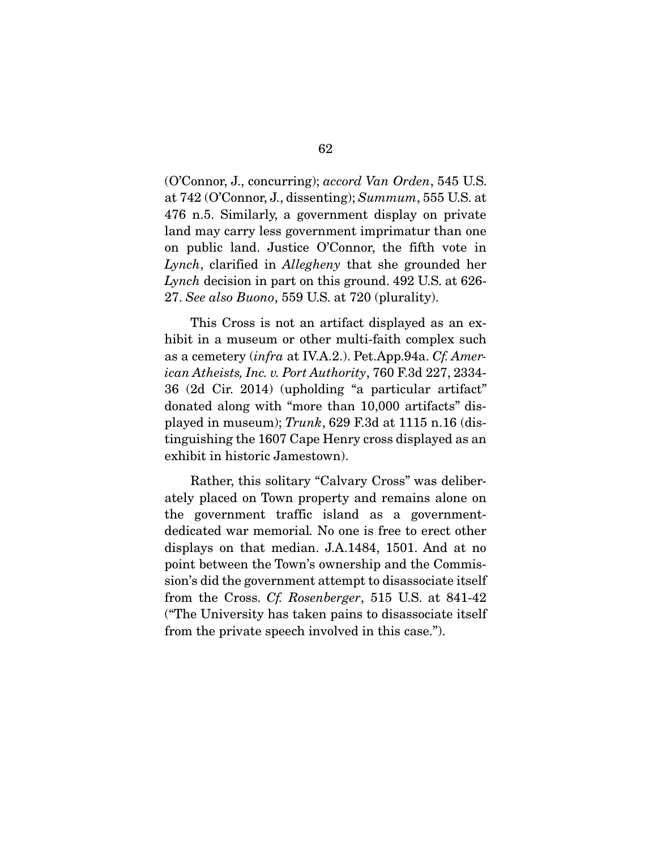(O'Connor, J., concurring); *accord Van Orden*, 545 U.S. at 742 (O'Connor, J., dissenting); *Summum*, 555 U.S. at 476 n.5. Similarly, a government display on private land may carry less government imprimatur than one on public land. Justice O'Connor, the fifth vote in *Lynch*, clarified in *Allegheny* that she grounded her *Lynch* decision in part on this ground. 492 U.S. at 626- 27. *See also Buono*, 559 U.S. at 720 (plurality).

 This Cross is not an artifact displayed as an exhibit in a museum or other multi-faith complex such as a cemetery (*infra* at IV.A.2.). Pet.App.94a. *Cf. American Atheists, Inc. v. Port Authority*, 760 F.3d 227, 2334- 36 (2d Cir. 2014) (upholding "a particular artifact" donated along with "more than 10,000 artifacts" displayed in museum); *Trunk*, 629 F.3d at 1115 n.16 (distinguishing the 1607 Cape Henry cross displayed as an exhibit in historic Jamestown).

 Rather, this solitary "Calvary Cross" was deliberately placed on Town property and remains alone on the government traffic island as a governmentdedicated war memorial*.* No one is free to erect other displays on that median. J.A.1484, 1501. And at no point between the Town's ownership and the Commission's did the government attempt to disassociate itself from the Cross. *Cf. Rosenberger*, 515 U.S. at 841-42 ("The University has taken pains to disassociate itself from the private speech involved in this case.").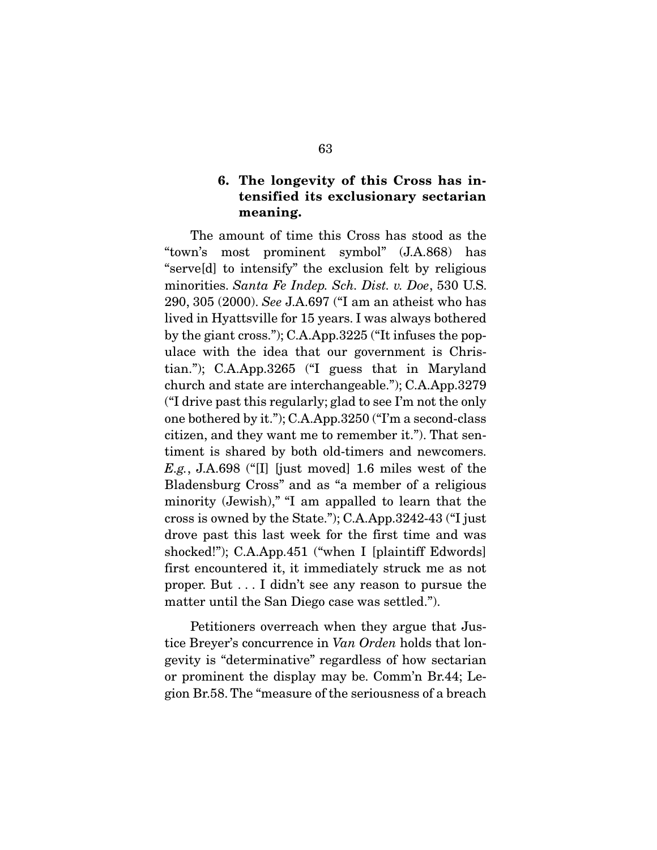### 6. The longevity of this Cross has intensified its exclusionary sectarian meaning.

 The amount of time this Cross has stood as the "town's most prominent symbol" (J.A.868) has "serve[d] to intensify" the exclusion felt by religious minorities. *Santa Fe Indep. Sch. Dist. v. Doe*, 530 U.S. 290, 305 (2000). *See* J.A.697 ("I am an atheist who has lived in Hyattsville for 15 years. I was always bothered by the giant cross."); C.A.App.3225 ("It infuses the populace with the idea that our government is Christian."); C.A.App.3265 ("I guess that in Maryland church and state are interchangeable."); C.A.App.3279 ("I drive past this regularly; glad to see I'm not the only one bothered by it."); C.A.App.3250 ("I'm a second-class citizen, and they want me to remember it."). That sentiment is shared by both old-timers and newcomers. *E.g.*, J.A.698 ("[I] [just moved] 1.6 miles west of the Bladensburg Cross" and as "a member of a religious minority (Jewish)," "I am appalled to learn that the cross is owned by the State."); C.A.App.3242-43 ("I just drove past this last week for the first time and was shocked!"); C.A.App.451 ("when I [plaintiff Edwords] first encountered it, it immediately struck me as not proper. But . . . I didn't see any reason to pursue the matter until the San Diego case was settled.").

 Petitioners overreach when they argue that Justice Breyer's concurrence in *Van Orden* holds that longevity is "determinative" regardless of how sectarian or prominent the display may be. Comm'n Br.44; Legion Br.58. The "measure of the seriousness of a breach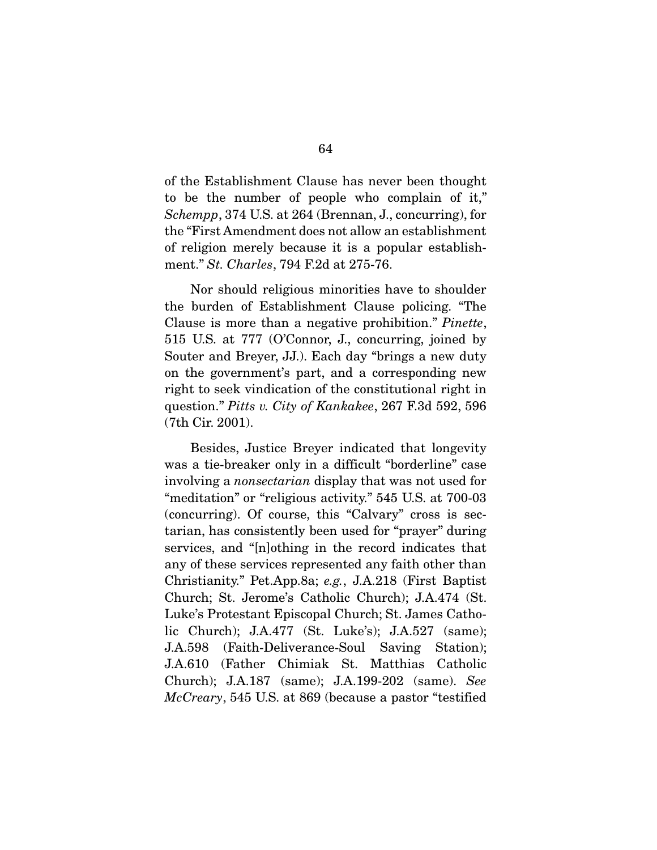of the Establishment Clause has never been thought to be the number of people who complain of it," *Schempp*, 374 U.S. at 264 (Brennan, J., concurring), for the "First Amendment does not allow an establishment of religion merely because it is a popular establishment." *St. Charles*, 794 F.2d at 275-76.

 Nor should religious minorities have to shoulder the burden of Establishment Clause policing. "The Clause is more than a negative prohibition." *Pinette*, 515 U.S. at 777 (O'Connor, J., concurring, joined by Souter and Breyer, JJ.). Each day "brings a new duty on the government's part, and a corresponding new right to seek vindication of the constitutional right in question." *Pitts v. City of Kankakee*, 267 F.3d 592, 596 (7th Cir. 2001).

 Besides, Justice Breyer indicated that longevity was a tie-breaker only in a difficult "borderline" case involving a *nonsectarian* display that was not used for "meditation" or "religious activity." 545 U.S. at 700-03 (concurring). Of course, this "Calvary" cross is sectarian, has consistently been used for "prayer" during services, and "[n]othing in the record indicates that any of these services represented any faith other than Christianity." Pet.App.8a; *e.g.*, J.A.218 (First Baptist Church; St. Jerome's Catholic Church); J.A.474 (St. Luke's Protestant Episcopal Church; St. James Catholic Church); J.A.477 (St. Luke's); J.A.527 (same); J.A.598 (Faith-Deliverance-Soul Saving Station); J.A.610 (Father Chimiak St. Matthias Catholic Church); J.A.187 (same); J.A.199-202 (same). *See McCreary*, 545 U.S. at 869 (because a pastor "testified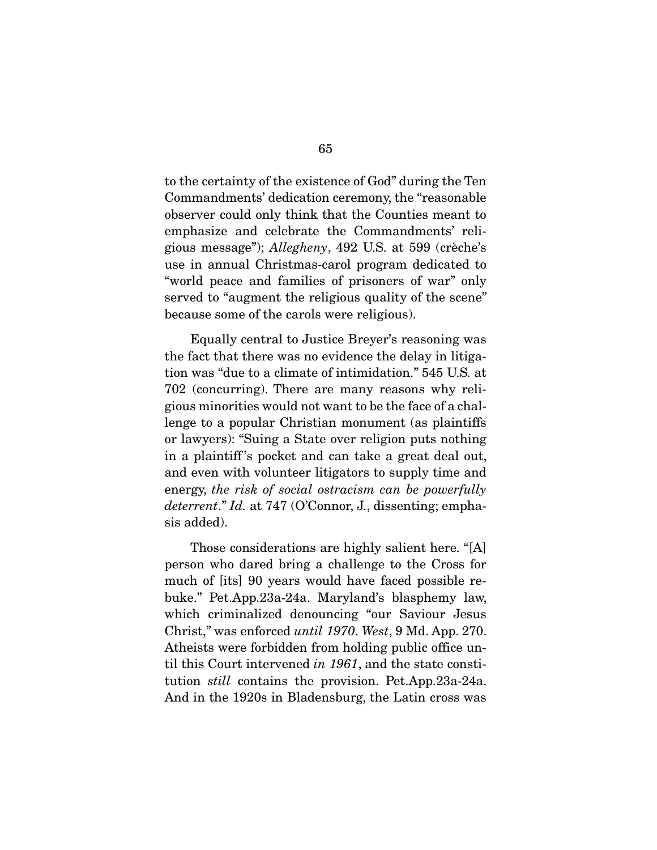to the certainty of the existence of God" during the Ten Commandments' dedication ceremony, the "reasonable observer could only think that the Counties meant to emphasize and celebrate the Commandments' religious message"); *Allegheny*, 492 U.S. at 599 (crèche's use in annual Christmas-carol program dedicated to "world peace and families of prisoners of war" only served to "augment the religious quality of the scene" because some of the carols were religious).

 Equally central to Justice Breyer's reasoning was the fact that there was no evidence the delay in litigation was "due to a climate of intimidation." 545 U.S*.* at 702 (concurring). There are many reasons why religious minorities would not want to be the face of a challenge to a popular Christian monument (as plaintiffs or lawyers): "Suing a State over religion puts nothing in a plaintiff 's pocket and can take a great deal out, and even with volunteer litigators to supply time and energy, *the risk of social ostracism can be powerfully deterrent*." *Id.* at 747 (O'Connor, J., dissenting; emphasis added).

 Those considerations are highly salient here. "[A] person who dared bring a challenge to the Cross for much of [its] 90 years would have faced possible rebuke." Pet.App.23a-24a. Maryland's blasphemy law, which criminalized denouncing "our Saviour Jesus Christ," was enforced *until 1970*. *West*, 9 Md. App. 270. Atheists were forbidden from holding public office until this Court intervened *in 1961*, and the state constitution *still* contains the provision. Pet.App.23a-24a. And in the 1920s in Bladensburg, the Latin cross was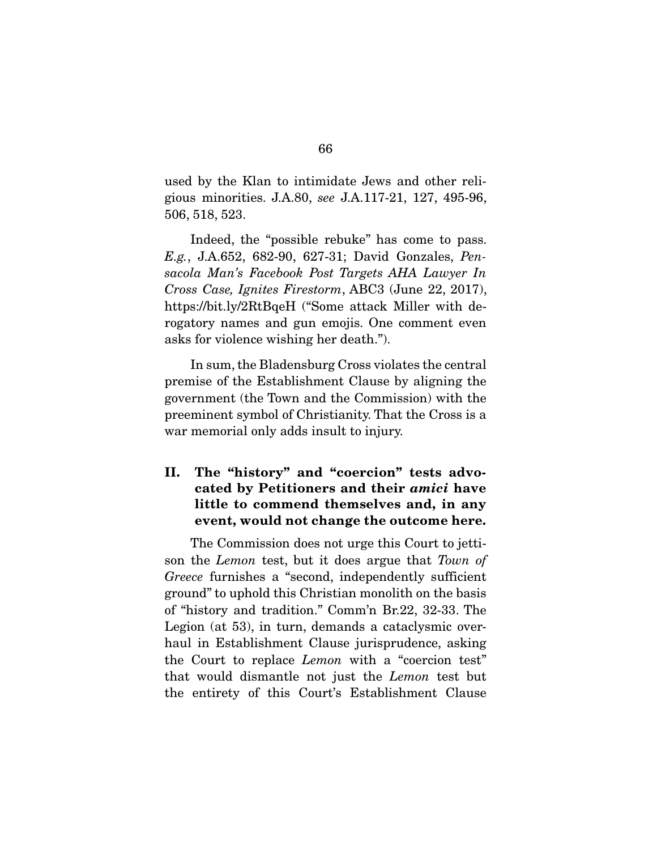used by the Klan to intimidate Jews and other religious minorities. J.A.80, *see* J.A.117-21, 127, 495-96, 506, 518, 523.

 Indeed, the "possible rebuke" has come to pass. *E.g.*, J.A.652, 682-90, 627-31; David Gonzales, *Pensacola Man's Facebook Post Targets AHA Lawyer In Cross Case, Ignites Firestorm*, ABC3 (June 22, 2017), https://bit.ly/2RtBqeH ("Some attack Miller with derogatory names and gun emojis. One comment even asks for violence wishing her death.").

 In sum, the Bladensburg Cross violates the central premise of the Establishment Clause by aligning the government (the Town and the Commission) with the preeminent symbol of Christianity. That the Cross is a war memorial only adds insult to injury.

# II. The "history" and "coercion" tests advocated by Petitioners and their *amici* have little to commend themselves and, in any event, would not change the outcome here.

 The Commission does not urge this Court to jettison the *Lemon* test, but it does argue that *Town of Greece* furnishes a "second, independently sufficient ground" to uphold this Christian monolith on the basis of "history and tradition." Comm'n Br.22, 32-33. The Legion (at 53), in turn, demands a cataclysmic overhaul in Establishment Clause jurisprudence, asking the Court to replace *Lemon* with a "coercion test" that would dismantle not just the *Lemon* test but the entirety of this Court's Establishment Clause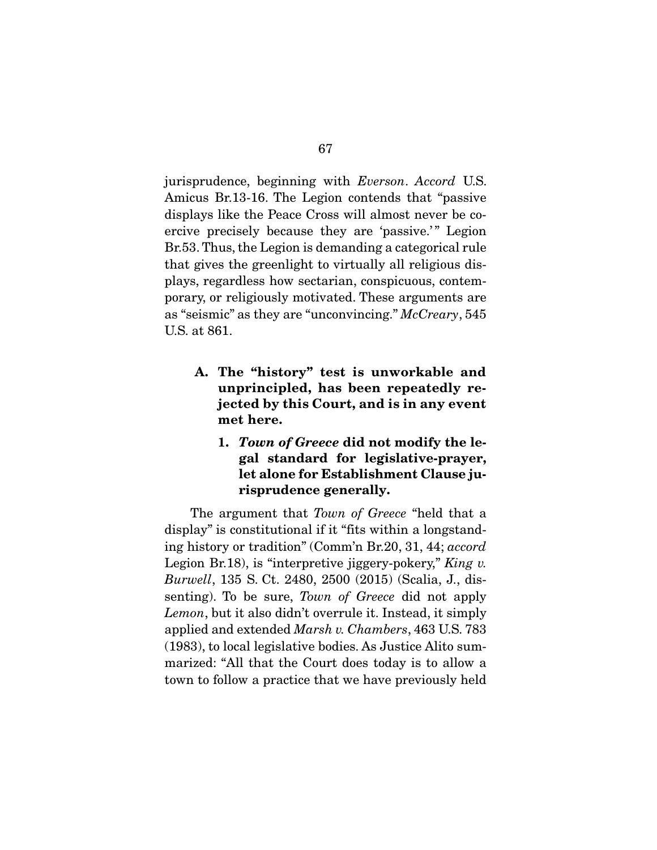jurisprudence, beginning with *Everson*. *Accord* U.S. Amicus Br.13-16. The Legion contends that "passive displays like the Peace Cross will almost never be coercive precisely because they are 'passive.'" Legion Br.53. Thus, the Legion is demanding a categorical rule that gives the greenlight to virtually all religious displays, regardless how sectarian, conspicuous, contemporary, or religiously motivated. These arguments are as "seismic" as they are "unconvincing." *McCreary*, 545 U.S. at 861.

- A. The "history" test is unworkable and unprincipled, has been repeatedly rejected by this Court, and is in any event met here.
	- 1. *Town of Greece* did not modify the legal standard for legislative-prayer, let alone for Establishment Clause jurisprudence generally.

 The argument that *Town of Greece* "held that a display" is constitutional if it "fits within a longstanding history or tradition" (Comm'n Br.20, 31, 44; *accord* Legion Br.18), is "interpretive jiggery-pokery," *King v. Burwell*, 135 S. Ct. 2480, 2500 (2015) (Scalia, J., dissenting). To be sure, *Town of Greece* did not apply *Lemon*, but it also didn't overrule it. Instead, it simply applied and extended *Marsh v. Chambers*, 463 U.S. 783 (1983), to local legislative bodies. As Justice Alito summarized: "All that the Court does today is to allow a town to follow a practice that we have previously held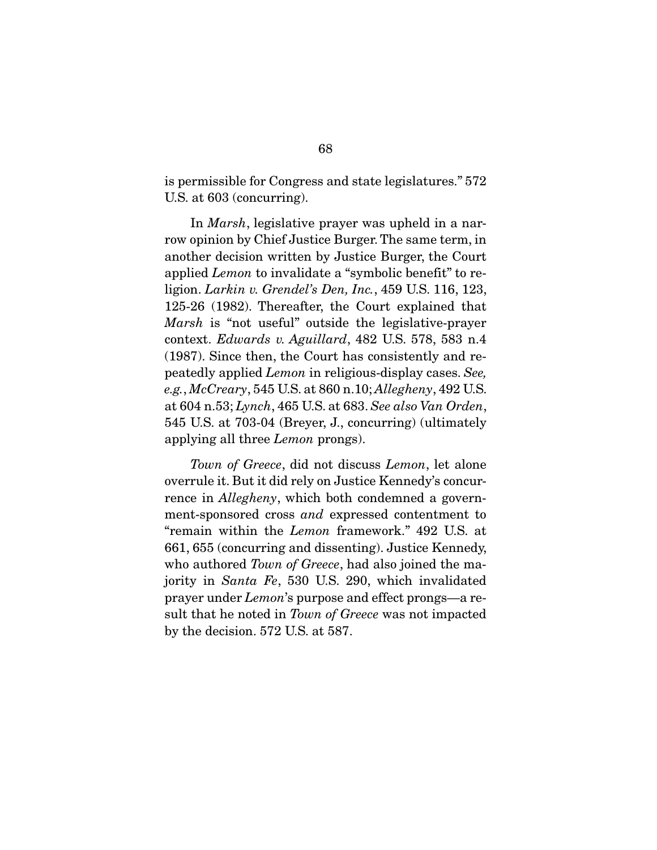is permissible for Congress and state legislatures." 572 U.S. at 603 (concurring).

 In *Marsh*, legislative prayer was upheld in a narrow opinion by Chief Justice Burger. The same term, in another decision written by Justice Burger, the Court applied *Lemon* to invalidate a "symbolic benefit" to religion. *Larkin v. Grendel's Den, Inc.*, 459 U.S. 116, 123, 125-26 (1982). Thereafter, the Court explained that *Marsh* is "not useful" outside the legislative-prayer context. *Edwards v. Aguillard*, 482 U.S. 578, 583 n.4 (1987). Since then, the Court has consistently and repeatedly applied *Lemon* in religious-display cases. *See, e.g.*, *McCreary*, 545 U.S. at 860 n.10; *Allegheny*, 492 U.S. at 604 n.53; *Lynch*, 465 U.S. at 683. *See also Van Orden*, 545 U.S. at 703-04 (Breyer, J., concurring) (ultimately applying all three *Lemon* prongs).

*Town of Greece*, did not discuss *Lemon*, let alone overrule it. But it did rely on Justice Kennedy's concurrence in *Allegheny*, which both condemned a government-sponsored cross *and* expressed contentment to "remain within the *Lemon* framework." 492 U.S. at 661, 655 (concurring and dissenting). Justice Kennedy, who authored *Town of Greece*, had also joined the majority in *Santa Fe*, 530 U.S. 290, which invalidated prayer under *Lemon*'s purpose and effect prongs—a result that he noted in *Town of Greece* was not impacted by the decision. 572 U.S. at 587.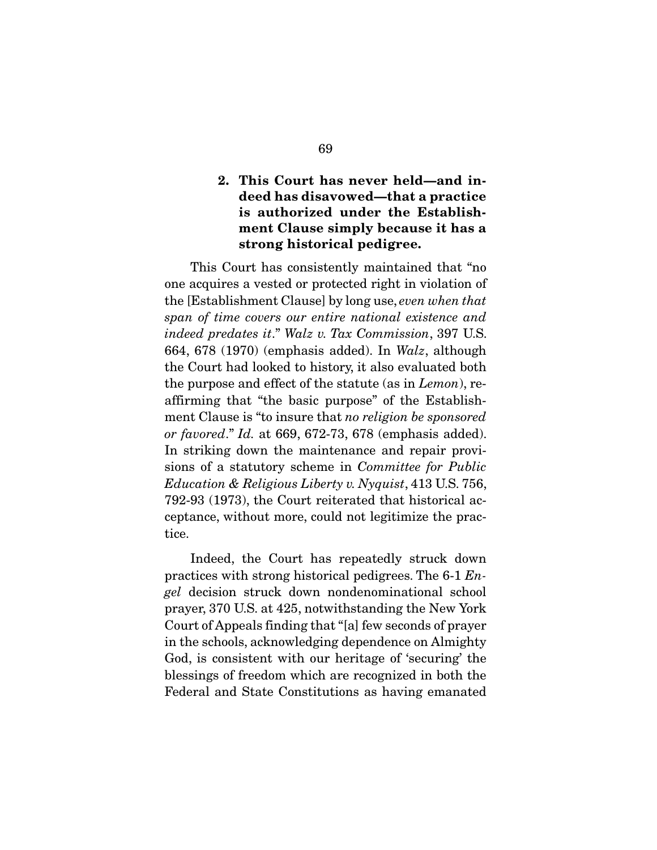## 2. This Court has never held—and indeed has disavowed—that a practice is authorized under the Establishment Clause simply because it has a strong historical pedigree.

 This Court has consistently maintained that "no one acquires a vested or protected right in violation of the [Establishment Clause] by long use, *even when that span of time covers our entire national existence and indeed predates it*." *Walz v. Tax Commission*, 397 U.S. 664, 678 (1970) (emphasis added). In *Walz*, although the Court had looked to history, it also evaluated both the purpose and effect of the statute (as in *Lemon*), reaffirming that "the basic purpose" of the Establishment Clause is "to insure that *no religion be sponsored or favored*." *Id.* at 669, 672-73, 678 (emphasis added). In striking down the maintenance and repair provisions of a statutory scheme in *Committee for Public Education & Religious Liberty v. Nyquist*, 413 U.S. 756, 792-93 (1973), the Court reiterated that historical acceptance, without more, could not legitimize the practice.

 Indeed, the Court has repeatedly struck down practices with strong historical pedigrees. The 6-1 *Engel* decision struck down nondenominational school prayer, 370 U.S. at 425, notwithstanding the New York Court of Appeals finding that "[a] few seconds of prayer in the schools, acknowledging dependence on Almighty God, is consistent with our heritage of 'securing' the blessings of freedom which are recognized in both the Federal and State Constitutions as having emanated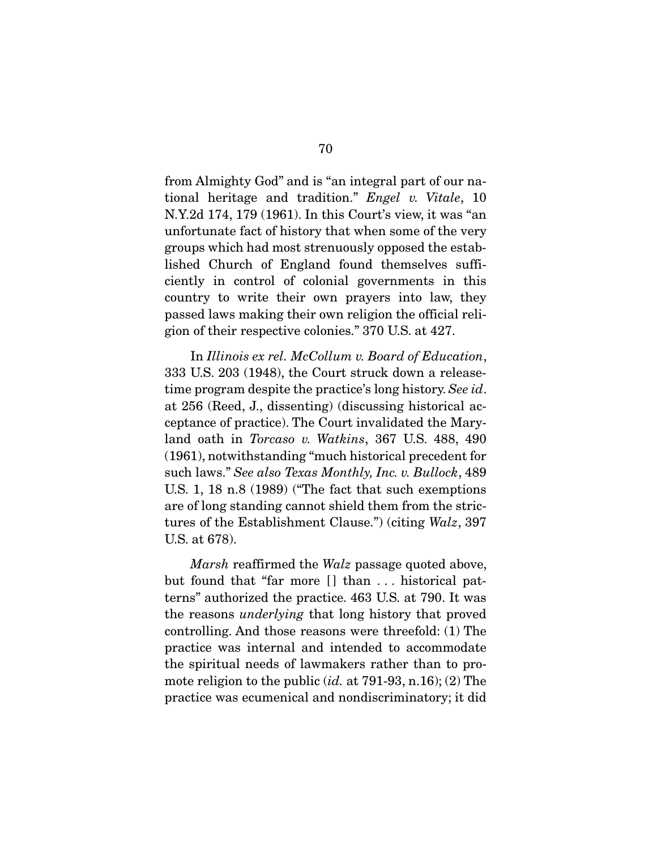from Almighty God" and is "an integral part of our national heritage and tradition." *Engel v. Vitale*, 10 N.Y.2d 174, 179 (1961). In this Court's view, it was "an unfortunate fact of history that when some of the very groups which had most strenuously opposed the established Church of England found themselves sufficiently in control of colonial governments in this country to write their own prayers into law, they passed laws making their own religion the official religion of their respective colonies." 370 U.S. at 427.

 In *Illinois ex rel. McCollum v. Board of Education*, 333 U.S. 203 (1948), the Court struck down a releasetime program despite the practice's long history. *See id*. at 256 (Reed, J., dissenting) (discussing historical acceptance of practice). The Court invalidated the Maryland oath in *Torcaso v. Watkins*, 367 U.S. 488, 490 (1961), notwithstanding "much historical precedent for such laws." *See also Texas Monthly, Inc. v. Bullock*, 489 U.S. 1, 18 n.8 (1989) ("The fact that such exemptions are of long standing cannot shield them from the strictures of the Establishment Clause.") (citing *Walz*, 397 U.S. at 678).

*Marsh* reaffirmed the *Walz* passage quoted above, but found that "far more [] than ... historical patterns" authorized the practice. 463 U.S. at 790. It was the reasons *underlying* that long history that proved controlling. And those reasons were threefold: (1) The practice was internal and intended to accommodate the spiritual needs of lawmakers rather than to promote religion to the public (*id.* at 791-93, n.16); (2) The practice was ecumenical and nondiscriminatory; it did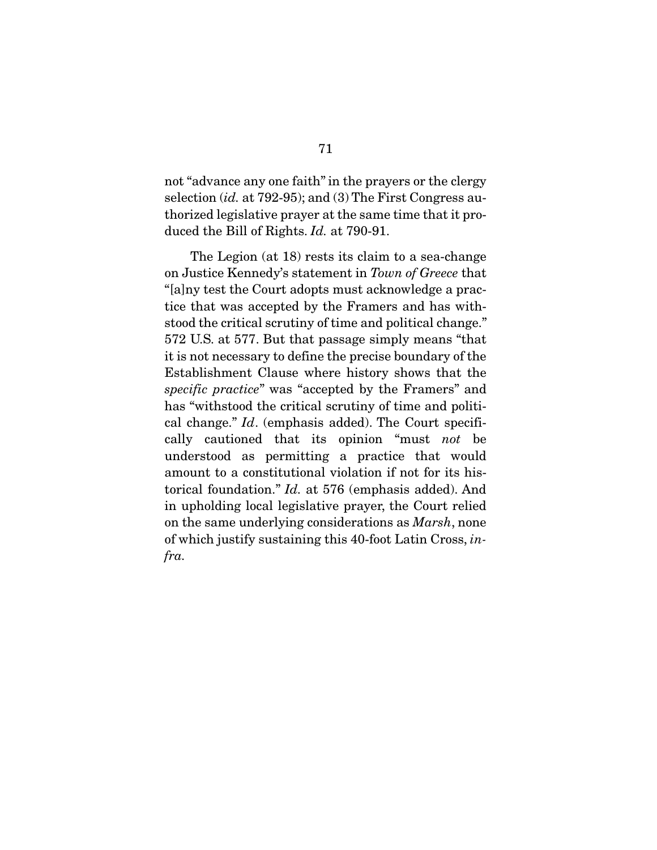not "advance any one faith" in the prayers or the clergy selection (*id.* at 792-95); and (3) The First Congress authorized legislative prayer at the same time that it produced the Bill of Rights. *Id.* at 790-91.

 The Legion (at 18) rests its claim to a sea-change on Justice Kennedy's statement in *Town of Greece* that "[a]ny test the Court adopts must acknowledge a practice that was accepted by the Framers and has withstood the critical scrutiny of time and political change." 572 U.S. at 577. But that passage simply means "that it is not necessary to define the precise boundary of the Establishment Clause where history shows that the *specific practice*" was "accepted by the Framers" and has "withstood the critical scrutiny of time and political change." *Id*. (emphasis added). The Court specifically cautioned that its opinion "must *not* be understood as permitting a practice that would amount to a constitutional violation if not for its historical foundation." *Id.* at 576 (emphasis added). And in upholding local legislative prayer, the Court relied on the same underlying considerations as *Marsh*, none of which justify sustaining this 40-foot Latin Cross, *infra.*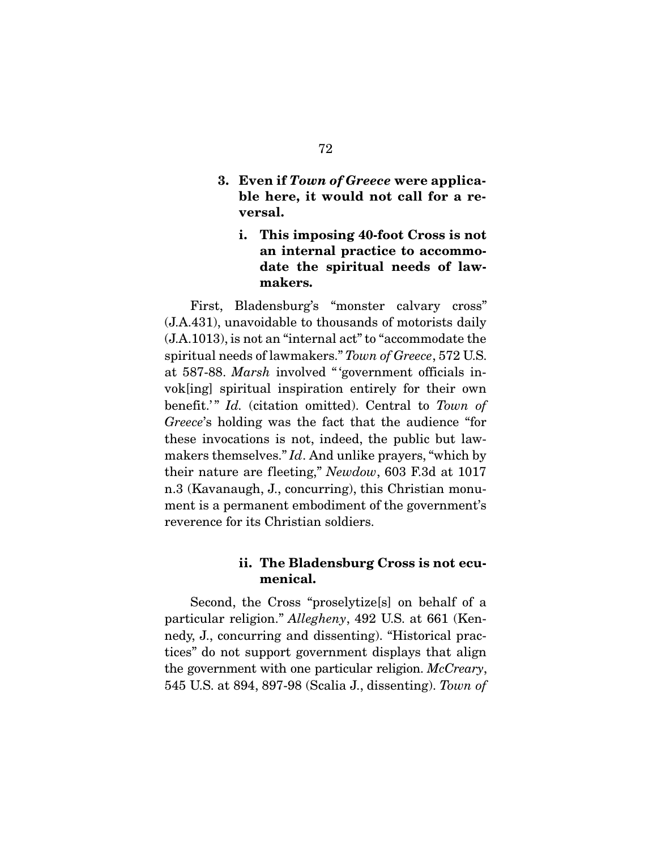- 3. Even if *Town of Greece* were applicable here, it would not call for a reversal.
	- i. This imposing 40-foot Cross is not an internal practice to accommodate the spiritual needs of lawmakers.

 First, Bladensburg's "monster calvary cross" (J.A.431), unavoidable to thousands of motorists daily (J.A.1013), is not an "internal act" to "accommodate the spiritual needs of lawmakers." *Town of Greece*, 572 U.S. at 587-88. *Marsh* involved " 'government officials invok[ing] spiritual inspiration entirely for their own benefit.'" *Id.* (citation omitted). Central to *Town of Greece*'s holding was the fact that the audience "for these invocations is not, indeed, the public but lawmakers themselves." *Id*. And unlike prayers, "which by their nature are fleeting," *Newdow*, 603 F.3d at 1017 n.3 (Kavanaugh, J., concurring), this Christian monument is a permanent embodiment of the government's reverence for its Christian soldiers.

#### ii. The Bladensburg Cross is not ecumenical.

 Second, the Cross "proselytize[s] on behalf of a particular religion." *Allegheny*, 492 U.S. at 661 (Kennedy, J., concurring and dissenting). "Historical practices" do not support government displays that align the government with one particular religion. *McCreary*, 545 U.S. at 894, 897-98 (Scalia J., dissenting). *Town of*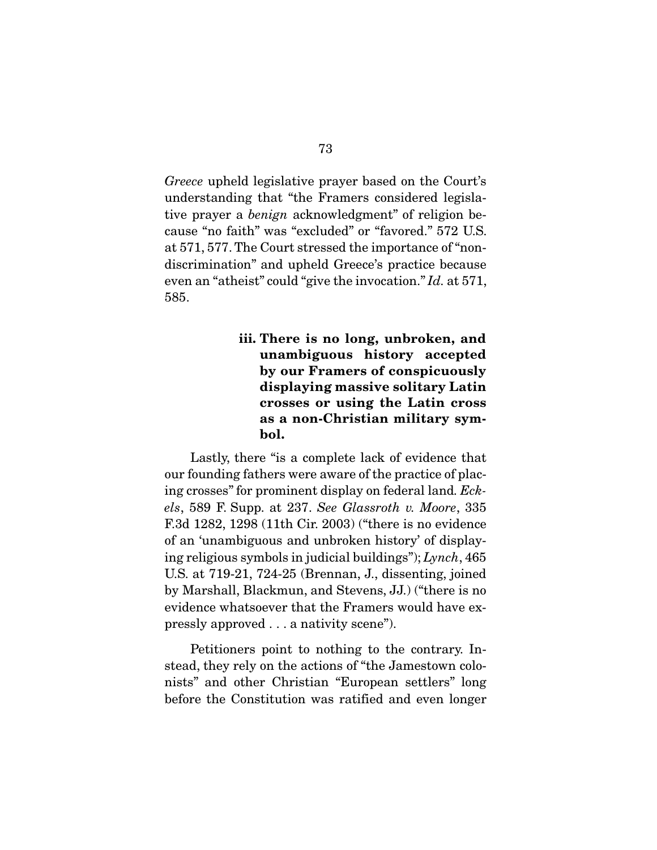*Greece* upheld legislative prayer based on the Court's understanding that "the Framers considered legislative prayer a *benign* acknowledgment" of religion because "no faith" was "excluded" or "favored." 572 U.S. at 571, 577. The Court stressed the importance of "nondiscrimination" and upheld Greece's practice because even an "atheist" could "give the invocation." *Id.* at 571, 585.

## iii. There is no long, unbroken, and unambiguous history accepted by our Framers of conspicuously displaying massive solitary Latin crosses or using the Latin cross as a non-Christian military symbol.

 Lastly, there "is a complete lack of evidence that our founding fathers were aware of the practice of placing crosses" for prominent display on federal land*. Eckels*, 589 F. Supp. at 237. *See Glassroth v. Moore*, 335 F.3d 1282, 1298 (11th Cir. 2003) ("there is no evidence of an 'unambiguous and unbroken history' of displaying religious symbols in judicial buildings"); *Lynch*, 465 U.S. at 719-21, 724-25 (Brennan, J., dissenting, joined by Marshall, Blackmun, and Stevens, JJ.) ("there is no evidence whatsoever that the Framers would have expressly approved . . . a nativity scene").

 Petitioners point to nothing to the contrary. Instead, they rely on the actions of "the Jamestown colonists" and other Christian "European settlers" long before the Constitution was ratified and even longer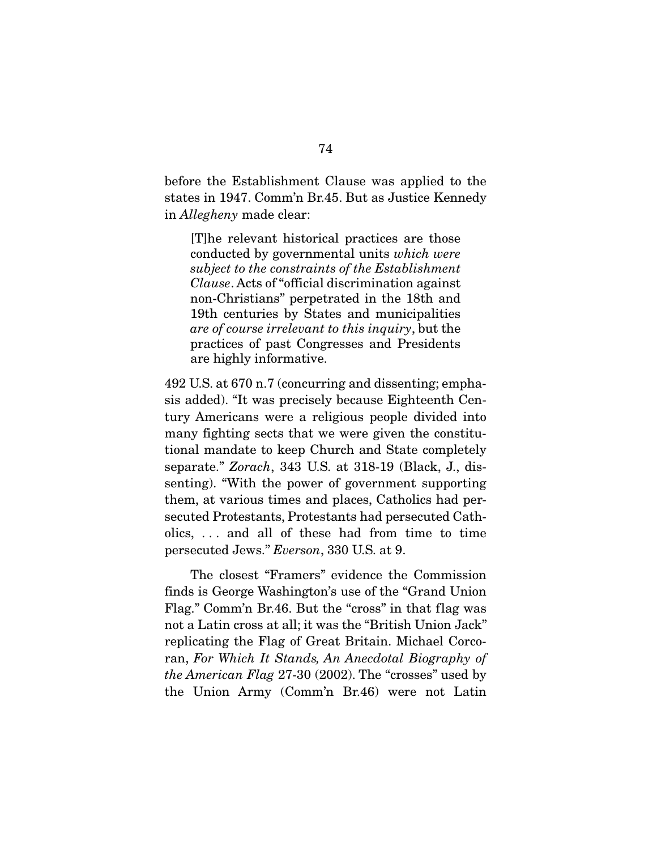before the Establishment Clause was applied to the states in 1947. Comm'n Br.45. But as Justice Kennedy in *Allegheny* made clear:

[T]he relevant historical practices are those conducted by governmental units *which were subject to the constraints of the Establishment Clause*. Acts of "official discrimination against non-Christians" perpetrated in the 18th and 19th centuries by States and municipalities *are of course irrelevant to this inquiry*, but the practices of past Congresses and Presidents are highly informative.

492 U.S. at 670 n.7 (concurring and dissenting; emphasis added). "It was precisely because Eighteenth Century Americans were a religious people divided into many fighting sects that we were given the constitutional mandate to keep Church and State completely separate." *Zorach*, 343 U.S. at 318-19 (Black, J., dissenting). "With the power of government supporting them, at various times and places, Catholics had persecuted Protestants, Protestants had persecuted Catholics, . . . and all of these had from time to time persecuted Jews." *Everson*, 330 U.S. at 9.

The closest "Framers" evidence the Commission finds is George Washington's use of the "Grand Union Flag." Comm'n Br.46. But the "cross" in that flag was not a Latin cross at all; it was the "British Union Jack" replicating the Flag of Great Britain. Michael Corcoran, *For Which It Stands, An Anecdotal Biography of the American Flag* 27-30 (2002). The "crosses" used by the Union Army (Comm'n Br.46) were not Latin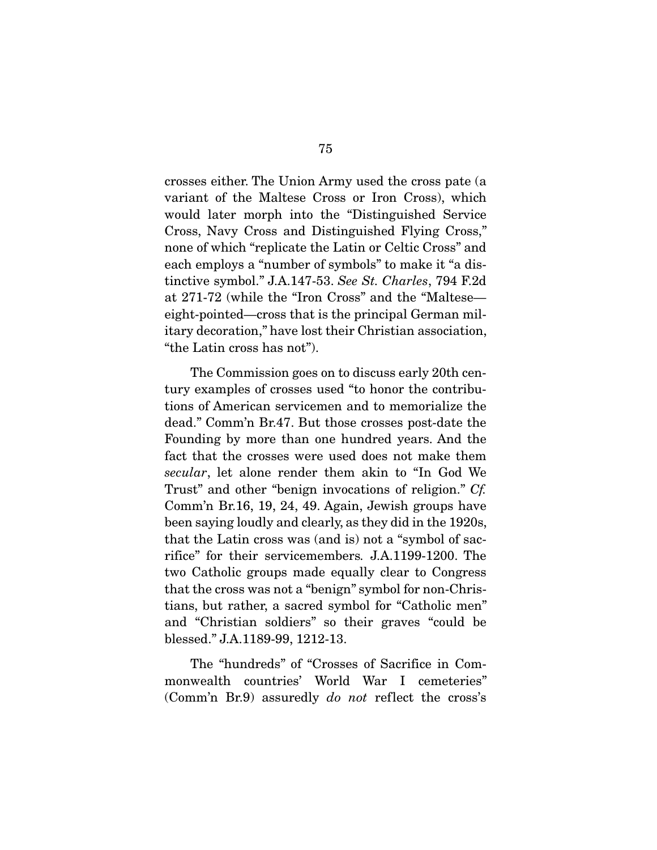crosses either. The Union Army used the cross pate (a variant of the Maltese Cross or Iron Cross), which would later morph into the "Distinguished Service Cross, Navy Cross and Distinguished Flying Cross," none of which "replicate the Latin or Celtic Cross" and each employs a "number of symbols" to make it "a distinctive symbol." J.A.147-53. *See St. Charles*, 794 F.2d at 271-72 (while the "Iron Cross" and the "Maltese eight-pointed—cross that is the principal German military decoration," have lost their Christian association, "the Latin cross has not").

 The Commission goes on to discuss early 20th century examples of crosses used "to honor the contributions of American servicemen and to memorialize the dead." Comm'n Br.47. But those crosses post-date the Founding by more than one hundred years. And the fact that the crosses were used does not make them *secular*, let alone render them akin to "In God We Trust" and other "benign invocations of religion." *Cf.* Comm'n Br.16, 19, 24, 49. Again, Jewish groups have been saying loudly and clearly, as they did in the 1920s, that the Latin cross was (and is) not a "symbol of sacrifice" for their servicemembers*.* J.A.1199-1200. The two Catholic groups made equally clear to Congress that the cross was not a "benign" symbol for non-Christians, but rather, a sacred symbol for "Catholic men" and "Christian soldiers" so their graves "could be blessed." J.A.1189-99, 1212-13.

 The "hundreds" of "Crosses of Sacrifice in Commonwealth countries' World War I cemeteries" (Comm'n Br.9) assuredly *do not* reflect the cross's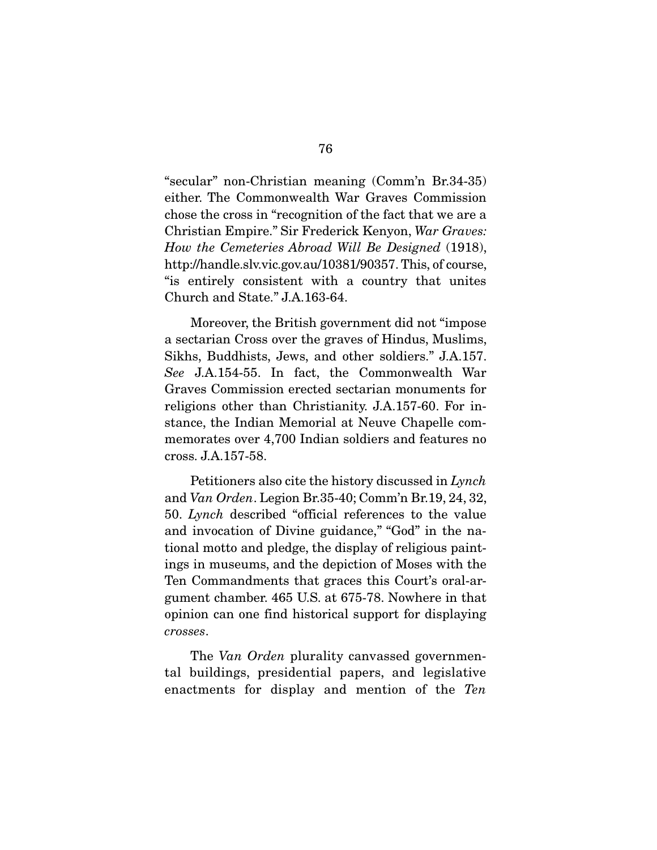"secular" non-Christian meaning (Comm'n Br.34-35) either. The Commonwealth War Graves Commission chose the cross in "recognition of the fact that we are a Christian Empire." Sir Frederick Kenyon, *War Graves: How the Cemeteries Abroad Will Be Designed* (1918), http://handle.slv.vic.gov.au/10381/90357. This, of course, "is entirely consistent with a country that unites Church and State." J.A.163-64.

 Moreover, the British government did not "impose a sectarian Cross over the graves of Hindus, Muslims, Sikhs, Buddhists, Jews, and other soldiers." J.A.157. *See* J.A.154-55. In fact, the Commonwealth War Graves Commission erected sectarian monuments for religions other than Christianity. J.A.157-60. For instance, the Indian Memorial at Neuve Chapelle commemorates over 4,700 Indian soldiers and features no cross. J.A.157-58.

 Petitioners also cite the history discussed in *Lynch*  and *Van Orden*. Legion Br.35-40; Comm'n Br.19, 24, 32, 50. *Lynch* described "official references to the value and invocation of Divine guidance," "God" in the national motto and pledge, the display of religious paintings in museums, and the depiction of Moses with the Ten Commandments that graces this Court's oral-argument chamber. 465 U.S. at 675-78. Nowhere in that opinion can one find historical support for displaying *crosses*.

 The *Van Orden* plurality canvassed governmental buildings, presidential papers, and legislative enactments for display and mention of the *Ten*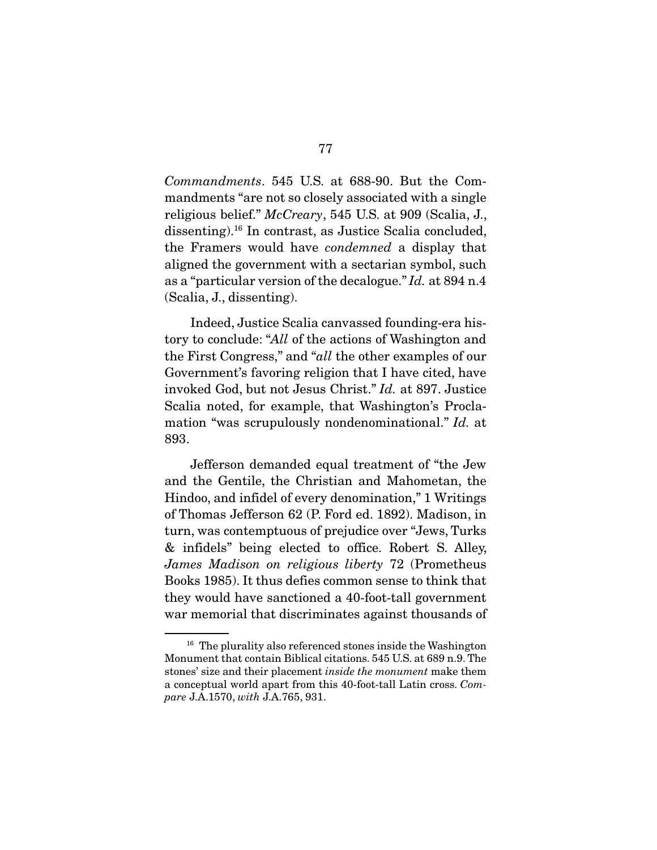*Commandments*. 545 U.S. at 688-90. But the Commandments "are not so closely associated with a single religious belief." *McCreary*, 545 U.S. at 909 (Scalia, J., dissenting).16 In contrast, as Justice Scalia concluded, the Framers would have *condemned* a display that aligned the government with a sectarian symbol, such as a "particular version of the decalogue." *Id.* at 894 n.4 (Scalia, J., dissenting).

 Indeed, Justice Scalia canvassed founding-era history to conclude: "*All* of the actions of Washington and the First Congress," and "*all* the other examples of our Government's favoring religion that I have cited, have invoked God, but not Jesus Christ." *Id.* at 897. Justice Scalia noted, for example, that Washington's Proclamation "was scrupulously nondenominational." *Id.* at 893.

 Jefferson demanded equal treatment of "the Jew and the Gentile, the Christian and Mahometan, the Hindoo, and infidel of every denomination," 1 Writings of Thomas Jefferson 62 (P. Ford ed. 1892). Madison, in turn, was contemptuous of prejudice over "Jews, Turks & infidels" being elected to office. Robert S. Alley, *James Madison on religious liberty* 72 (Prometheus Books 1985). It thus defies common sense to think that they would have sanctioned a 40-foot-tall government war memorial that discriminates against thousands of

<sup>&</sup>lt;sup>16</sup> The plurality also referenced stones inside the Washington Monument that contain Biblical citations. 545 U.S. at 689 n.9. The stones' size and their placement *inside the monument* make them a conceptual world apart from this 40-foot-tall Latin cross. *Compare* J.A.1570, *with* J.A.765, 931.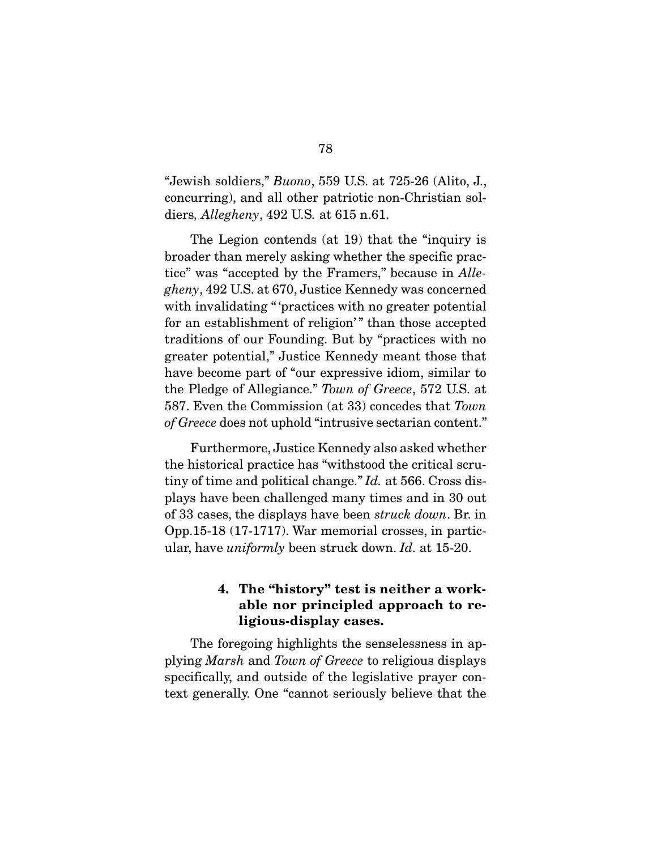"Jewish soldiers," *Buono*, 559 U.S. at 725-26 (Alito, J., concurring), and all other patriotic non-Christian soldiers*, Allegheny*, 492 U.S*.* at 615 n.61.

 The Legion contends (at 19) that the "inquiry is broader than merely asking whether the specific practice" was "accepted by the Framers," because in *Allegheny*, 492 U.S. at 670, Justice Kennedy was concerned with invalidating "'practices with no greater potential for an establishment of religion'" than those accepted traditions of our Founding. But by "practices with no greater potential," Justice Kennedy meant those that have become part of "our expressive idiom, similar to the Pledge of Allegiance." *Town of Greece*, 572 U.S. at 587. Even the Commission (at 33) concedes that *Town of Greece* does not uphold "intrusive sectarian content."

 Furthermore, Justice Kennedy also asked whether the historical practice has "withstood the critical scrutiny of time and political change." *Id.* at 566. Cross displays have been challenged many times and in 30 out of 33 cases, the displays have been *struck down*. Br. in Opp.15-18 (17-1717). War memorial crosses, in particular, have *uniformly* been struck down. *Id.* at 15-20.

### 4. The "history" test is neither a workable nor principled approach to religious-display cases.

 The foregoing highlights the senselessness in applying *Marsh* and *Town of Greece* to religious displays specifically, and outside of the legislative prayer context generally. One "cannot seriously believe that the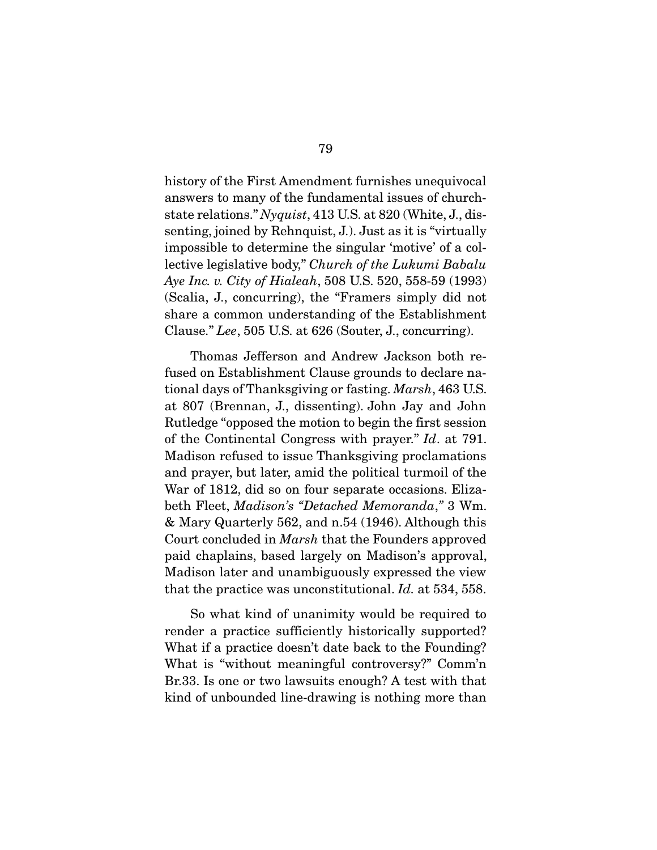history of the First Amendment furnishes unequivocal answers to many of the fundamental issues of churchstate relations." *Nyquist*, 413 U.S. at 820 (White, J., dissenting, joined by Rehnquist, J.). Just as it is "virtually impossible to determine the singular 'motive' of a collective legislative body," *Church of the Lukumi Babalu Aye Inc. v. City of Hialeah*, 508 U.S. 520, 558-59 (1993) (Scalia, J., concurring), the "Framers simply did not share a common understanding of the Establishment Clause." *Lee*, 505 U.S. at 626 (Souter, J., concurring).

 Thomas Jefferson and Andrew Jackson both refused on Establishment Clause grounds to declare national days of Thanksgiving or fasting. *Marsh*, 463 U.S. at 807 (Brennan, J., dissenting). John Jay and John Rutledge "opposed the motion to begin the first session of the Continental Congress with prayer." *Id*. at 791. Madison refused to issue Thanksgiving proclamations and prayer, but later, amid the political turmoil of the War of 1812, did so on four separate occasions. Elizabeth Fleet, *Madison's "Detached Memoranda*,*"* 3 Wm. & Mary Quarterly 562, and n.54 (1946). Although this Court concluded in *Marsh* that the Founders approved paid chaplains, based largely on Madison's approval, Madison later and unambiguously expressed the view that the practice was unconstitutional. *Id.* at 534, 558.

 So what kind of unanimity would be required to render a practice sufficiently historically supported? What if a practice doesn't date back to the Founding? What is "without meaningful controversy?" Comm'n Br.33. Is one or two lawsuits enough? A test with that kind of unbounded line-drawing is nothing more than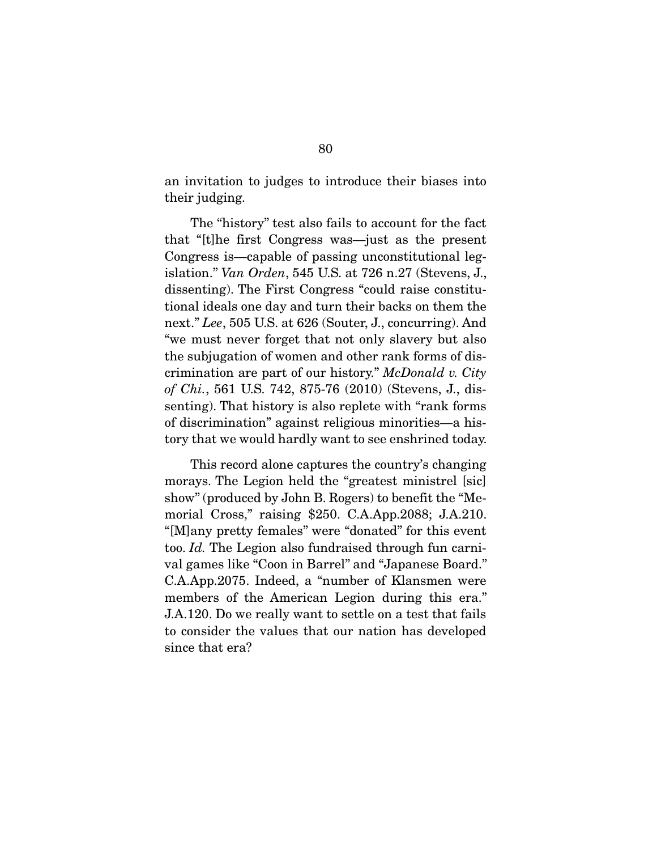an invitation to judges to introduce their biases into their judging.

 The "history" test also fails to account for the fact that "[t]he first Congress was—just as the present Congress is—capable of passing unconstitutional legislation." *Van Orden*, 545 U.S. at 726 n.27 (Stevens, J., dissenting). The First Congress "could raise constitutional ideals one day and turn their backs on them the next." *Lee*, 505 U.S. at 626 (Souter, J., concurring). And "we must never forget that not only slavery but also the subjugation of women and other rank forms of discrimination are part of our history." *McDonald v. City of Chi.*, 561 U.S. 742, 875-76 (2010) (Stevens, J., dissenting). That history is also replete with "rank forms of discrimination" against religious minorities—a history that we would hardly want to see enshrined today.

This record alone captures the country's changing morays. The Legion held the "greatest ministrel [sic] show" (produced by John B. Rogers) to benefit the "Memorial Cross," raising \$250. C.A.App.2088; J.A.210. "[M]any pretty females" were "donated" for this event too. *Id.* The Legion also fundraised through fun carnival games like "Coon in Barrel" and "Japanese Board." C.A.App.2075. Indeed, a "number of Klansmen were members of the American Legion during this era." J.A.120. Do we really want to settle on a test that fails to consider the values that our nation has developed since that era?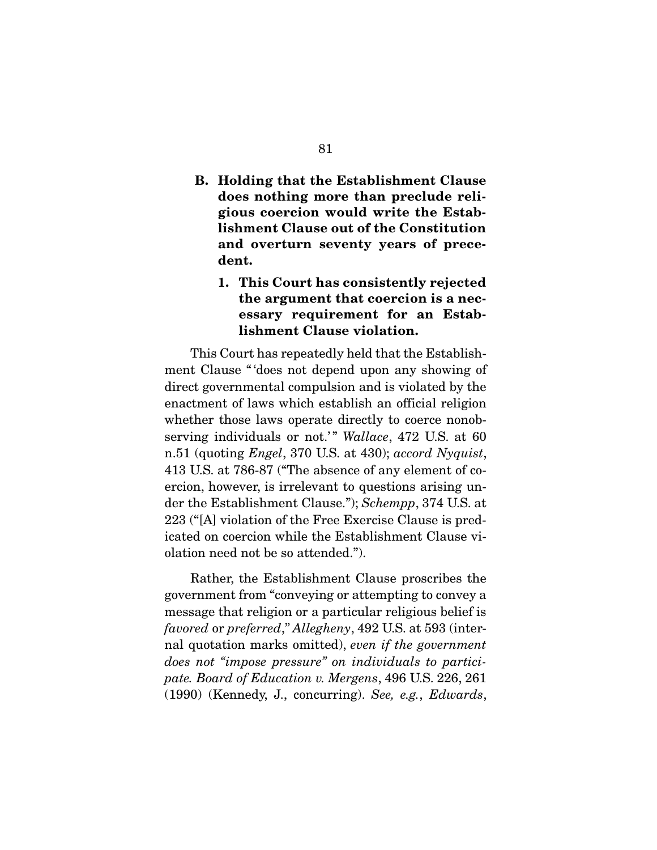B. Holding that the Establishment Clause does nothing more than preclude religious coercion would write the Establishment Clause out of the Constitution and overturn seventy years of precedent.

## 1. This Court has consistently rejected the argument that coercion is a necessary requirement for an Establishment Clause violation.

This Court has repeatedly held that the Establishment Clause " 'does not depend upon any showing of direct governmental compulsion and is violated by the enactment of laws which establish an official religion whether those laws operate directly to coerce nonobserving individuals or not.'" *Wallace*, 472 U.S. at 60 n.51 (quoting *Engel*, 370 U.S. at 430); *accord Nyquist*, 413 U.S. at 786-87 ("The absence of any element of coercion, however, is irrelevant to questions arising under the Establishment Clause."); *Schempp*, 374 U.S. at 223 ("[A] violation of the Free Exercise Clause is predicated on coercion while the Establishment Clause violation need not be so attended.").

 Rather, the Establishment Clause proscribes the government from "conveying or attempting to convey a message that religion or a particular religious belief is *favored* or *preferred*," *Allegheny*, 492 U.S. at 593 (internal quotation marks omitted), *even if the government does not "impose pressure" on individuals to participate. Board of Education v. Mergens*, 496 U.S. 226, 261 (1990) (Kennedy, J., concurring). *See, e.g.*, *Edwards*,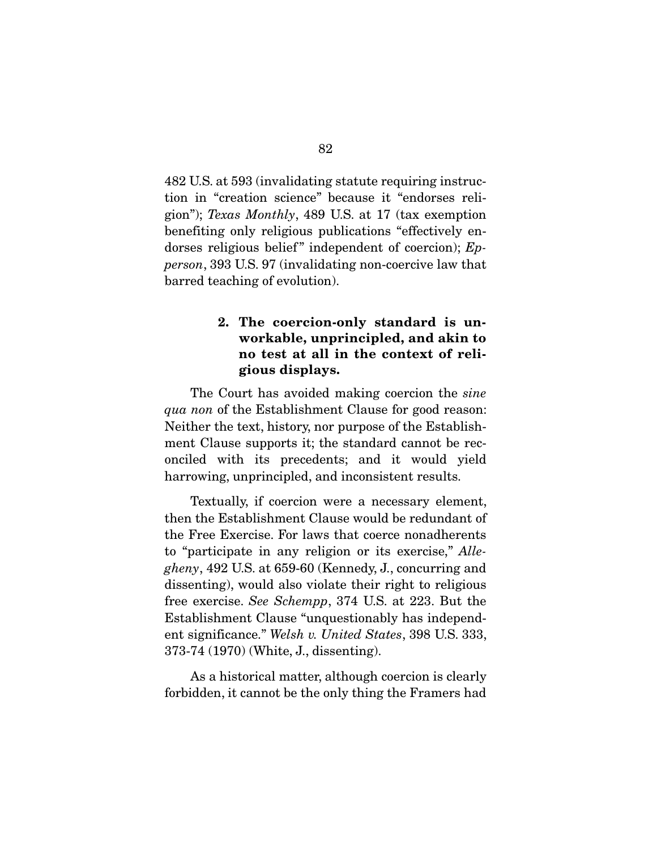482 U.S. at 593 (invalidating statute requiring instruction in "creation science" because it "endorses religion"); *Texas Monthly*, 489 U.S. at 17 (tax exemption benefiting only religious publications "effectively endorses religious belief" independent of coercion); *Epperson*, 393 U.S. 97 (invalidating non-coercive law that barred teaching of evolution).

### 2. The coercion-only standard is unworkable, unprincipled, and akin to no test at all in the context of religious displays.

 The Court has avoided making coercion the *sine qua non* of the Establishment Clause for good reason: Neither the text, history, nor purpose of the Establishment Clause supports it; the standard cannot be reconciled with its precedents; and it would yield harrowing, unprincipled, and inconsistent results.

 Textually, if coercion were a necessary element, then the Establishment Clause would be redundant of the Free Exercise. For laws that coerce nonadherents to "participate in any religion or its exercise," *Allegheny*, 492 U.S. at 659-60 (Kennedy, J., concurring and dissenting), would also violate their right to religious free exercise. *See Schempp*, 374 U.S. at 223. But the Establishment Clause "unquestionably has independent significance." *Welsh v. United States*, 398 U.S. 333, 373-74 (1970) (White, J., dissenting).

 As a historical matter, although coercion is clearly forbidden, it cannot be the only thing the Framers had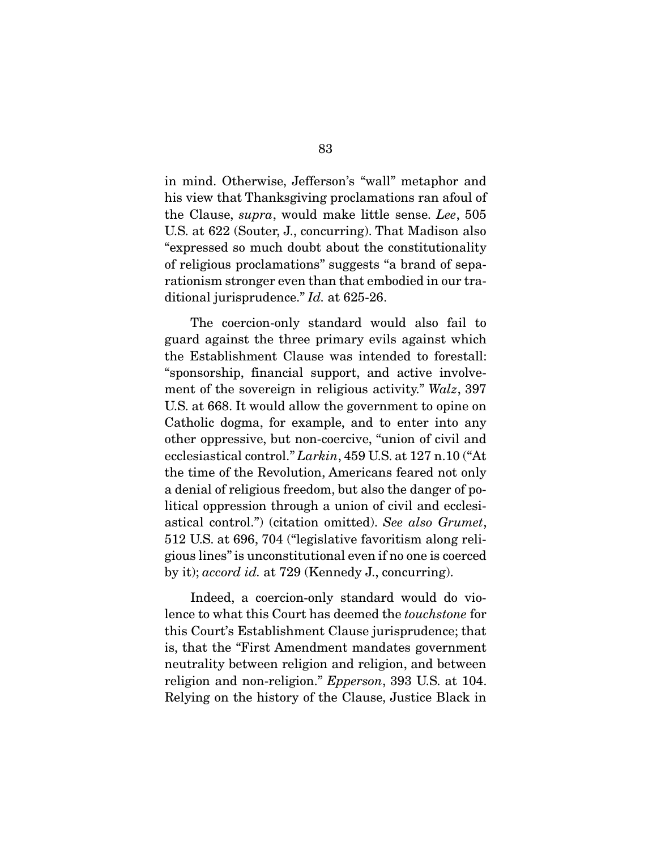in mind. Otherwise, Jefferson's "wall" metaphor and his view that Thanksgiving proclamations ran afoul of the Clause, *supra*, would make little sense. *Lee*, 505 U.S. at 622 (Souter, J., concurring). That Madison also "expressed so much doubt about the constitutionality of religious proclamations" suggests "a brand of separationism stronger even than that embodied in our traditional jurisprudence." *Id.* at 625-26.

 The coercion-only standard would also fail to guard against the three primary evils against which the Establishment Clause was intended to forestall: "sponsorship, financial support, and active involvement of the sovereign in religious activity." *Walz*, 397 U.S. at 668. It would allow the government to opine on Catholic dogma, for example, and to enter into any other oppressive, but non-coercive, "union of civil and ecclesiastical control." *Larkin*, 459 U.S. at 127 n.10 ("At the time of the Revolution, Americans feared not only a denial of religious freedom, but also the danger of political oppression through a union of civil and ecclesiastical control.") (citation omitted). *See also Grumet*, 512 U.S. at 696, 704 ("legislative favoritism along religious lines" is unconstitutional even if no one is coerced by it); *accord id.* at 729 (Kennedy J., concurring).

 Indeed, a coercion-only standard would do violence to what this Court has deemed the *touchstone* for this Court's Establishment Clause jurisprudence; that is, that the "First Amendment mandates government neutrality between religion and religion, and between religion and non-religion." *Epperson*, 393 U.S. at 104. Relying on the history of the Clause, Justice Black in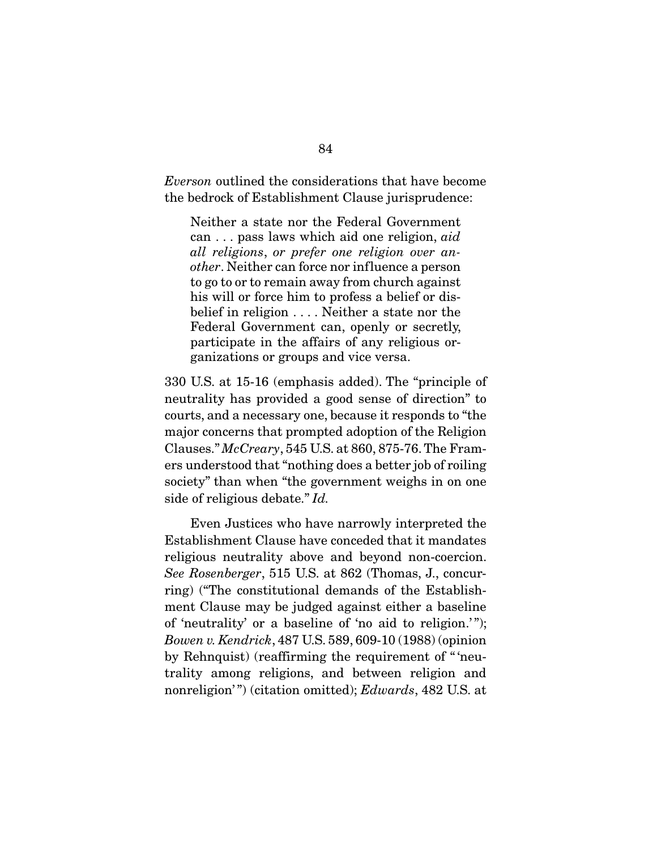*Everson* outlined the considerations that have become the bedrock of Establishment Clause jurisprudence:

Neither a state nor the Federal Government can . . . pass laws which aid one religion, *aid all religions*, *or prefer one religion over another*. Neither can force nor influence a person to go to or to remain away from church against his will or force him to profess a belief or disbelief in religion . . . . Neither a state nor the Federal Government can, openly or secretly, participate in the affairs of any religious organizations or groups and vice versa.

330 U.S. at 15-16 (emphasis added). The "principle of neutrality has provided a good sense of direction" to courts, and a necessary one, because it responds to "the major concerns that prompted adoption of the Religion Clauses." *McCreary*, 545 U.S. at 860, 875-76. The Framers understood that "nothing does a better job of roiling society" than when "the government weighs in on one side of religious debate." *Id.* 

Even Justices who have narrowly interpreted the Establishment Clause have conceded that it mandates religious neutrality above and beyond non-coercion. *See Rosenberger*, 515 U.S. at 862 (Thomas, J., concurring) ("The constitutional demands of the Establishment Clause may be judged against either a baseline of 'neutrality' or a baseline of 'no aid to religion.' "); *Bowen v. Kendrick*, 487 U.S. 589, 609-10 (1988) (opinion by Rehnquist) (reaffirming the requirement of " 'neutrality among religions, and between religion and nonreligion' ") (citation omitted); *Edwards*, 482 U.S. at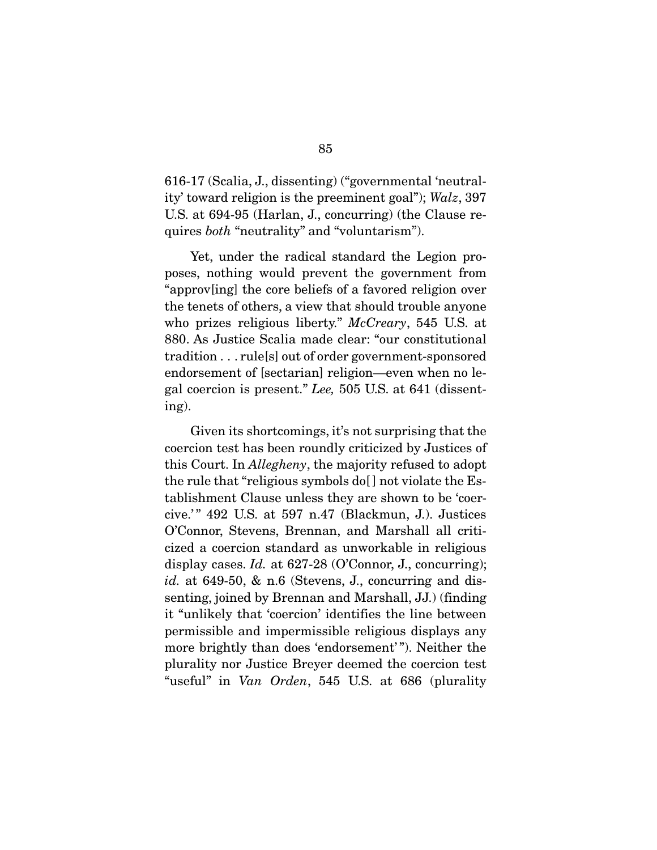616-17 (Scalia, J., dissenting) ("governmental 'neutrality' toward religion is the preeminent goal"); *Walz*, 397 U.S. at 694-95 (Harlan, J., concurring) (the Clause requires *both* "neutrality" and "voluntarism").

Yet, under the radical standard the Legion proposes, nothing would prevent the government from "approv[ing] the core beliefs of a favored religion over the tenets of others, a view that should trouble anyone who prizes religious liberty." *McCreary*, 545 U.S. at 880. As Justice Scalia made clear: "our constitutional tradition . . . rule[s] out of order government-sponsored endorsement of [sectarian] religion—even when no legal coercion is present." *Lee,* 505 U.S. at 641 (dissenting).

 Given its shortcomings, it's not surprising that the coercion test has been roundly criticized by Justices of this Court. In *Allegheny*, the majority refused to adopt the rule that "religious symbols do[ ] not violate the Establishment Clause unless they are shown to be 'coercive.' " 492 U.S. at 597 n.47 (Blackmun, J.). Justices O'Connor, Stevens, Brennan, and Marshall all criticized a coercion standard as unworkable in religious display cases. *Id.* at 627-28 (O'Connor, J., concurring); *id.* at 649-50, & n.6 (Stevens, J., concurring and dissenting, joined by Brennan and Marshall, JJ.) (finding it "unlikely that 'coercion' identifies the line between permissible and impermissible religious displays any more brightly than does 'endorsement' "). Neither the plurality nor Justice Breyer deemed the coercion test "useful" in *Van Orden*, 545 U.S. at 686 (plurality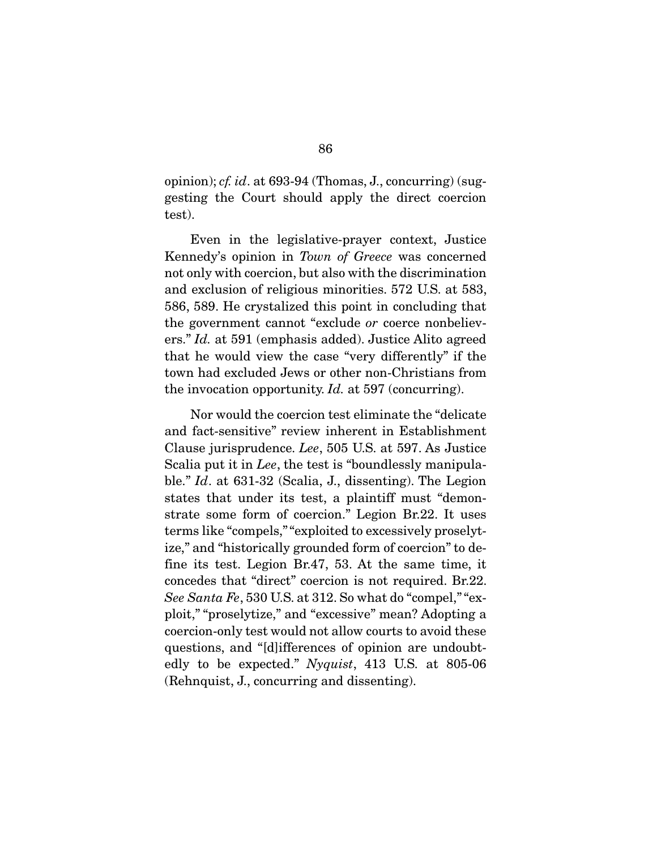opinion); *cf. id*. at 693-94 (Thomas, J., concurring) (suggesting the Court should apply the direct coercion test).

 Even in the legislative-prayer context, Justice Kennedy's opinion in *Town of Greece* was concerned not only with coercion, but also with the discrimination and exclusion of religious minorities. 572 U.S. at 583, 586, 589. He crystalized this point in concluding that the government cannot "exclude *or* coerce nonbelievers." *Id.* at 591 (emphasis added). Justice Alito agreed that he would view the case "very differently" if the town had excluded Jews or other non-Christians from the invocation opportunity. *Id.* at 597 (concurring).

 Nor would the coercion test eliminate the "delicate and fact-sensitive" review inherent in Establishment Clause jurisprudence. *Lee*, 505 U.S. at 597. As Justice Scalia put it in *Lee*, the test is "boundlessly manipulable." *Id*. at 631-32 (Scalia, J., dissenting). The Legion states that under its test, a plaintiff must "demonstrate some form of coercion." Legion Br.22. It uses terms like "compels," "exploited to excessively proselytize," and "historically grounded form of coercion" to define its test. Legion Br.47, 53. At the same time, it concedes that "direct" coercion is not required. Br.22. *See Santa Fe*, 530 U.S. at 312. So what do "compel," "exploit," "proselytize," and "excessive" mean? Adopting a coercion-only test would not allow courts to avoid these questions, and "[d]ifferences of opinion are undoubtedly to be expected." *Nyquist*, 413 U.S. at 805-06 (Rehnquist, J., concurring and dissenting).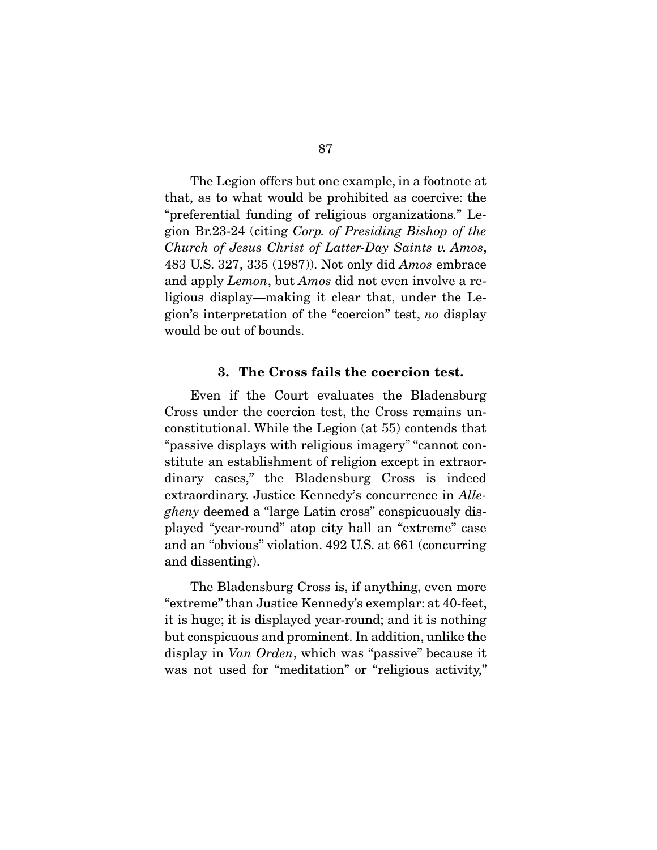The Legion offers but one example, in a footnote at that, as to what would be prohibited as coercive: the "preferential funding of religious organizations." Legion Br.23-24 (citing *Corp. of Presiding Bishop of the Church of Jesus Christ of Latter-Day Saints v. Amos*, 483 U.S. 327, 335 (1987)). Not only did *Amos* embrace and apply *Lemon*, but *Amos* did not even involve a religious display—making it clear that, under the Legion's interpretation of the "coercion" test, *no* display would be out of bounds.

#### 3. The Cross fails the coercion test.

 Even if the Court evaluates the Bladensburg Cross under the coercion test, the Cross remains unconstitutional. While the Legion (at 55) contends that "passive displays with religious imagery" "cannot constitute an establishment of religion except in extraordinary cases," the Bladensburg Cross is indeed extraordinary. Justice Kennedy's concurrence in *Allegheny* deemed a "large Latin cross" conspicuously displayed "year-round" atop city hall an "extreme" case and an "obvious" violation. 492 U.S. at 661 (concurring and dissenting).

The Bladensburg Cross is, if anything, even more "extreme" than Justice Kennedy's exemplar: at 40-feet, it is huge; it is displayed year-round; and it is nothing but conspicuous and prominent. In addition, unlike the display in *Van Orden*, which was "passive" because it was not used for "meditation" or "religious activity,"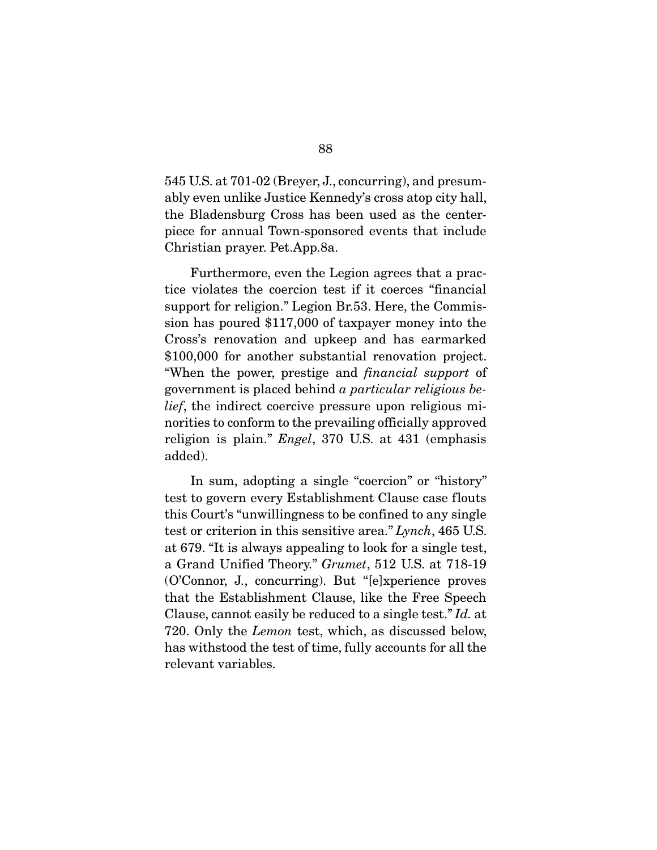545 U.S. at 701-02 (Breyer, J., concurring), and presumably even unlike Justice Kennedy's cross atop city hall, the Bladensburg Cross has been used as the centerpiece for annual Town-sponsored events that include Christian prayer. Pet.App.8a.

 Furthermore, even the Legion agrees that a practice violates the coercion test if it coerces "financial support for religion." Legion Br.53. Here, the Commission has poured \$117,000 of taxpayer money into the Cross's renovation and upkeep and has earmarked \$100,000 for another substantial renovation project. "When the power, prestige and *financial support* of government is placed behind *a particular religious belief*, the indirect coercive pressure upon religious minorities to conform to the prevailing officially approved religion is plain." *Engel*, 370 U.S. at 431 (emphasis added).

 In sum, adopting a single "coercion" or "history" test to govern every Establishment Clause case flouts this Court's "unwillingness to be confined to any single test or criterion in this sensitive area." *Lynch*, 465 U.S. at 679. "It is always appealing to look for a single test, a Grand Unified Theory." *Grumet*, 512 U.S. at 718-19 (O'Connor, J., concurring). But "[e]xperience proves that the Establishment Clause, like the Free Speech Clause, cannot easily be reduced to a single test." *Id.* at 720. Only the *Lemon* test, which, as discussed below, has withstood the test of time, fully accounts for all the relevant variables.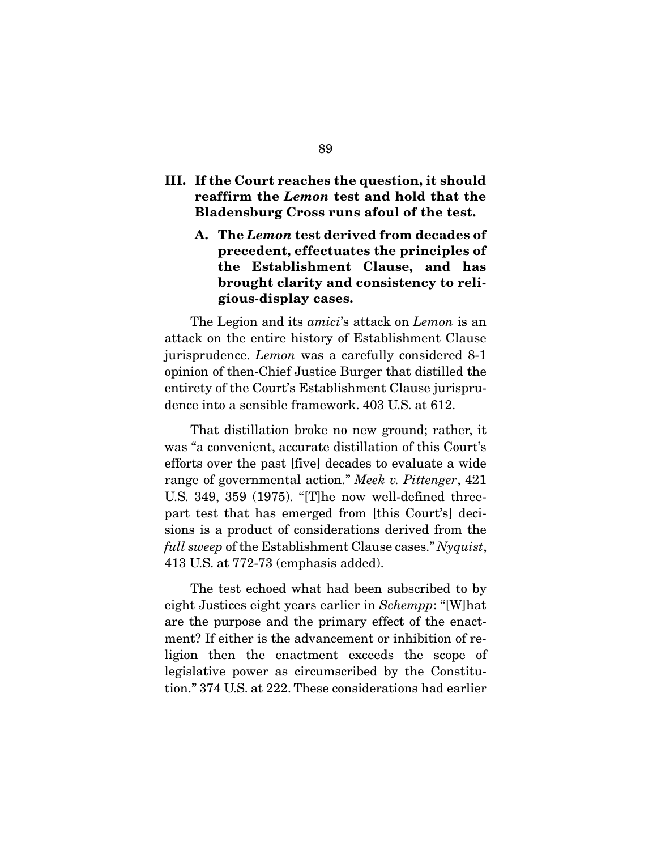### III. If the Court reaches the question, it should reaffirm the *Lemon* test and hold that the Bladensburg Cross runs afoul of the test.

A. The *Lemon* test derived from decades of precedent, effectuates the principles of the Establishment Clause, and has brought clarity and consistency to religious-display cases.

 The Legion and its *amici*'s attack on *Lemon* is an attack on the entire history of Establishment Clause jurisprudence. *Lemon* was a carefully considered 8-1 opinion of then-Chief Justice Burger that distilled the entirety of the Court's Establishment Clause jurisprudence into a sensible framework. 403 U.S. at 612.

 That distillation broke no new ground; rather, it was "a convenient, accurate distillation of this Court's efforts over the past [five] decades to evaluate a wide range of governmental action." *Meek v. Pittenger*, 421 U.S. 349, 359 (1975). "[T]he now well-defined threepart test that has emerged from [this Court's] decisions is a product of considerations derived from the *full sweep* of the Establishment Clause cases." *Nyquist*, 413 U.S. at 772-73 (emphasis added).

 The test echoed what had been subscribed to by eight Justices eight years earlier in *Schempp*: "[W]hat are the purpose and the primary effect of the enactment? If either is the advancement or inhibition of religion then the enactment exceeds the scope of legislative power as circumscribed by the Constitution." 374 U.S. at 222. These considerations had earlier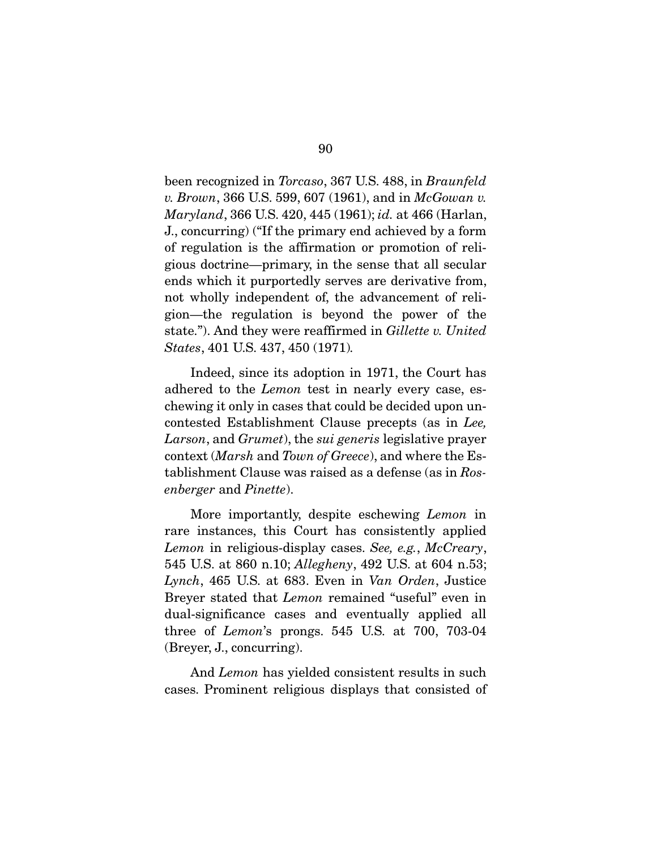been recognized in *Torcaso*, 367 U.S. 488, in *Braunfeld v. Brown*, 366 U.S. 599, 607 (1961), and in *McGowan v. Maryland*, 366 U.S. 420, 445 (1961); *id.* at 466 (Harlan, J., concurring) ("If the primary end achieved by a form of regulation is the affirmation or promotion of religious doctrine—primary, in the sense that all secular ends which it purportedly serves are derivative from, not wholly independent of, the advancement of religion—the regulation is beyond the power of the state."). And they were reaffirmed in *Gillette v. United States*, 401 U.S. 437, 450 (1971)*.*

 Indeed, since its adoption in 1971, the Court has adhered to the *Lemon* test in nearly every case, eschewing it only in cases that could be decided upon uncontested Establishment Clause precepts (as in *Lee, Larson*, and *Grumet*), the *sui generis* legislative prayer context (*Marsh* and *Town of Greece*), and where the Establishment Clause was raised as a defense (as in *Rosenberger* and *Pinette*).

 More importantly, despite eschewing *Lemon* in rare instances, this Court has consistently applied *Lemon* in religious-display cases. *See, e.g.*, *McCreary*, 545 U.S. at 860 n.10; *Allegheny*, 492 U.S. at 604 n.53; *Lynch*, 465 U.S. at 683. Even in *Van Orden*, Justice Breyer stated that *Lemon* remained "useful" even in dual-significance cases and eventually applied all three of *Lemon*'s prongs. 545 U.S. at 700, 703-04 (Breyer, J., concurring).

 And *Lemon* has yielded consistent results in such cases. Prominent religious displays that consisted of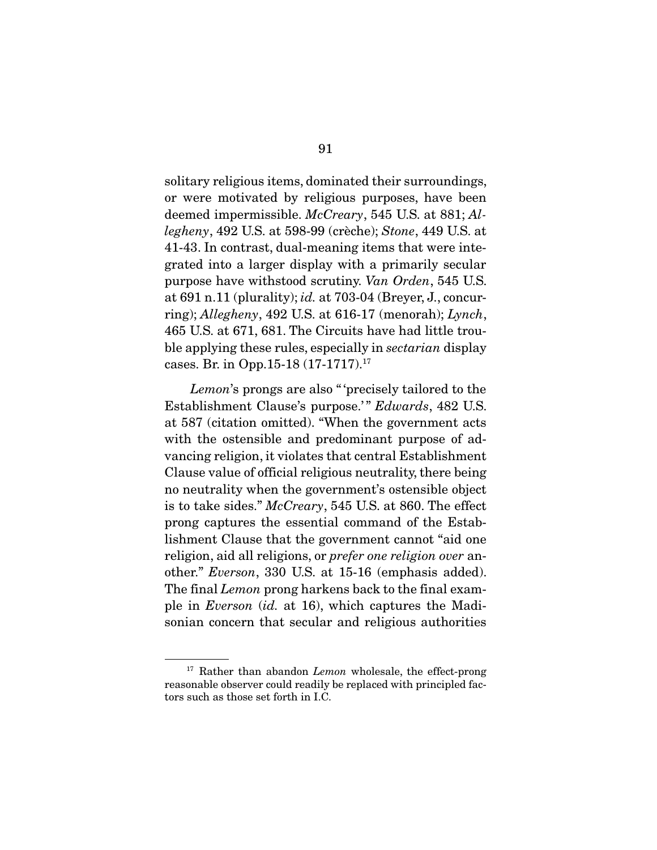solitary religious items, dominated their surroundings, or were motivated by religious purposes, have been deemed impermissible. *McCreary*, 545 U.S. at 881; *Allegheny*, 492 U.S. at 598-99 (crèche); *Stone*, 449 U.S. at 41-43. In contrast, dual-meaning items that were integrated into a larger display with a primarily secular purpose have withstood scrutiny. *Van Orden*, 545 U.S. at 691 n.11 (plurality); *id.* at 703-04 (Breyer, J., concurring); *Allegheny*, 492 U.S. at 616-17 (menorah); *Lynch*, 465 U.S. at 671, 681. The Circuits have had little trouble applying these rules, especially in *sectarian* display cases. Br. in Opp.15-18 (17-1717).17

*Lemon*'s prongs are also " 'precisely tailored to the Establishment Clause's purpose.' " *Edwards*, 482 U.S. at 587 (citation omitted). "When the government acts with the ostensible and predominant purpose of advancing religion, it violates that central Establishment Clause value of official religious neutrality, there being no neutrality when the government's ostensible object is to take sides." *McCreary*, 545 U.S. at 860. The effect prong captures the essential command of the Establishment Clause that the government cannot "aid one religion, aid all religions, or *prefer one religion over* another." *Everson*, 330 U.S. at 15-16 (emphasis added). The final *Lemon* prong harkens back to the final example in *Everson* (*id.* at 16), which captures the Madisonian concern that secular and religious authorities

<sup>&</sup>lt;sup>17</sup> Rather than abandon *Lemon* wholesale, the effect-prong reasonable observer could readily be replaced with principled factors such as those set forth in I.C.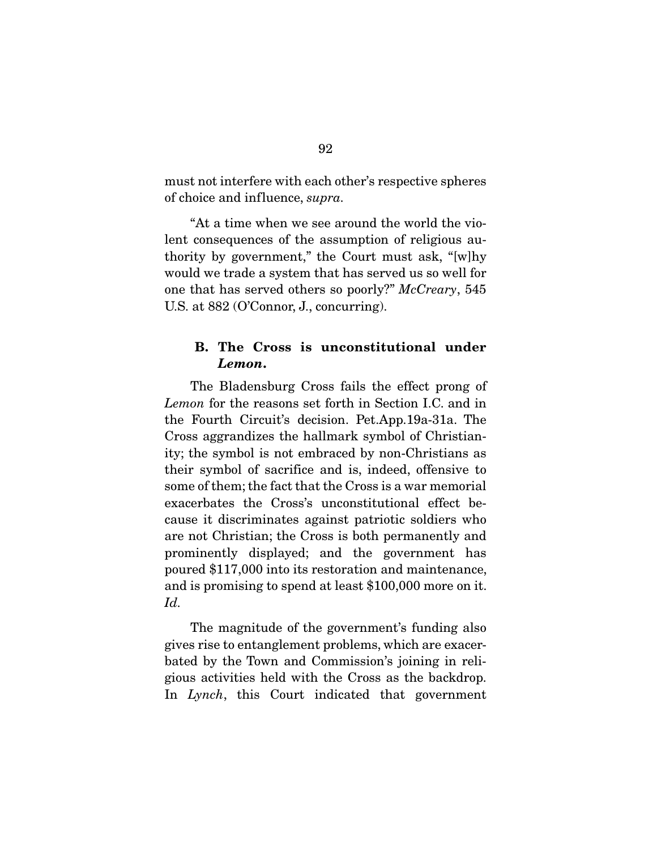must not interfere with each other's respective spheres of choice and influence, *supra.* 

 "At a time when we see around the world the violent consequences of the assumption of religious authority by government," the Court must ask, "[w]hy would we trade a system that has served us so well for one that has served others so poorly?" *McCreary*, 545 U.S. at 882 (O'Connor, J., concurring).

### B. The Cross is unconstitutional under *Lemon*.

 The Bladensburg Cross fails the effect prong of *Lemon* for the reasons set forth in Section I.C. and in the Fourth Circuit's decision. Pet.App.19a-31a. The Cross aggrandizes the hallmark symbol of Christianity; the symbol is not embraced by non-Christians as their symbol of sacrifice and is, indeed, offensive to some of them; the fact that the Cross is a war memorial exacerbates the Cross's unconstitutional effect because it discriminates against patriotic soldiers who are not Christian; the Cross is both permanently and prominently displayed; and the government has poured \$117,000 into its restoration and maintenance, and is promising to spend at least \$100,000 more on it. *Id.* 

The magnitude of the government's funding also gives rise to entanglement problems, which are exacerbated by the Town and Commission's joining in religious activities held with the Cross as the backdrop. In *Lynch*, this Court indicated that government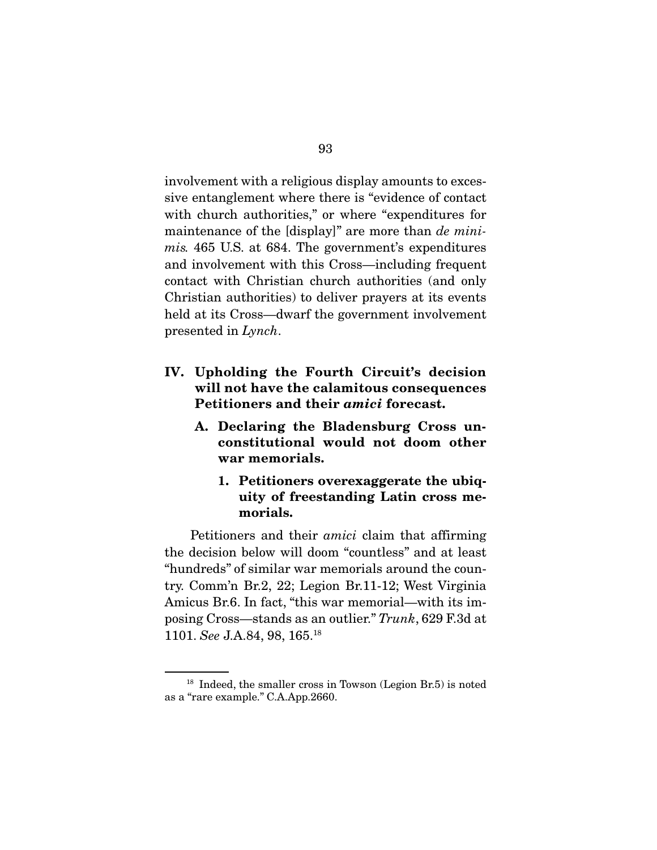involvement with a religious display amounts to excessive entanglement where there is "evidence of contact with church authorities," or where "expenditures for maintenance of the [display]" are more than *de minimis.* 465 U.S. at 684. The government's expenditures and involvement with this Cross—including frequent contact with Christian church authorities (and only Christian authorities) to deliver prayers at its events held at its Cross—dwarf the government involvement presented in *Lynch*.

- IV. Upholding the Fourth Circuit's decision will not have the calamitous consequences Petitioners and their *amici* forecast.
	- A. Declaring the Bladensburg Cross unconstitutional would not doom other war memorials.
		- 1. Petitioners overexaggerate the ubiquity of freestanding Latin cross memorials.

 Petitioners and their *amici* claim that affirming the decision below will doom "countless" and at least "hundreds" of similar war memorials around the country. Comm'n Br.2, 22; Legion Br.11-12; West Virginia Amicus Br.6. In fact, "this war memorial—with its imposing Cross—stands as an outlier." *Trunk*, 629 F.3d at 1101. *See* J.A.84, 98, 165.18

<sup>&</sup>lt;sup>18</sup> Indeed, the smaller cross in Towson (Legion Br.5) is noted as a "rare example." C.A.App.2660.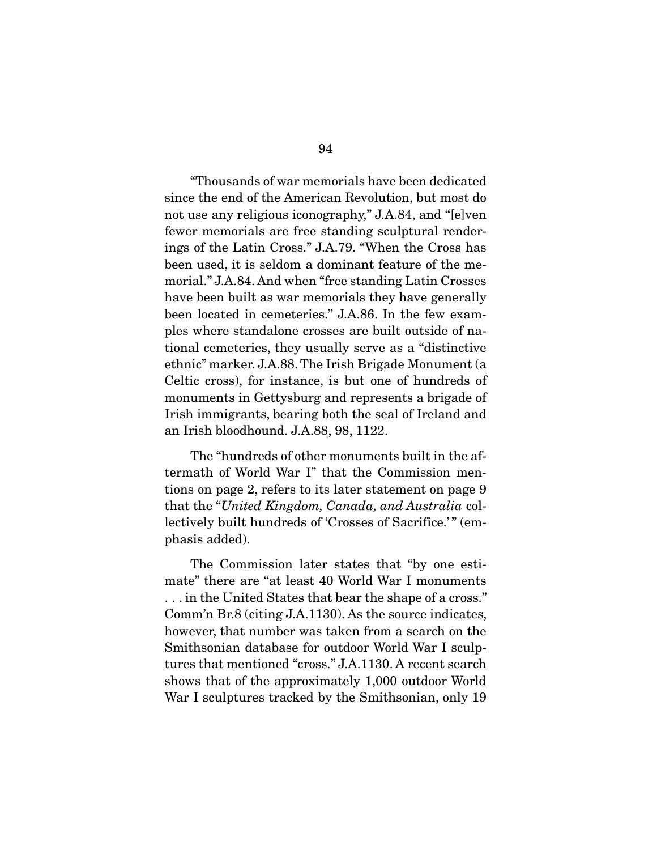"Thousands of war memorials have been dedicated since the end of the American Revolution, but most do not use any religious iconography," J.A.84, and "[e]ven fewer memorials are free standing sculptural renderings of the Latin Cross." J.A.79. "When the Cross has been used, it is seldom a dominant feature of the memorial." J.A.84. And when "free standing Latin Crosses have been built as war memorials they have generally been located in cemeteries." J.A.86. In the few examples where standalone crosses are built outside of national cemeteries, they usually serve as a "distinctive ethnic" marker. J.A.88. The Irish Brigade Monument (a Celtic cross), for instance, is but one of hundreds of monuments in Gettysburg and represents a brigade of Irish immigrants, bearing both the seal of Ireland and an Irish bloodhound. J.A.88, 98, 1122.

 The "hundreds of other monuments built in the aftermath of World War I" that the Commission mentions on page 2, refers to its later statement on page 9 that the "*United Kingdom, Canada, and Australia* collectively built hundreds of 'Crosses of Sacrifice.'" (emphasis added).

 The Commission later states that "by one estimate" there are "at least 40 World War I monuments . . . in the United States that bear the shape of a cross." Comm'n Br.8 (citing J.A.1130). As the source indicates, however, that number was taken from a search on the Smithsonian database for outdoor World War I sculptures that mentioned "cross." J.A.1130. A recent search shows that of the approximately 1,000 outdoor World War I sculptures tracked by the Smithsonian, only 19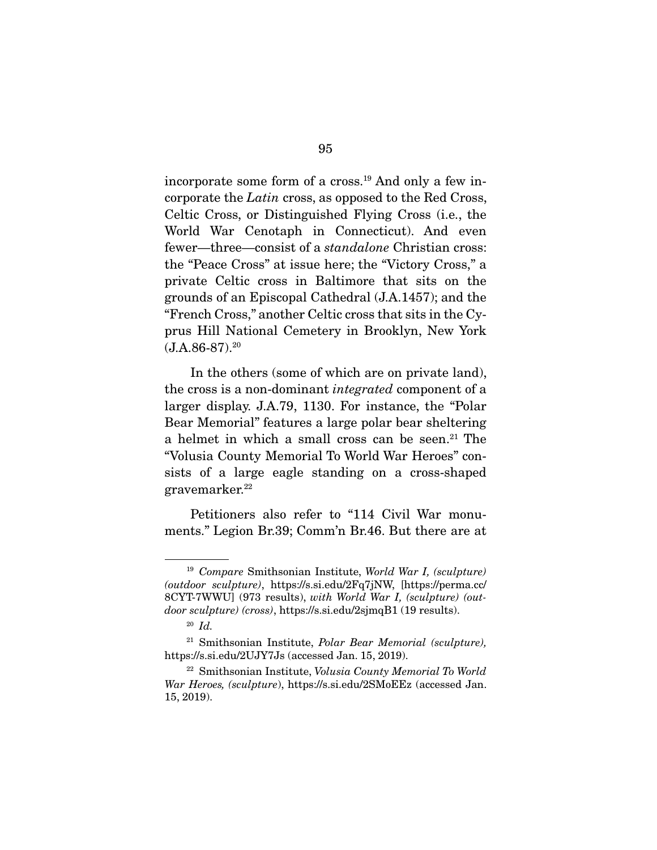incorporate some form of a cross.19 And only a few incorporate the *Latin* cross, as opposed to the Red Cross, Celtic Cross, or Distinguished Flying Cross (i.e., the World War Cenotaph in Connecticut). And even fewer—three—consist of a *standalone* Christian cross: the "Peace Cross" at issue here; the "Victory Cross," a private Celtic cross in Baltimore that sits on the grounds of an Episcopal Cathedral (J.A.1457); and the "French Cross," another Celtic cross that sits in the Cyprus Hill National Cemetery in Brooklyn, New York  $(J.A.86-87).<sup>20</sup>$ 

 In the others (some of which are on private land), the cross is a non-dominant *integrated* component of a larger display. J.A.79, 1130. For instance, the "Polar Bear Memorial" features a large polar bear sheltering a helmet in which a small cross can be seen.<sup>21</sup> The "Volusia County Memorial To World War Heroes" consists of a large eagle standing on a cross-shaped gravemarker.22

 Petitioners also refer to "114 Civil War monuments." Legion Br.39; Comm'n Br.46. But there are at

<sup>19</sup> *Compare* Smithsonian Institute, *World War I, (sculpture) (outdoor sculpture)*, https://s.si.edu/2Fq7jNW, [https://perma.cc/ 8CYT-7WWU] (973 results), *with World War I, (sculpture) (outdoor sculpture) (cross)*, https://s.si.edu/2sjmqB1 (19 results).

<sup>20</sup> *Id.* 

<sup>21</sup> Smithsonian Institute, *Polar Bear Memorial (sculpture),*  https://s.si.edu/2UJY7Js (accessed Jan. 15, 2019).

<sup>22</sup> Smithsonian Institute, *Volusia County Memorial To World War Heroes, (sculpture*), https://s.si.edu/2SMoEEz (accessed Jan. 15, 2019).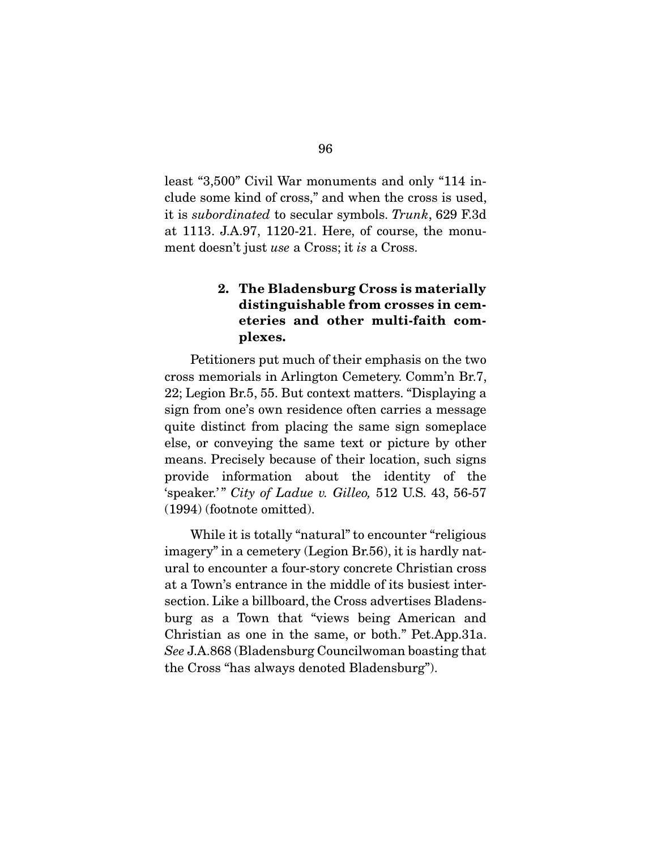least "3,500" Civil War monuments and only "114 include some kind of cross," and when the cross is used, it is *subordinated* to secular symbols. *Trunk*, 629 F.3d at 1113. J.A.97, 1120-21. Here, of course, the monument doesn't just *use* a Cross; it *is* a Cross.

# 2. The Bladensburg Cross is materially distinguishable from crosses in cemeteries and other multi-faith complexes.

 Petitioners put much of their emphasis on the two cross memorials in Arlington Cemetery. Comm'n Br.7, 22; Legion Br.5, 55. But context matters. "Displaying a sign from one's own residence often carries a message quite distinct from placing the same sign someplace else, or conveying the same text or picture by other means. Precisely because of their location, such signs provide information about the identity of the 'speaker.' " *City of Ladue v. Gilleo,* 512 U.S. 43, 56-57 (1994) (footnote omitted).

 While it is totally "natural" to encounter "religious imagery" in a cemetery (Legion Br.56), it is hardly natural to encounter a four-story concrete Christian cross at a Town's entrance in the middle of its busiest intersection. Like a billboard, the Cross advertises Bladensburg as a Town that "views being American and Christian as one in the same, or both." Pet.App.31a. *See* J.A.868 (Bladensburg Councilwoman boasting that the Cross "has always denoted Bladensburg").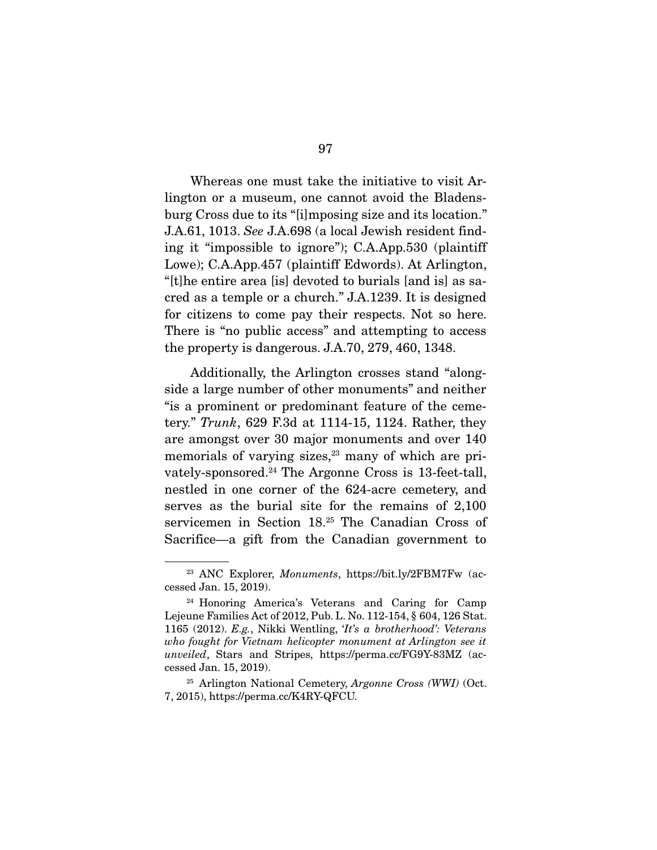Whereas one must take the initiative to visit Arlington or a museum, one cannot avoid the Bladensburg Cross due to its "[i]mposing size and its location." J.A.61, 1013. *See* J.A.698 (a local Jewish resident finding it "impossible to ignore"); C.A.App.530 (plaintiff Lowe); C.A.App.457 (plaintiff Edwords). At Arlington, "[t]he entire area [is] devoted to burials [and is] as sacred as a temple or a church." J.A.1239. It is designed for citizens to come pay their respects. Not so here. There is "no public access" and attempting to access the property is dangerous. J.A.70, 279, 460, 1348.

 Additionally, the Arlington crosses stand "alongside a large number of other monuments" and neither "is a prominent or predominant feature of the cemetery." *Trunk*, 629 F.3d at 1114-15, 1124. Rather, they are amongst over 30 major monuments and over 140 memorials of varying sizes, $23$  many of which are privately-sponsored.24 The Argonne Cross is 13-feet-tall, nestled in one corner of the 624-acre cemetery, and serves as the burial site for the remains of 2,100 servicemen in Section 18.25 The Canadian Cross of Sacrifice—a gift from the Canadian government to

<sup>23</sup> ANC Explorer, *Monuments*, https://bit.ly/2FBM7Fw (accessed Jan. 15, 2019).

<sup>&</sup>lt;sup>24</sup> Honoring America's Veterans and Caring for Camp Lejeune Families Act of 2012, Pub. L. No. 112-154, § 604, 126 Stat. 1165 (2012). *E.g.*, Nikki Wentling, '*It's a brotherhood': Veterans who fought for Vietnam helicopter monument at Arlington see it unveiled*, Stars and Stripes, https://perma.cc/FG9Y-83MZ (accessed Jan. 15, 2019).

<sup>25</sup> Arlington National Cemetery, *Argonne Cross (WWI)* (Oct. 7, 2015), https://perma.cc/K4RY-QFCU.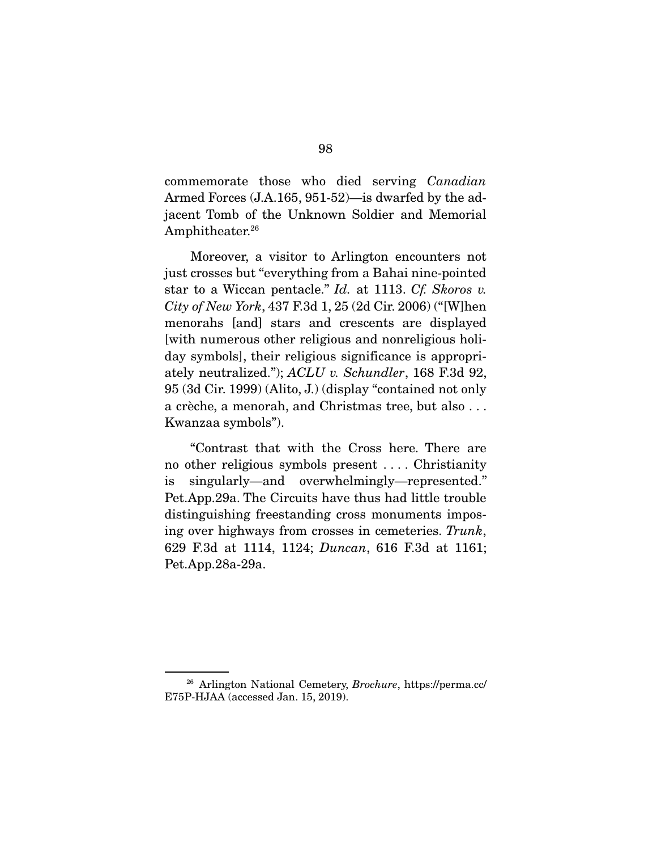commemorate those who died serving *Canadian* Armed Forces (J.A.165, 951-52)—is dwarfed by the adjacent Tomb of the Unknown Soldier and Memorial Amphitheater.<sup>26</sup>

 Moreover, a visitor to Arlington encounters not just crosses but "everything from a Bahai nine-pointed star to a Wiccan pentacle." *Id.* at 1113. *Cf. Skoros v. City of New York*, 437 F.3d 1, 25 (2d Cir. 2006) ("[W]hen menorahs [and] stars and crescents are displayed [with numerous other religious and nonreligious holiday symbols], their religious significance is appropriately neutralized."); *ACLU v. Schundler*, 168 F.3d 92, 95 (3d Cir. 1999) (Alito, J.) (display "contained not only a crèche, a menorah, and Christmas tree, but also . . . Kwanzaa symbols").

 "Contrast that with the Cross here. There are no other religious symbols present . . . . Christianity is singularly—and overwhelmingly—represented." Pet.App.29a. The Circuits have thus had little trouble distinguishing freestanding cross monuments imposing over highways from crosses in cemeteries. *Trunk*, 629 F.3d at 1114, 1124; *Duncan*, 616 F.3d at 1161; Pet.App.28a-29a.

<sup>26</sup> Arlington National Cemetery, *Brochure*, https://perma.cc/ E75P-HJAA (accessed Jan. 15, 2019).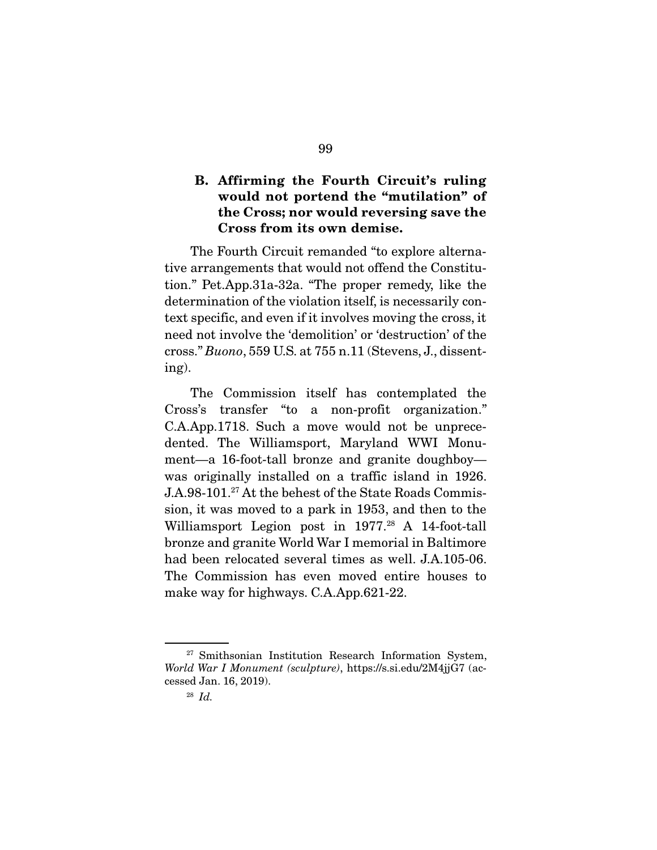## B. Affirming the Fourth Circuit's ruling would not portend the "mutilation" of the Cross; nor would reversing save the Cross from its own demise.

 The Fourth Circuit remanded "to explore alternative arrangements that would not offend the Constitution." Pet.App.31a-32a. "The proper remedy, like the determination of the violation itself, is necessarily context specific, and even if it involves moving the cross, it need not involve the 'demolition' or 'destruction' of the cross." *Buono*, 559 U.S. at 755 n.11 (Stevens, J., dissenting).

 The Commission itself has contemplated the Cross's transfer "to a non-profit organization." C.A.App.1718. Such a move would not be unprecedented. The Williamsport, Maryland WWI Monument—a 16-foot-tall bronze and granite doughboy was originally installed on a traffic island in 1926. J.A.98-101.<sup>27</sup> At the behest of the State Roads Commission, it was moved to a park in 1953, and then to the Williamsport Legion post in 1977.<sup>28</sup> A 14-foot-tall bronze and granite World War I memorial in Baltimore had been relocated several times as well. J.A.105-06. The Commission has even moved entire houses to make way for highways. C.A.App.621-22.

<sup>&</sup>lt;sup>27</sup> Smithsonian Institution Research Information System, *World War I Monument (sculpture)*, https://s.si.edu/2M4jjG7 (accessed Jan. 16, 2019).

<sup>28</sup> *Id.*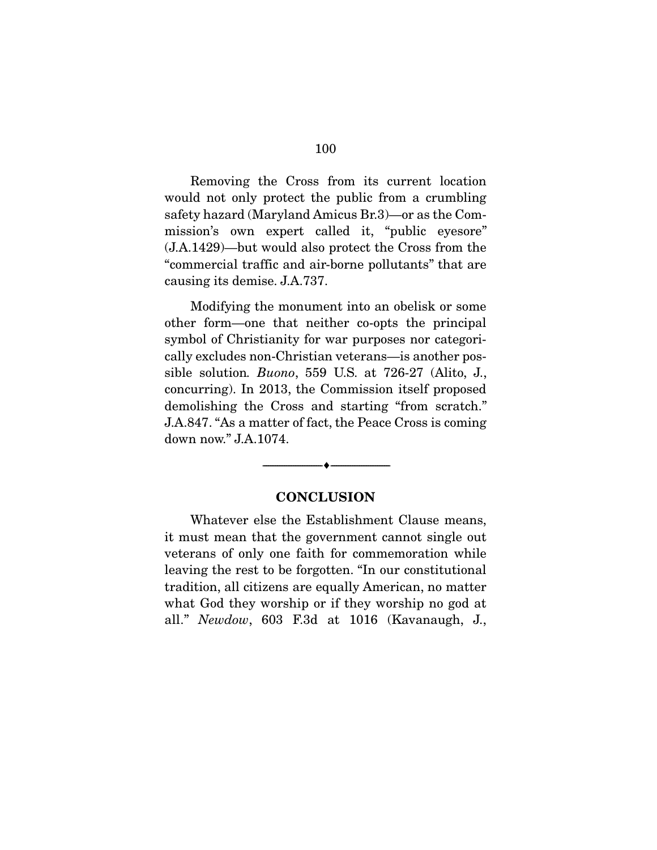Removing the Cross from its current location would not only protect the public from a crumbling safety hazard (Maryland Amicus Br.3)—or as the Commission's own expert called it, "public eyesore" (J.A.1429)—but would also protect the Cross from the "commercial traffic and air-borne pollutants" that are causing its demise. J.A.737.

 Modifying the monument into an obelisk or some other form—one that neither co-opts the principal symbol of Christianity for war purposes nor categorically excludes non-Christian veterans—is another possible solution*. Buono*, 559 U.S. at 726-27 (Alito, J., concurring). In 2013, the Commission itself proposed demolishing the Cross and starting "from scratch." J.A.847. "As a matter of fact, the Peace Cross is coming down now." J.A.1074.

#### **CONCLUSION**

--------------------------------- ---------------------------------

 Whatever else the Establishment Clause means, it must mean that the government cannot single out veterans of only one faith for commemoration while leaving the rest to be forgotten. "In our constitutional tradition, all citizens are equally American, no matter what God they worship or if they worship no god at all." *Newdow*, 603 F.3d at 1016 (Kavanaugh, J.,